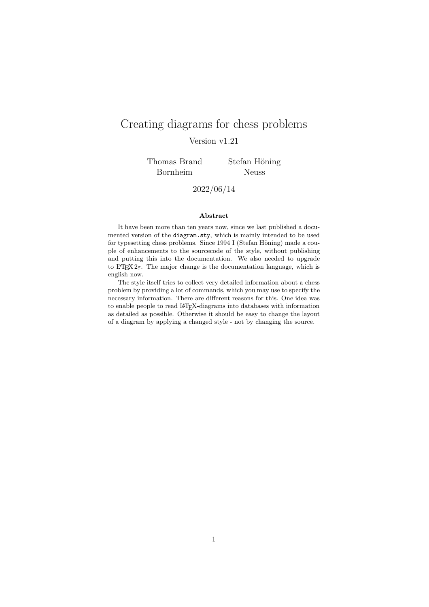# Creating diagrams for chess problems Version v1.21

Thomas Brand Bornheim

Stefan Höning Neuss

2022/06/14

#### Abstract

It have been more than ten years now, since we last published a documented version of the diagram.sty, which is mainly intended to be used for typesetting chess problems. Since  $1994$  I (Stefan Höning) made a couple of enhancements to the sourcecode of the style, without publishing and putting this into the documentation. We also needed to upgrade to  $\angle M_{\text{F}} X 2_{\epsilon}$ . The major change is the documentation language, which is english now.

The style itself tries to collect very detailed information about a chess problem by providing a lot of commands, which you may use to specify the necessary information. There are different reasons for this. One idea was to enable people to read L<sup>A</sup>TEX-diagrams into databases with information as detailed as possible. Otherwise it should be easy to change the layout of a diagram by applying a changed style - not by changing the source.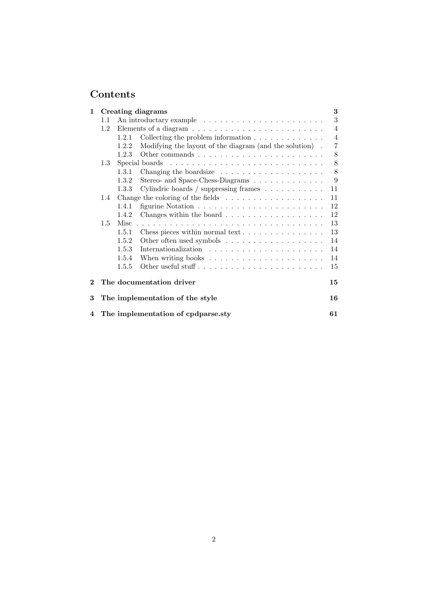# Contents

| $\mathbf 1$ |               |       | <b>Creating diagrams</b>                                                                            | $\bf{3}$       |
|-------------|---------------|-------|-----------------------------------------------------------------------------------------------------|----------------|
|             | 1.1           |       |                                                                                                     | 3              |
|             | $1.2^{\circ}$ |       |                                                                                                     | $\overline{4}$ |
|             |               | 1.2.1 | Collecting the problem information $\ldots \ldots \ldots \ldots$                                    | $\overline{4}$ |
|             |               | 1.2.2 | Modifying the layout of the diagram (and the solution).                                             | $\overline{7}$ |
|             |               | 1.2.3 |                                                                                                     | 8              |
|             | 1.3           |       |                                                                                                     | $8\,$          |
|             |               | 1.3.1 |                                                                                                     | $\,8\,$        |
|             |               | 1.3.2 | Stereo- and Space-Chess-Diagrams                                                                    | 9              |
|             |               | 1.3.3 | Cylindric boards / suppressing frames $\dots \dots \dots$                                           | 11             |
|             | $1.4\,$       |       | Change the coloring of the fields<br>$\hfill\ldots\ldots\ldots\ldots\ldots\ldots\ldots\ldots\ldots$ | 11             |
|             |               | 1.4.1 |                                                                                                     | 12             |
|             |               | 1.4.2 | Changes within the board                                                                            | 12             |
|             | $1.5\,$       |       |                                                                                                     | 13             |
|             |               | 1.5.1 | Chess pieces within normal text                                                                     | 13             |
|             |               | 1.5.2 |                                                                                                     | 14             |
|             |               | 1.5.3 |                                                                                                     | 14             |
|             |               | 1.5.4 |                                                                                                     | 14             |
|             |               | 1.5.5 | Other useful stuff                                                                                  | 15             |
| $\bf{2}$    |               |       | The documentation driver                                                                            | 15             |
| 3           |               |       | The implementation of the style                                                                     | 16             |
|             |               |       | 4 The implementation of cpdparse.sty                                                                | 61             |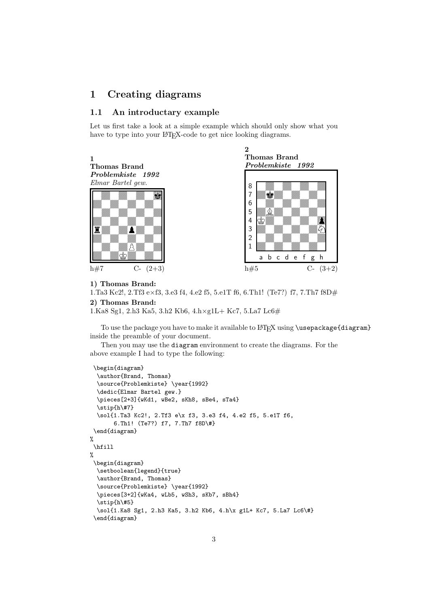# 1 Creating diagrams

#### 1.1 An introductary example

Let us first take a look at a simple example which should only show what you have to type into your LAT<sub>EX</sub>-code to get nice looking diagrams.



#### 1) Thomas Brand:

1.Ta3 Kc2!, 2.Tf3 e×f3, 3.e3 f4, 4.e2 f5, 5.e1T f6, 6.Th1! (Te7?) f7, 7.Th7 f8D#

#### 2) Thomas Brand:

1.Ka8 Sg1, 2.h3 Ka5, 3.h2 Kb6, 4.h×g1L+ Kc7, 5.La7 Lc6#

To use the package you have to make it available to  $\frac{FT}{X}$  using  $\text{separkage}\diam\}$ inside the preamble of your document.

Then you may use the diagram environment to create the diagrams. For the above example I had to type the following:

```
\begin{diagram}
  \author{Brand, Thomas}
  \source{Problemkiste} \year{1992}
  \dedic{Elmar Bartel gew.}
  \pieces[2+3]{wKd1, wBe2, sKh8, sBe4, sTa4}
  \stip{h\#7}
  \sol{1.Ta3 Kc2!, 2.Tf3 e\x f3, 3.e3 f4, 4.e2 f5, 5.e1T f6,
       6.Th1! (Te7?) f7, 7.Th7 f8D\#}
 \end{diagram}
\gamma\hfill
%
 \begin{diagram}
  \setboolean{legend}{true}
  \author{Brand, Thomas}
  \source{Problemkiste} \year{1992}
  \pieces[3+2]{wKa4, wLb5, wSh3, sKb7, sBh4}
  \stip{h\#5}
  \sol{1.Ka8 Sg1, 2.h3 Ka5, 3.h2 Kb6, 4.h\x g1L+ Kc7, 5.La7 Lc6\#}
 \end{diagram}
```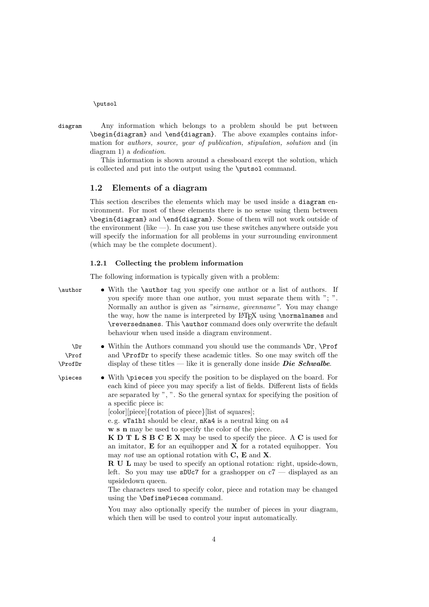\putsol

diagram Any information which belongs to a problem should be put between \begin{diagram} and \end{diagram}. The above examples contains information for authors, source, year of publication, stipulation, solution and (in diagram 1) a *dedication*.

This information is shown around a chessboard except the solution, which is collected and put into the output using the \putsol command.

### 1.2 Elements of a diagram

This section describes the elements which may be used inside a diagram environment. For most of these elements there is no sense using them between \begin{diagram} and \end{diagram}. Some of them will not work outside of the environment (like  $-$ ). In case you use these switches anywhere outside you will specify the information for all problems in your surrounding environment (which may be the complete document).

#### 1.2.1 Collecting the problem information

The following information is typically given with a problem:

| \author                   | • With the <b>\author</b> tag you specify one author or a list of authors. If<br>you specify more than one author, you must separate them with "; ".<br>Normally an author is given as "sirname, given name". You may change<br>the way, how the name is interpreted by IAT <sub>F</sub> X using \normalnames and<br>\reversednames. This \author command does only overwrite the default<br>behaviour when used inside a diagram environment.                                                                                                                                                                                                                                                                                                                                                                                                                                                                                                                     |
|---------------------------|--------------------------------------------------------------------------------------------------------------------------------------------------------------------------------------------------------------------------------------------------------------------------------------------------------------------------------------------------------------------------------------------------------------------------------------------------------------------------------------------------------------------------------------------------------------------------------------------------------------------------------------------------------------------------------------------------------------------------------------------------------------------------------------------------------------------------------------------------------------------------------------------------------------------------------------------------------------------|
| $\ln$<br>\Prof<br>\ProfDr | • Within the Authors command you should use the commands $\Dr$ , $\Pr$ of<br>and <b>\ProfDr</b> to specify these academic titles. So one may switch off the<br>display of these titles — like it is generally done inside <i>Die Schwalbe</i> .                                                                                                                                                                                                                                                                                                                                                                                                                                                                                                                                                                                                                                                                                                                    |
| \pieces                   | • With \pieces you specify the position to be displayed on the board. For<br>each kind of piece you may specify a list of fields. Different lists of fields<br>are separated by ", ". So the general syntax for specifying the position of<br>a specific piece is:<br>[color][piece]{rotation of piece}[list of squares];<br>e.g. wTa1h1 should be clear, nKa4 is a neutral king on a4<br>w s n may be used to specify the color of the piece.<br><b>KDTLSBCEX</b> may be used to specify the piece. A C is used for<br>an imitator, $E$ for an equihopper and $X$ for a rotated equihopper. You<br>may not use an optional rotation with $C$ , $E$ and $X$ .<br><b>R</b> U L may be used to specify an optional rotation: right, upside-down,<br>left. So you may use sDUc7 for a grashopper on $c7$ — displayed as an<br>upsidedown queen.<br>The characters used to specify color, piece and rotation may be changed<br>using the <b>\DefinePieces</b> command. |
|                           | You may also optionally specify the number of pieces in your diagram,<br>which then will be used to control your input automatically.                                                                                                                                                                                                                                                                                                                                                                                                                                                                                                                                                                                                                                                                                                                                                                                                                              |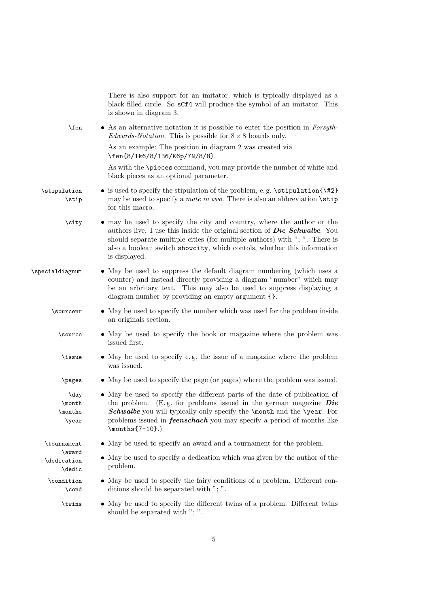|                                    | There is also support for an imitator, which is typically displayed as a<br>black filled circle. So sCf4 will produce the symbol of an imitator. This<br>is shown in diagram 3.                                                                                                                                                       |
|------------------------------------|---------------------------------------------------------------------------------------------------------------------------------------------------------------------------------------------------------------------------------------------------------------------------------------------------------------------------------------|
| $\$ {en}                           | • As an alternative notation it is possible to enter the position in Forsyth-<br>Edwards-Notation. This is possible for $8 \times 8$ boards only.                                                                                                                                                                                     |
|                                    | As an example: The position in diagram 2 was created via<br>\fen{8/1k6/8/1B6/K6p/7N/8/8}.                                                                                                                                                                                                                                             |
|                                    | As with the \pieces command, you may provide the number of white and<br>black pieces as an optional parameter.                                                                                                                                                                                                                        |
| \stipulation<br>\stip              | $\bullet$ is used to specify the stipulation of the problem, e.g. \stipulation{\#2}<br>may be used to specify a <i>mate in two</i> . There is also an abbreviation $\setminus$ stip<br>for this macro.                                                                                                                                |
| \city                              | • may be used to specify the city and country, where the author or the<br>authors live. I use this inside the original section of <b>Die Schwalbe</b> . You<br>should separate multiple cities (for multiple authors) with "; ". There is<br>also a boolean switch showcity, which contols, whether this information<br>is displayed. |
| \specialdiagnum                    | • May be used to suppress the default diagram numbering (which uses a<br>counter) and instead directly providing a diagram "number" which may<br>be an arbritary text. This may also be used to suppress displaying a<br>diagram number by providing an empty argument {}.                                                            |
| \sourcenr                          | • May be used to specify the number which was used for the problem inside<br>an originals section.                                                                                                                                                                                                                                    |
| \source                            | • May be used to specify the book or magazine where the problem was<br>issued first.                                                                                                                                                                                                                                                  |
| \issue                             | • May be used to specify e.g. the issue of a magazine where the problem<br>was issued.                                                                                                                                                                                                                                                |
| \pages                             | • May be used to specify the page (or pages) where the problem was issued.                                                                                                                                                                                                                                                            |
| \day<br>\month<br>\months<br>\year | • May be used to specify the different parts of the date of publication of<br>the problem. (E.g. for problems issued in the german magazine $Die$<br>Schwalbe you will typically only specify the \month and the \year. For<br>problems issued in <i>feenschach</i> you may specify a period of months like<br>$\mathsf{7-10}.$       |
| \tournament                        | • May be used to specify an award and a tournament for the problem.                                                                                                                                                                                                                                                                   |
| \award<br>\dedication<br>\dedic    | • May be used to specify a dedication which was given by the author of the<br>problem.                                                                                                                                                                                                                                                |
| \condition<br>\cond                | • May be used to specify the fairy conditions of a problem. Different con-<br>ditions should be separated with "; ".                                                                                                                                                                                                                  |
| \twins                             | • May be used to specify the different twins of a problem. Different twins<br>should be separated with "; ".                                                                                                                                                                                                                          |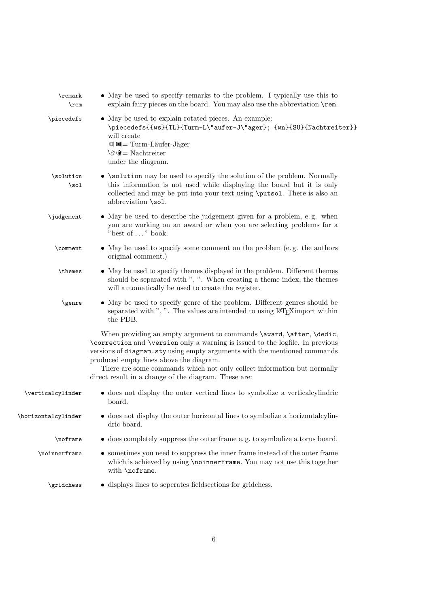| \remark<br>$\$ {rem} | • May be used to specify remarks to the problem. I typically use this to<br>explain fairy pieces on the board. You may also use the abbreviation \rem.                                                                                                                                                                                                                                                           |
|----------------------|------------------------------------------------------------------------------------------------------------------------------------------------------------------------------------------------------------------------------------------------------------------------------------------------------------------------------------------------------------------------------------------------------------------|
| \piecedefs           | • May be used to explain rotated pieces. An example:<br>\piecedefs{{ws}{TL}{Turm-L\"aufer-J\"ager}; {wn}{SU}{Nachtreiter}}<br>will create<br><sup>1</sup> ■ Turm-Läufer-Jäger<br>$\mathbb{Q} \mathbb{V} = \mathbf{N}$ achtreiter<br>under the diagram.                                                                                                                                                           |
| \solution<br>\sol    | • \solution may be used to specify the solution of the problem. Normally<br>this information is not used while displaying the board but it is only<br>collected and may be put into your text using \putsol. There is also an<br>abbreviation \sol.                                                                                                                                                              |
| \judgement           | • May be used to describe the judgement given for a problem, e.g. when<br>you are working on an award or when you are selecting problems for a<br>"best of " book.                                                                                                                                                                                                                                               |
| \comment             | • May be used to specify some comment on the problem (e.g. the authors<br>original comment.)                                                                                                                                                                                                                                                                                                                     |
| \themes              | • May be used to specify themes displayed in the problem. Different themes<br>should be separated with ", ". When creating a theme index, the themes<br>will automatically be used to create the register.                                                                                                                                                                                                       |
| \genre               | • May be used to specify genre of the problem. Different genres should be<br>separated with ", ". The values are intended to using LATEX import within<br>the PDB.                                                                                                                                                                                                                                               |
|                      | When providing an empty argument to commands \award, \after, \dedic,<br>\correction and \version only a warning is issued to the logfile. In previous<br>versions of diagram.sty using empty arguments with the mentioned commands<br>produced empty lines above the diagram.<br>There are some commands which not only collect information but normally<br>direct result in a change of the diagram. These are: |
| \verticalcylinder    | • does not display the outer vertical lines to symbolize a vertical cylindric<br>board.                                                                                                                                                                                                                                                                                                                          |
| \horizontalcylinder  | $\bullet$ does not display the outer horizontal lines to symbolize a horizontalcylin-<br>dric board.                                                                                                                                                                                                                                                                                                             |
| \noframe             | • does completely suppress the outer frame e.g. to symbolize a torus board.                                                                                                                                                                                                                                                                                                                                      |
| \noinnerframe        | • sometimes you need to suppress the inner frame instead of the outer frame<br>which is achieved by using <b>\noinnerframe</b> . You may not use this together<br>with \noframe.                                                                                                                                                                                                                                 |
| \gridchess           | • displays lines to seperates field sections for grid chess.                                                                                                                                                                                                                                                                                                                                                     |
|                      |                                                                                                                                                                                                                                                                                                                                                                                                                  |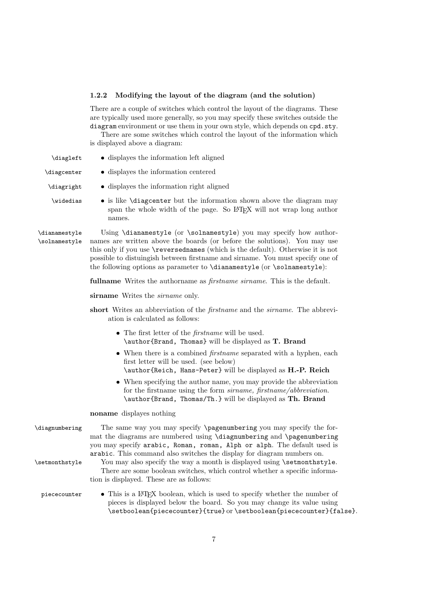## 1.2.2 Modifying the layout of the diagram (and the solution)

There are a couple of switches which control the layout of the diagrams. These are typically used more generally, so you may specify these switches outside the diagram environment or use them in your own style, which depends on cpd.sty.

There are some switches which control the layout of the information which is displayed above a diagram:

| \diagleft                      | • displayes the information left aligned                                                                                                                                                                                                                                                                                                                                                               |
|--------------------------------|--------------------------------------------------------------------------------------------------------------------------------------------------------------------------------------------------------------------------------------------------------------------------------------------------------------------------------------------------------------------------------------------------------|
| \diagcenter                    | • displayes the information centered                                                                                                                                                                                                                                                                                                                                                                   |
| \diagright                     | • displayes the information right aligned                                                                                                                                                                                                                                                                                                                                                              |
| <i><u><b>Nidedias</b></u></i>  | • is like <i>\diagcenter</i> but the information shown above the diagram may<br>span the whole width of the page. So IATFX will not wrap long author<br>names.                                                                                                                                                                                                                                         |
| \dianamestyle<br>\solnamestyle | Using \dianamestyle (or \solnamestyle) you may specify how author-<br>names are written above the boards (or before the solutions). You may use<br>this only if you use <b>\reversednames</b> (which is the default). Otherwise it is not<br>possible to distuingish between firstname and sirname. You must specify one of<br>the following options as parameter to \dianamestyle (or \solnamestyle): |
|                                | <b>fullname</b> Writes the authorname as <i>firstname sirname</i> . This is the default.                                                                                                                                                                                                                                                                                                               |
|                                | sirname Writes the <i>sirname</i> only.                                                                                                                                                                                                                                                                                                                                                                |
|                                | short Writes an abbreviation of the <i>firstname</i> and the <i>sirname</i> . The abbrevi-<br>ation is calculated as follows:                                                                                                                                                                                                                                                                          |
|                                | • The first letter of the $first name$ will be used.<br>\author{Brand, Thomas} will be displayed as T. Brand                                                                                                                                                                                                                                                                                           |
|                                | • When there is a combined <i>firstname</i> separated with a hyphen, each<br>first letter will be used. (see below)<br>\author{Reich, Hans-Peter} will be displayed as H.-P. Reich                                                                                                                                                                                                                     |
|                                | • When specifying the author name, you may provide the abbreviation<br>for the firstname using the form <i>sirname</i> , <i>firstname</i> / <i>abbreviation</i> .<br>\author{Brand, Thomas/Th.} will be displayed as Th. Brand                                                                                                                                                                         |
|                                | noname displayes nothing                                                                                                                                                                                                                                                                                                                                                                               |
| \diagnumbering                 | The same way you may specify \pagenumbering you may specify the for-<br>mat the diagrams are numbered using \diagnumbering and \pagenumbering<br>you may specify arabic, Roman, roman, Alph or alph. The default used is<br>arabic. This command also switches the display for diagram numbers on.                                                                                                     |
| \setmonthstyle                 | You may also specify the way a month is displayed using \setmonthstyle.<br>There are some boolean switches, which control whether a specific informa-<br>tion is displayed. These are as follows:                                                                                                                                                                                                      |
| piececounter                   | • This is a LAT <sub>E</sub> X boolean, which is used to specify whether the number of<br>pieces is displayed below the board. So you may change its value using<br>\setboolean{piececounter}{true} or \setboolean{piececounter}{false}.                                                                                                                                                               |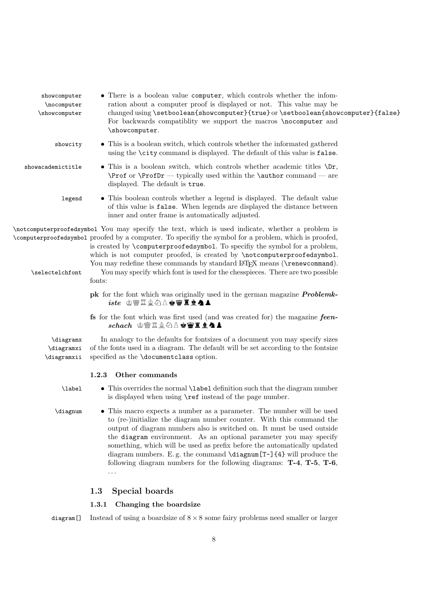| showcomputer<br>\nocomputer<br>\showcomputer | • There is a boolean value computer, which controls whether the infom-<br>ration about a computer proof is displayed or not. This value may be<br>changed using \setboolean{showcomputer}{true} or \setboolean{showcomputer}{false}<br>For backwards compatiblity we support the macros \nocomputer and<br>\showcomputer.                                                                                                                                                                                                                 |
|----------------------------------------------|-------------------------------------------------------------------------------------------------------------------------------------------------------------------------------------------------------------------------------------------------------------------------------------------------------------------------------------------------------------------------------------------------------------------------------------------------------------------------------------------------------------------------------------------|
| showcity                                     | • This is a boolean switch, which controls whether the informated gathered<br>using the \city command is displayed. The default of this value is false.                                                                                                                                                                                                                                                                                                                                                                                   |
| showacademictitle                            | • This is a boolean switch, which controls whether academic titles $\Delta r$ ,<br>$\Perof$ or $\PerofDr$ - typically used within the $\author$ command - are<br>displayed. The default is true.                                                                                                                                                                                                                                                                                                                                          |
| legend                                       | • This boolean controls whether a legend is displayed. The default value<br>of this value is false. When legends are displayed the distance between<br>inner and outer frame is automatically adjusted.                                                                                                                                                                                                                                                                                                                                   |
|                                              | \notcomputerproofedsymbol You may specify the text, which is used indicate, whether a problem is<br>\computerproofedsymbol proofed by a computer. To specifiy the symbol for a problem, which is proofed,<br>is created by \computerproofedsymbol. To specify the symbol for a problem,<br>which is not computer proofed, is created by \notcomputerproofedsymbol.<br>You may redefine these commands by standard LATEX means (\renewcommand).                                                                                            |
| \selectelchfont                              | You may specify which font is used for the chesspieces. There are two possible<br>fonts:                                                                                                                                                                                                                                                                                                                                                                                                                                                  |
|                                              | <b>pk</b> for the font which was originally used in the german magazine <b>Problemk-</b><br>$\emph{iste}$ @ @ $\Box$ @ $\Diamond$ A & @ @ $\Box$ @ @ A $\blacktriangle$                                                                                                                                                                                                                                                                                                                                                                   |
|                                              | fs for the font which was first used (and was created for) the magazine feen-<br>$\;$ schach $\;$ string the set of $\;$ set of $\;$ set of $\;$ set of $\;$ set of $\;$ set of $\;$ set of $\;$ set of $\;$                                                                                                                                                                                                                                                                                                                              |
| \diagramx<br>\diagramxi<br>\diagramxii       | In analogy to the defaults for fontsizes of a document you may specify sizes<br>of the fonts used in a diagram. The default will be set according to the fontsize<br>specified as the <i>documentclass</i> option.                                                                                                                                                                                                                                                                                                                        |
|                                              | Other commands<br>1.2.3                                                                                                                                                                                                                                                                                                                                                                                                                                                                                                                   |
| \label                                       | • This overrides the normal <b>\label</b> definition such that the diagram number<br>is displayed when using <b>\ref</b> instead of the page number.                                                                                                                                                                                                                                                                                                                                                                                      |
| \diagnum                                     | • This macro expects a number as a parameter. The number will be used<br>to (re-)initialize the diagram number counter. With this command the<br>output of diagram numbers also is switched on. It must be used outside<br>the diagram environment. As an optional parameter you may specify<br>something, which will be used as prefix before the automatically updated<br>diagram numbers. E.g. the command $\dagger$ $T-\dagger$ $4$ will produce the<br>following diagram numbers for the following diagrams: $T-4$ , $T-5$ , $T-6$ , |

# 1.3 Special boards

# 1.3.1 Changing the boardsize

diagram<sup>[]</sup> Instead of using a boardsize of  $8 \times 8$  some fairy problems need smaller or larger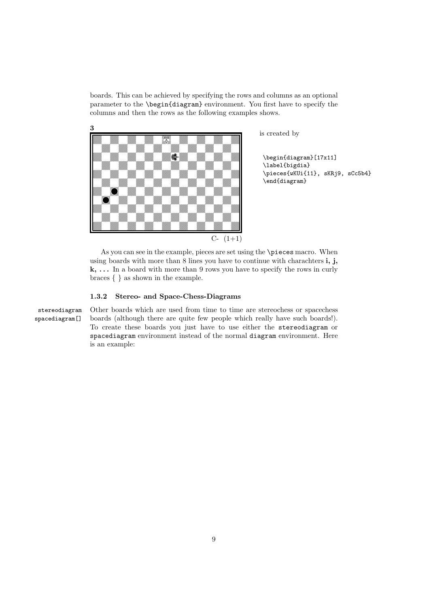boards. This can be achieved by specifying the rows and columns as an optional parameter to the \begin{diagram} environment. You first have to specify the columns and then the rows as the following examples shows.



is created by

\begin{diagram}[17x11] \label{bigdia} \pieces{wKUi{11}, sKRj9, sCc5b4} \end{diagram}

As you can see in the example, pieces are set using the \pieces macro. When using boards with more than  $8$  lines you have to continue with charachters  $\mathbf{i}, \mathbf{j}$ ,  ${\bf k},\,\dots\,$  In a board with more than 9 rows you have to specify the rows in curly braces { } as shown in the example.

#### 1.3.2 Stereo- and Space-Chess-Diagrams

stereodiagram Other boards which are used from time to time are stereochess or spacechess spacediagram[] boards (although there are quite few people which really have such boards!). To create these boards you just have to use either the stereodiagram or spacediagram environment instead of the normal diagram environment. Here is an example: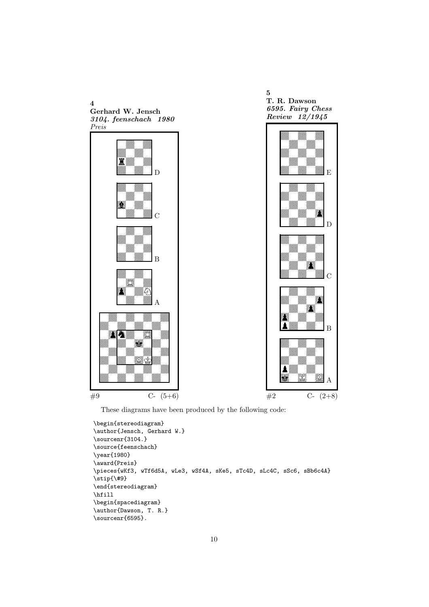

These diagrams have been produced by the following code:

```
\begin{stereodiagram}
\author{Jensch, Gerhard W.}
\sourcenr{3104.}
\source{feenschach}
\year{1980}
\award{Preis}
\pieces{wKf3, wTf6d5A, wLe3, wSf4A, sKe5, sTc4D, sLc4C, sSc6, sBb6c4A}
\stip{\#9}
\end{stereodiagram}
\hbox{\bf{hfil}}\begin{spacediagram}
\author{Dawson, T. R.}
\sourcenr{6595}.
```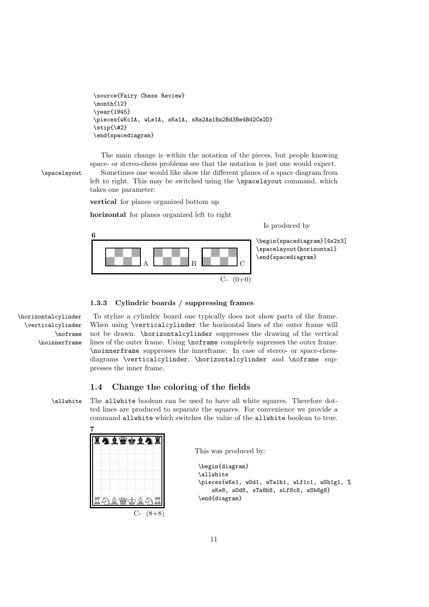```
\source{Fairy Chess Review}
\month{12}
\year{1945}
\pieces{wKc1A, wLe1A, sKa1A, sBa2Aa1Ba2Bd3Be4Bd2Ce2D}
\stip{\#2}
\end{spacediagram}
```
The main change is within the notation of the pieces, but people knowing space- or stereo-chess problems see that the notation is just one would expect. \spacelayout Sometimes one would like show the different planes of a space diagram from left to right. This may be switched using the \spacelayout command, which takes one parameter:

vertical for planes organized bottom up

horizontal for planes organized left to right

Is produced by



\begin{spacediagram}[4x2x3] \spacelayout{horizontal} \end{spacediagram}

#### 1.3.3 Cylindric boards / suppressing frames

\verticalcylinder \noframe \noinnerframe

\horizontalcylinder To stylize a cylindric board one typically does not show parts of the frame. When using **\verticalcylinder** the horizontal lines of the outer frame will not be drawn. \horizontalcylinder suppresses the drawing of the vertical lines of the outer frame. Using \noframe completely supresses the outer frame. \noinnerframe suppresses the innerframe. In case of stereo- or space-chessdiagrams \verticalcylinder, \horizontalcylinder and \noframe suppresses the inner frame.

### 1.4 Change the coloring of the fields

\allwhite The allwhite boolean can be used to have all white squares. Therefore dotted lines are produced to separate the squares. For convenience we provide a command allwhite which switches the value of the allwhite boolean to true.



This was produced by:

```
\begin{diagram}
\allwhite
\pieces{wKe1, wDd1, wTa1h1, wLf1c1, wSb1g1, %
    sKe8, sDd8, sTa8h8, sLf8c8, sSb8g8}
\end{diagram}
```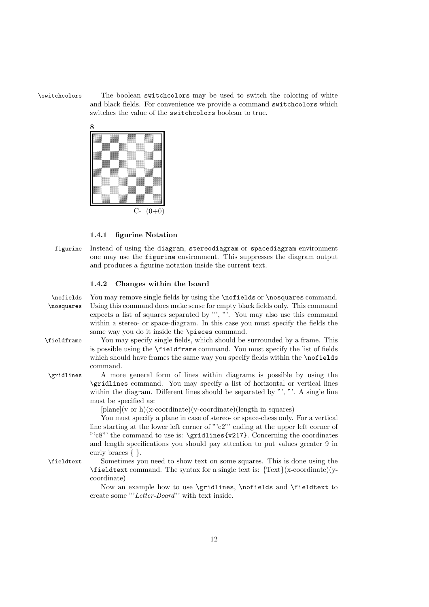\switchcolors The boolean switchcolors may be used to switch the coloring of white and black fields. For convenience we provide a command switchcolors which switches the value of the switchcolors boolean to true.



#### 1.4.1 figurine Notation

figurine Instead of using the diagram, stereodiagram or spacediagram environment one may use the figurine environment. This suppresses the diagram output and produces a figurine notation inside the current text.

#### 1.4.2 Changes within the board

| \nofields   | You may remove single fields by using the <b>\nofields</b> or <b>\nosquares</b> command.                       |
|-------------|----------------------------------------------------------------------------------------------------------------|
| \nosquares  | Using this command does make sense for empty black fields only. This command                                   |
|             | expects a list of squares separated by "', "'. You may also use this command                                   |
|             | within a stereo- or space-diagram. In this case you must specify the fields the                                |
|             | same way you do it inside the \pieces command.                                                                 |
| \fieldframe | You may specify single fields, which should be surrounded by a frame. This                                     |
|             | is possible using the <b>\fieldframe</b> command. You must specify the list of fields                          |
|             | which should have frames the same way you specify fields within the \nofields                                  |
|             | command.                                                                                                       |
| \gridlines  | A more general form of lines within diagrams is possible by using the                                          |
|             | \gridlines command. You may specify a list of horizontal or vertical lines                                     |
|             | within the diagram. Different lines should be separated by ",". A single line                                  |
|             | must be specified as:                                                                                          |
|             | $[plane](v \text{ or } h)(x\text{-coordinate})(y\text{-coordinate})(length in squares)$                        |
|             | You must specify a plane in case of stereo- or space-chess only. For a vertical                                |
|             | line starting at the lower left corner of " $c2$ " ending at the upper left corner of                          |
|             | " $c8$ "' the command to use is: \gridlines{v217}. Concerning the coordinates                                  |
|             | and length specifications you should pay attention to put values greater 9 in                                  |
|             | curly braces $\{\}$ .                                                                                          |
| \fieldtext  | Sometimes you need to show text on some squares. This is done using the                                        |
|             | $\text{Fieldtext}$ command. The syntax for a single text is: $\text{Text}(x\text{-coordinate})(y\text{-}x)$    |
|             | coordinate)                                                                                                    |
|             | Now an example how to use $\sigma \in \mathbb{R}$ and $\sigma$ is and $\sigma$ is alleged to Normal sequences. |

Now an example how to use \gridlines, \nofields and \fieldtext to create some "'Letter-Board"' with text inside.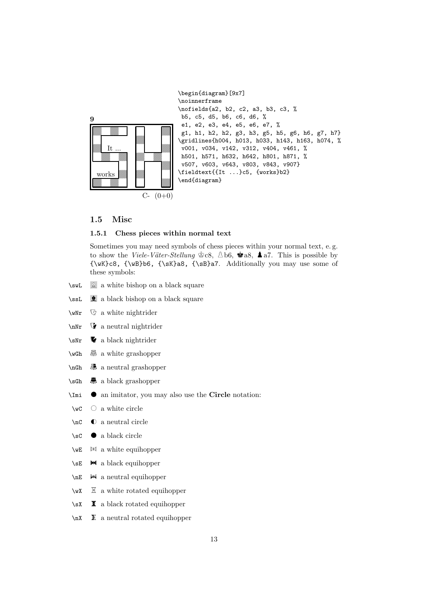

#### 1.5 Misc

#### 1.5.1 Chess pieces within normal text

Sometimes you may need symbols of chess pieces within your normal text, e. g. to show the Viele-Väter-Stellung  $\mathcal{L} \otimes \mathcal{L}$ ,  $\mathcal{L}$  b6,  $\mathcal{L} \otimes \mathcal{L}$  a7. This is possible by {\wK}c8, {\wB}b6, {\sK}a8, {\sB}a7. Additionally you may use some of these symbols:

- \swL  $\quad \cong$  a white bishop on a black square
- \ssL a black bishop on a black square
- $\text{WNT}$   $\qquad$  a white nightrider
- $\sqrt{n}$  a neutral nightrider
- $\sqrt{s}Nr$  a black nightrider
- $\wedge$ wGh  $\overline{\mathbb{R}}$  a white grashopper
- $\infty$  a neutral grashopper
- $\setminus$ sGh  $\bar{m}$  a black grashopper
- $\Im$ Imi  $\bullet$  an imitator, you may also use the Circle notation:
- $\forall$ wC  $\circ$  a white circle
- $\operatorname{C}$  **C** a neutral circle
- \sC  $\bullet$  a black circle
- $\forall$ **E**  $\mathbb{M}$  a white equihopper
- $\setminus$ sE  $\blacksquare$  a black equihopper
- $\n\mathbb{R}$   $\mathbb{H}$  a neutral equihopper
- $\forall$ wX  $\Xi$  a white rotated equihopper
- $\succeq$   $\mathbf{\bar{x}}$  a black rotated equihopper
- $\nabla$  **E** a neutral rotated equihopper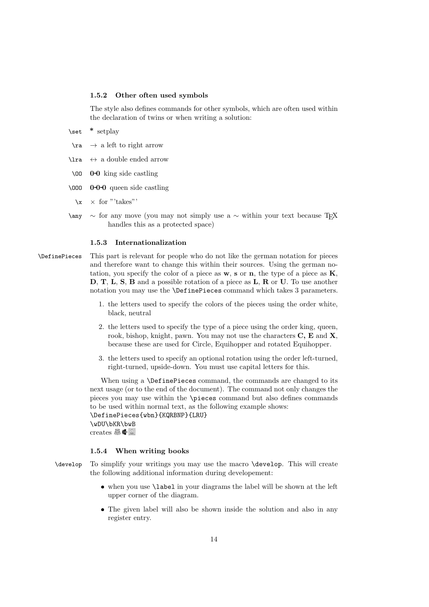#### 1.5.2 Other often used symbols

The style also defines commands for other symbols, which are often used within the declaration of twins or when writing a solution:

\set \* setplay

- $\ra$   $\rightarrow$  a left to right arrow
- $\lambda$ **ra**  $\leftrightarrow$  a double ended arrow
- \OO 0-0 king side castling
- $\sqrt{000}$  0-0-0 queen side castling
	- $\chi \times$  for "'takes"'
- $\langle \rangle$  any ∼ for any move (you may not simply use a ∼ within your text because TFX handles this as a protected space)

#### 1.5.3 Internationalization

- \DefinePieces This part is relevant for people who do not like the german notation for pieces and therefore want to change this within their sources. Using the german notation, you specify the color of a piece as  $w$ , s or n, the type of a piece as  $K$ , D, T, L, S, B and a possible rotation of a piece as L, R or U. To use another notation you may use the \DefinePieces command which takes 3 parameters.
	- 1. the letters used to specify the colors of the pieces using the order white, black, neutral
	- 2. the letters used to specify the type of a piece using the order king, queen, rook, bishop, knight, pawn. You may not use the characters  $C$ ,  $E$  and  $X$ , because these are used for Circle, Equihopper and rotated Equihopper.
	- 3. the letters used to specify an optional rotation using the order left-turned, right-turned, upside-down. You must use capital letters for this.

When using a \DefinePieces command, the commands are changed to its next usage (or to the end of the document). The command not only changes the pieces you may use within the \pieces command but also defines commands to be used within normal text, as the following example shows: \DefinePieces{wbn}{KQRBNP}{LRU} \wDU\bKR\bwB creates  $\mathbb{R} \mathbb{C}$ 

#### 1.5.4 When writing books

- \develop To simplify your writings you may use the macro \develop. This will create the following additional information during developement:
	- when you use \label in your diagrams the label will be shown at the left upper corner of the diagram.
	- The given label will also be shown inside the solution and also in any register entry.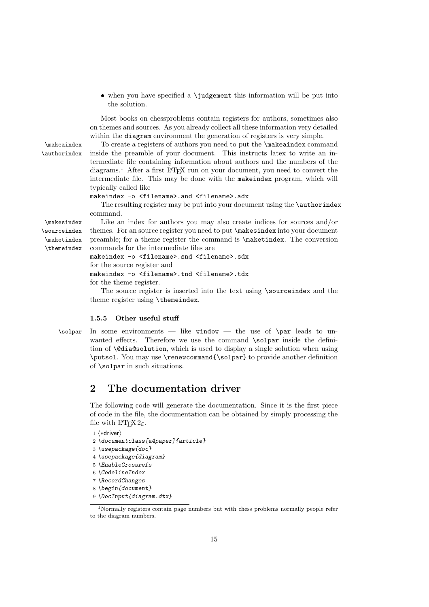$\bullet$  when you have specified a \judgement this information will be put into the solution.

Most books on chessproblems contain registers for authors, sometimes also on themes and sources. As you already collect all these information very detailed within the diagram environment the generation of registers is very simple.

\makeaindex To create a registers of authors you need to put the \makeaindex command \authorindex inside the preamble of your document. This instructs latex to write an intermediate file containing information about authors and the numbers of the diagrams.<sup>1</sup> After a first LATEX run on your document, you need to convert the intermediate file. This may be done with the makeindex program, which will typically called like

#### makeindex -o <filename>.and <filename>.adx

The resulting register may be put into your document using the **\authorindex** command.

\makesindex Like an index for authors you may also create indices for sources and/or themes. For an source register you need to put \makesindex into your document preamble; for a theme register the command is \maketindex. The conversion commands for the intermediate files are

> makeindex -o <filename>.snd <filename>.sdx for the source register and makeindex -o <filename>.tnd <filename>.tdx

for the theme register.

The source register is inserted into the text using \sourceindex and the theme register using \themeindex.

#### 1.5.5 Other useful stuff

\solpar In some environments — like window — the use of \par leads to unwanted effects. Therefore we use the command \solpar inside the definition of \@dia@solution, which is used to display a single solution when using \putsol. You may use \renewcommand{\solpar} to provide another definition of \solpar in such situations.

## 2 The documentation driver

The following code will generate the documentation. Since it is the first piece of code in the file, the documentation can be obtained by simply processing the file with  $\text{LATEX } 2\varepsilon$ .

```
1 (*driver)
```
- 2 *\documentclass[a4paper]{article}*
- 3 *\usepackage{doc}*
- 4 *\usepackage{diagram}*
- 5 *\EnableCrossrefs*
- 6 *\CodelineIndex*
- 7 *\RecordChanges*
- 8 *\begin{document}*
- 9 *\DocInput{diagram.dtx}*

\sourceindex \maketindex

\themeindex

<sup>&</sup>lt;sup>1</sup>Normally registers contain page numbers but with chess problems normally people refer to the diagram numbers.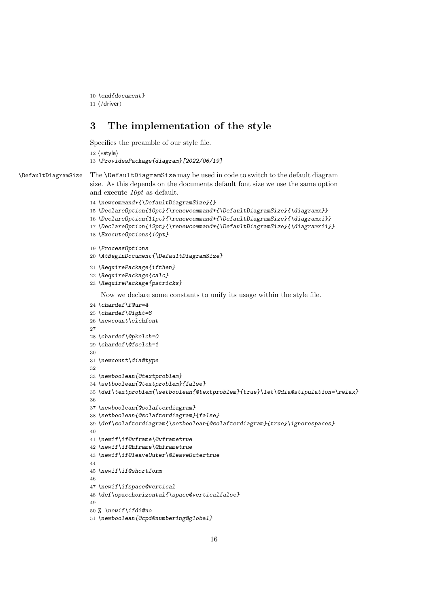*\end{document}*

11  $\langle$ /driver $\rangle$ 

# 3 The implementation of the style

Specifies the preamble of our style file.

12  $\langle *style \rangle$ 

*\ProvidesPackage{diagram}[2022/06/19]*

\DefaultDiagramSize The \DefaultDiagramSize may be used in code to switch to the default diagram size. As this depends on the documents default font size we use the same option and execute  $10pt$  as default.

```
14 \newcommand*{\DefaultDiagramSize}{}
15 \DeclareOption{10pt}{\renewcommand*{\DefaultDiagramSize}{\diagramx}}
16 \DeclareOption{11pt}{\renewcommand*{\DefaultDiagramSize}{\diagramxi}}
17 \DeclareOption{12pt}{\renewcommand*{\DefaultDiagramSize}{\diagramxii}}
18 \ExecuteOptions{10pt}
19 \ProcessOptions
20 \AtBeginDocument{\DefaultDiagramSize}
21 \RequirePackage{ifthen}
22 \RequirePackage{calc}
23 \RequirePackage{pstricks}
   Now we declare some constants to unify its usage within the style file.
24 \chardef\f@ur=4
25 \chardef\@ight=8
26 \newcount\elchfont
27
28 \chardef\@pkelch=0
29 \chardef\@fselch=1
30
31 \newcount\dia@type
32
33 \newboolean{@textproblem}
34 \setboolean{@textproblem}{false}
35 \def\textproblem{\setboolean{@textproblem}{true}\let\@dia@stipulation=\relax}
36
37 \newboolean{@solafterdiagram}
38 \setboolean{@solafterdiagram}{false}
39 \def\solafterdiagram{\setboolean{@solafterdiagram}{true}\ignorespaces}
40
41 \newif\if@vframe\@vframetrue
42 \newif\if@hframe\@hframetrue
43 \newif\if@leaveOuter\@leaveOutertrue
44
45 \newif\if@shortform
46
47 \newif\ifspace@vertical
48 \def\spacehorizontal{\space@verticalfalse}
49
50 % \newif\ifdi@no
51 \newboolean{@cpd@numbering@global}
```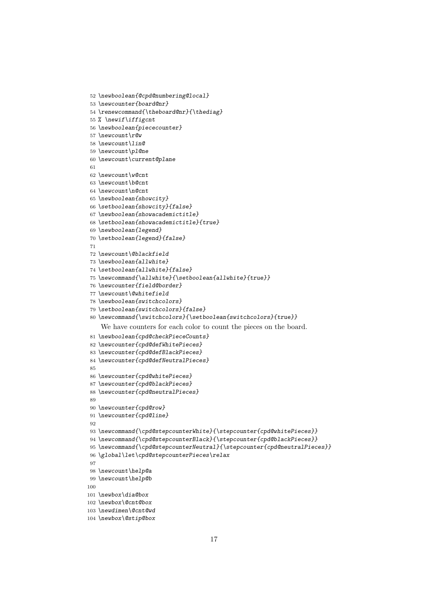```
61
 62 \newcount\w@cnt
 63 \newcount\b@cnt
 64 \newcount\n@cnt
 65 \newboolean{showcity}
 66 \setboolean{showcity}{false}
 67 \newboolean{showacademictitle}
 68 \setboolean{showacademictitle}{true}
 69 \newboolean{legend}
 70 \setboolean{legend}{false}
 71
 72 \newcount\@blackfield
73 \newboolean{allwhite}
 74 \setboolean{allwhite}{false}
 75 \newcommand{\allwhite}{\setboolean{allwhite}{true}}
 76 \newcounter{field@border}
 77 \newcount\@whitefield
 78 \newboolean{switchcolors}
 79 \setboolean{switchcolors}{false}
 80 \newcommand{\switchcolors}{\setboolean{switchcolors}{true}}
    We have counters for each color to count the pieces on the board.
 81 \newboolean{cpd@checkPieceCounts}
 82 \newcounter{cpd@defWhitePieces}
 83 \newcounter{cpd@defBlackPieces}
 84 \newcounter{cpd@defNeutralPieces}
 85
 86 \newcounter{cpd@whitePieces}
 87 \newcounter{cpd@blackPieces}
 88 \newcounter{cpd@neutralPieces}
 89
 90 \newcounter{cpd@row}
91 \newcounter{cpd@line}
92
 93 \newcommand{\cpd@stepcounterWhite}{\stepcounter{cpd@whitePieces}}
 94 \newcommand{\cpd@stepcounterBlack}{\stepcounter{cpd@blackPieces}}
 95 \newcommand{\cpd@stepcounterNeutral}{\stepcounter{cpd@neutralPieces}}
 96 \global\let\cpd@stepcounterPieces\relax
97
98 \newcount\help@a
99 \newcount\help@b
100
101 \newbox\dia@box
102 \newbox\@cnt@box
103 \newdimen\@cnt@wd
104 \newbox\@stip@box
```
*\newboolean{@cpd@numbering@local}*

*\renewcommand{\theboard@nr}{\thediag}*

*\newcounter{board@nr}*

*\newboolean{piececounter}*

*\newcount\current@plane*

*% \newif\iffigcnt*

 *\newcount\r@w \newcount\lin@ \newcount\pl@ne*

```
17
```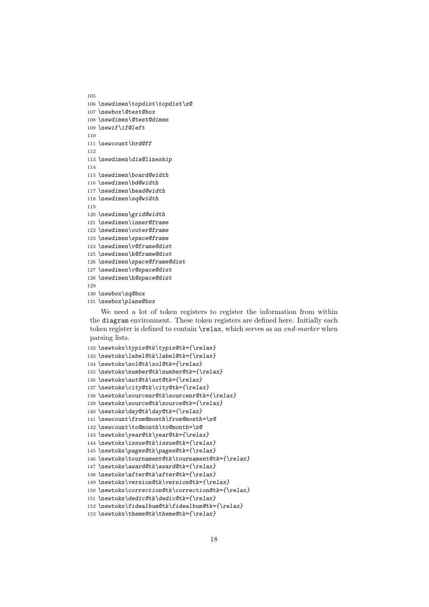```
105
106 \newdimen\topdist\topdist\z@
107 \newbox\@test@box
108 \newdimen\@test@dimen
109 \newif\if@left
110
111 \newcount\brd@ff
112
113 \newdimen\dia@lineskip
114
115 \newdimen\board@width
116 \newdimen\bd@width
117 \newdimen\head@width
118 \newdimen\sq@width
119
120 \newdimen\grid@width
121 \newdimen\inner@frame
122 \newdimen\outer@frame
123 \newdimen\space@frame
124 \newdimen\v@frame@dist
125 \newdimen\h@frame@dist
126 \newdimen\space@frame@dist
127 \newdimen\v@space@dist
128 \newdimen\h@space@dist
129
130 \newbox\sq@box
```
*\newbox\plane@box*

We need a lot of token registers to register the information from within the diagram environment. These token registers are defined here. Initially each token register is defined to contain \relax, which serves as an end-marker when parsing lists.

```
132 \newtoks\typis@tk\typis@tk={\relax}
133 \newtoks\label@tk\label@tk={\relax}
134 \newtoks\sol@tk\sol@tk={\relax}
135 \newtoks\number@tk\number@tk={\relax}
136 \newtoks\aut@tk\aut@tk={\relax}
137 \newtoks\city@tk\city@tk={\relax}
138 \newtoks\sourcenr@tk\sourcenr@tk={\relax}
139 \newtoks\source@tk\source@tk={\relax}
140 \newtoks\day@tk\day@tk={\relax}
141 \newcount\from@month\from@month=\z@
142 \newcount\to@month\to@month=\z@
143 \newtoks\year@tk\year@tk={\relax}
144 \newtoks\issue@tk\issue@tk={\relax}
145 \newtoks\pages@tk\pages@tk={\relax}
146 \newtoks\tournament@tk\tournament@tk={\relax}
147 \newtoks\award@tk\award@tk={\relax}
148 \newtoks\after@tk\after@tk={\relax}
149 \newtoks\version@tk\version@tk={\relax}
150 \newtoks\correction@tk\correction@tk={\relax}
151 \newtoks\dedic@tk\dedic@tk={\relax}
152 \newtoks\fidealbum@tk\fidealbum@tk={\relax}
153 \newtoks\theme@tk\theme@tk={\relax}
```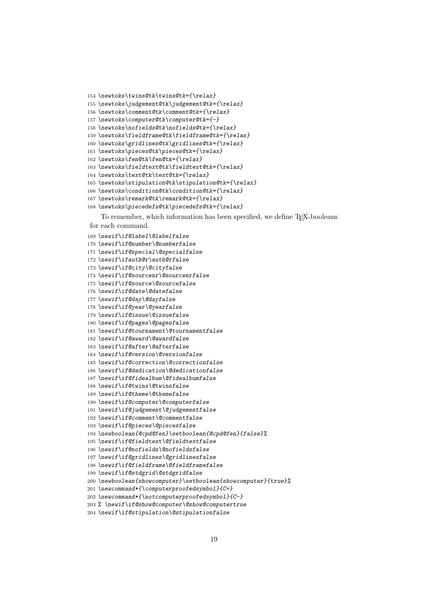```
154 \newtoks\twins@tk\twins@tk={\relax}
```

```
155 \newtoks\judgement@tk\judgement@tk={\relax}
```

```
156 \newtoks\comment@tk\comment@tk={\relax}
```
*\newtoks\computer@tk\computer@tk={-}*

```
158 \newtoks\nofields@tk\nofields@tk={\relax}
```
*\newtoks\fieldframe@tk\fieldframe@tk={\relax}*

*\newtoks\gridlines@tk\gridlines@tk={\relax}*

- *\newtoks\pieces@tk\pieces@tk={\relax}*
- *\newtoks\fen@tk\fen@tk={\relax}*
- *\newtoks\fieldtext@tk\fieldtext@tk={\relax}*

```
164 \newtoks\text@tk\text@tk={\relax}
```

```
165 \newtoks\stipulation@tk\stipulation@tk={\relax}
```
- *\newtoks\condition@tk\condition@tk={\relax}*
- *\newtoks\remark@tk\remark@tk={\relax}*
- *\newtoks\piecedefs@tk\piecedefs@tk={\relax}*

To remember, which information has been specified, we define T<sub>E</sub>X-booleans for each command.

 *\newif\if@label\@labelfalse \newif\if@number\@numberfalse \newif\if@special\@specialfalse \newif\ifauth@r\auth@rfalse \newif\if@city\@cityfalse \newif\if@sourcenr\@sourcenrfalse \newif\if@source\@sourcefalse \newif\if@date\@datefalse \newif\if@day\@dayfalse \newif\if@year\@yearfalse \newif\if@issue\@issuefalse \newif\if@pages\@pagesfalse \newif\if@tournament\@tournamentfalse \newif\if@award\@awardfalse \newif\if@after\@afterfalse \newif\if@version\@versionfalse \newif\if@correction\@correctionfalse \newif\if@dedication\@dedicationfalse \newif\if@fidealbum\@fidealbumfalse \newif\if@twins\@twinsfalse \newif\if@theme\@themefalse \newif\if@computer\@computerfalse \newif\if@judgement\@judgementfalse \newif\if@comment\@commentfalse \newif\if@pieces\@piecesfalse \newboolean{@cpd@fen}\setboolean{@cpd@fen}{false}% \newif\if@fieldtext\@fieldtextfalse \newif\if@nofields\@nofieldsfalse \newif\if@gridlines\@gridlinesfalse \newif\if@fieldframe\@fieldframefalse \newif\if@stdgrid\@stdgridfalse \newboolean{showcomputer}\setboolean{showcomputer}{true}% \newcommand\*{\computerproofedsymbol}{C+} \newcommand\*{\notcomputerproofedsymbol}{C-} % \newif\if@show@computer\@show@computertrue*

```
204 \newif\if@stipulation\@stipulationfalse
```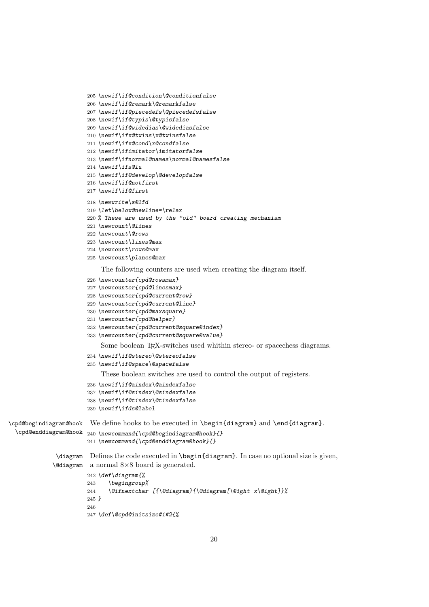```
205 \newif\if@condition\@conditionfalse
```

```
206 \newif\if@remark\@remarkfalse
```

```
207 \newif\if@piecedefs\@piecedefsfalse
```
- *\newif\if@typis\@typisfalse*
- *\newif\if@widedias\@widediasfalse*
- *\newif\ifx@twins\x@twinsfalse*
- *\newif\ifx@cond\x@condfalse*
- *\newif\ifimitator\imitatorfalse*
- *\newif\ifnormal@names\normal@namesfalse*
- *\newif\ifs@lu*
- *\newif\if@develop\@developfalse*
- *\newif\if@notfirst*
- *\newif\if@first*

```
218 \newwrite\s@lfd
```
- *\let\below@newline=\relax*
- *% These are used by the "old" board creating mechanism*
- *\newcount\@lines*
- *\newcount\@rows*
- *\newcount\lines@max*
- *\newcount\rows@max*
- *\newcount\planes@max*

The following counters are used when creating the diagram itself.

```
226 \newcounter{cpd@rowsmax}
```
- *\newcounter{cpd@linesmax}*
- *\newcounter{cpd@current@row}*
- *\newcounter{cpd@current@line}*
- *\newcounter{cpd@maxsquare}*
- *\newcounter{cpd@helper}*
- *\newcounter{cpd@current@square@index}*
- *\newcounter{cpd@current@square@value}*

Some boolean T<sub>E</sub>X-switches used whithin stereo- or spacechess diagrams.

```
234 \newif\if@stereo\@stereofalse
```

```
235 \newif\if@space\@spacefalse
```
These boolean switches are used to control the output of registers.

```
236 \newif\if@aindex\@aindexfalse
```
- *\newif\if@sindex\@sindexfalse*
- *\newif\if@tindex\@tindexfalse*

```
239 \newif\ifds@label
```
\cpd@begindiagram@hook We define hooks to be executed in \begin{diagram} and \end{diagram}.

```
\cpd@enddiagram@hook
240 \newcommand{\cpd@begindiagram@hook}{}
                     241 \newcommand{\cpd@enddiagram@hook}{}
```

```
\diagram
Defines the code executed in \begin{diagram}. In case no optional size is given,
\@diagram
a normal 8×8 board is generated.
         242 \def\diagram{%
         243 \begingroup%
         244 \@ifnextchar [{\@diagram}{\@diagram[\@ight x\@ight]}%
```
*}*

```
247 \def\@cpd@initsize#1#2{%
```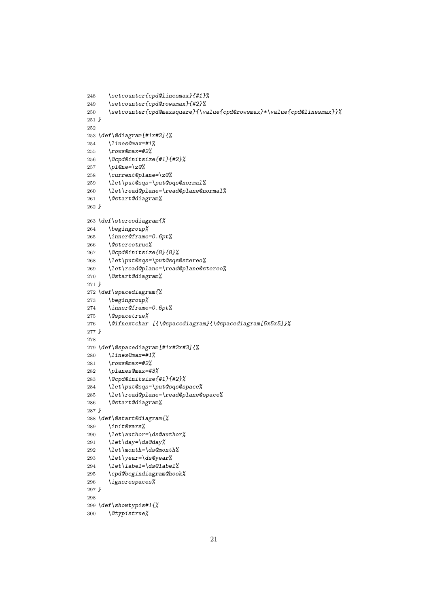```
248 \setcounter{cpd@linesmax}{#1}%
249 \setcounter{cpd@rowsmax}{#2}%
250 \setcounter{cpd@maxsquare}{\value{cpd@rowsmax}*\value{cpd@linesmax}}%
251 }
252
253 \def\@diagram[#1x#2]{%
254 \lines@max=#1%
255 \rows@max=#2%
256 \@cpd@initsize{#1}{#2}%
257 \pl@ne=\z@%
258 \current@plane=\z@%
259 \let\put@sqs=\put@sqs@normal%
260 \let\read@plane=\read@plane@normal%
261 \@start@diagram%
262 }
263 \def\stereodiagram{%
264 \begingroup%
265 \inner@frame=0.6pt%
266 \@stereotrue%
267 \@cpd@initsize{8}{8}%
268 \let\put@sqs=\put@sqs@stereo%
269 \let\read@plane=\read@plane@stereo%
270 \@start@diagram%
271 }
272 \def\spacediagram{%
273 \begingroup%
274 \inner@frame=0.6pt%
275 \@spacetrue%
276 \@ifnextchar [{\@spacediagram}{\@spacediagram[5x5x5]}%
277 }
278
279 \def\@spacediagram[#1x#2x#3]{%
280 \lines@max=#1%
281 \rows@max=#2%
282 \planes@max=#3%
283 \@cpd@initsize{#1}{#2}%
284 \let\put@sqs=\put@sqs@space%
285 \let\read@plane=\read@plane@space%
286 \@start@diagram%
287 }
288 \def\@start@diagram{%
289 \init@vars%
290 \let\author=\ds@author%
291 \let\day=\ds@day%
292 \let\month=\ds@month%
293 \let\year=\ds@year%
294 \let\label=\ds@label%
295 \cpd@begindiagram@hook%
296 \ignorespaces%
297 }
298
299 \def\showtypis#1{%
300 \@typistrue%
```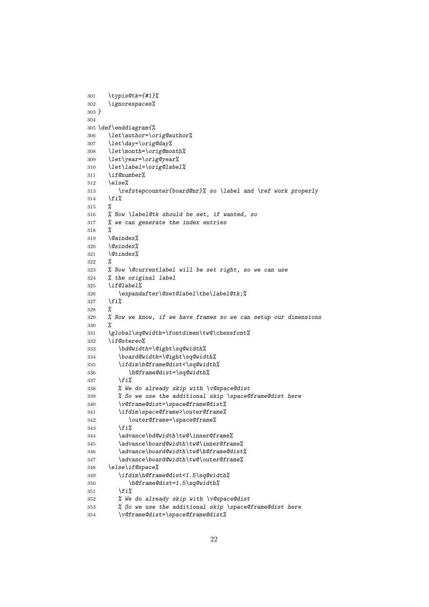```
301 \typis@tk={#1}%
302 \ignorespaces%
303 }
304
305 \def\enddiagram{%
306 \let\author=\orig@author%
307 \let\day=\orig@day%
308 \let\month=\orig@month%
309 \let\year=\orig@year%
310 \let\label=\orig@label%
311 \if@number%
312 \else%
313 \refstepcounter{board@nr}% so \label and \ref work properly
314 \fi%
315 %
316 % Now \label@tk should be set, if wanted, so
317 % we can generate the index entries
318 %
319 \@aindex%
320 \@sindex%
321 \@tindex%
322 %
323 % Now \@currentlabel will be set right, so we can use
324 % the original label
325 \if@label%
326 \expandafter\@set@label\the\label@tk;%
327 \fi%
328 %
329 % Now we know, if we have frames so we can setup our dimensions
330 %
331 \global\sq@width=\fontdimen\tw@\chessfont%
332 \if@stereo%
333 \bd@width=\@ight\sq@width%
334 \board@width=\@ight\sq@width%
335 \ifdim\h@frame@dist<\sq@width%
336 \h@frame@dist=\sq@width%
337 \fi%
338 % We do already skip with \v@space@dist
339 % So we use the additional skip \space@frame@dist here
340 \v@frame@dist=\space@frame@dist%
341 \ifdim\space@frame>\outer@frame%
342 \outer@frame=\space@frame%
343 \fi%
344 \advance\bd@width\tw@\inner@frame%
345 \advance\board@width\tw@\inner@frame%
346 \advance\board@width\tw@\h@frame@dist%
347 \advance\board@width\tw@\outer@frame%
348 \else\if@space%
349 \ifdim\h@frame@dist<1.5\sq@width%
350 \h@frame@dist=1.5\sq@width%
351 \fi%
352 % We do already skip with \v@space@dist
353 % So we use the additional skip \space@frame@dist here
354 \v@frame@dist=\space@frame@dist%
```

```
22
```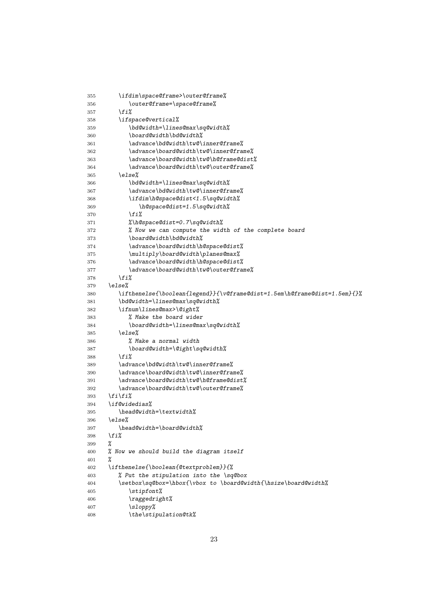```
355 \ifdim\space@frame>\outer@frame%
356 \outer@frame=\space@frame%
357 \fi%
358 \ifspace@vertical%
359 \bd@width=\lines@max\sq@width%
360 \board@width\bd@width%
361 \advance\bd@width\tw@\inner@frame%
362 \advance\board@width\tw@\inner@frame%
363 \advance\board@width\tw@\h@frame@dist%
364 \advance\board@width\tw@\outer@frame%
365 \else%
366 \bd@width=\lines@max\sq@width%
367 \advance\bd@width\tw@\inner@frame%
368 \ifdim\h@space@dist<1.5\sq@width%
369 \h@space@dist=1.5\sq@width%
370 \fi%
371 %\h@space@dist=0.7\sq@width%
372 % Now we can compute the width of the complete board
373 \board@width\bd@width%
374 \advance\board@width\h@space@dist%
375 \multiply\board@width\planes@max%
376 \advance\board@width\h@space@dist%
377 \advance\board@width\tw@\outer@frame%
378 \fi%
379 \else%
380 \ifthenelse{\boolean{legend}}{\v@frame@dist=1.5em\h@frame@dist=1.5em}{}%
381 \bd@width=\lines@max\sq@width%
382 \ifnum\lines@max>\@ight%
383 % Make the board wider
384 \board@width=\lines@max\sq@width%
385 \else%
386 % Make a normal width
387 \board@width=\@ight\sq@width%
388 \fi%
389 \advance\bd@width\tw@\inner@frame%
390 \advance\board@width\tw@\inner@frame%
391 \advance\board@width\tw@\h@frame@dist%
392 \advance\board@width\tw@\outer@frame%
393 \fi\fi%
394 \if@widedias%
395 \head@width=\textwidth%
396 \else%
397 \head@width=\board@width%
398 \fi%
399 %
400 % Now we should build the diagram itself
401 %
402 \ifthenelse{\boolean{@textproblem}}{%
403 % Put the stipulation into the \sq@box
404 \setbox\sq@box=\hbox{\vbox to \board@width{\hsize\board@width%
405 \stipfont%
406 \raggedright%
407 \sloppy%
408 \the\stipulation@tk%
```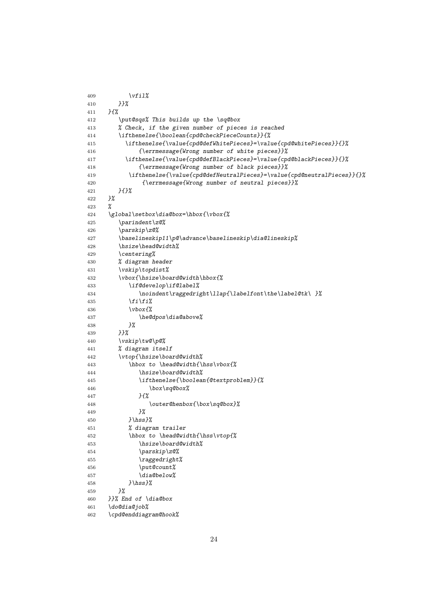| 409        | $\forall$ il                                                                   |
|------------|--------------------------------------------------------------------------------|
| 410        | }}%                                                                            |
| 411        | $H^{\prime\prime}$                                                             |
| 412        | \put@sqs% This builds up the \sq@box                                           |
| 413        | % Check, if the given number of pieces is reached                              |
| 414        | \ifthenelse{\boolean{cpd@checkPieceCounts}}{%                                  |
| 415        | \ifthenelse{\value{cpd@defWhitePieces}=\value{cpd@whitePieces}}{}%             |
| 416        | {\errmessage{Wrong number of white pieces}}%                                   |
| 417        | $\verb \ifthenelse{\\value{c}pd@defBlackPieces}=\\value{c}pd@blackPieces}{\}/$ |
| 418        | {\errmessage{Wrong number of black pieces}}%                                   |
| 419        | $\label{thm:main}$                                                             |
| 420        | {\errmessage{Wrong number of neutral pieces}}%                                 |
| 421        | H                                                                              |
| 422        | }%                                                                             |
| 423        | ℅                                                                              |
| 424        | \global\setbox\dia@box=\hbox{\vbox{%                                           |
| 425        | \parindent\z0%                                                                 |
| 426        | \parskip\z@%                                                                   |
| 427        | \baselineskip11\p@\advance\baselineskip\dia@lineskip%                          |
| 428        | \hsize\head@width%                                                             |
| 429        | \centering%                                                                    |
| 430        | % diagram header                                                               |
| 431        | \vskip\topdist%                                                                |
| 432        | \vbox{\hsize\board@width\hbox{%                                                |
| 433        | \if@develop\if@label%                                                          |
| 434        | \noindent\raggedright\llap{\labelfont\the\label@tk\ }%                         |
| 435        | $\langle f_i \rangle$                                                          |
| 436        | $\forall$ box $\{$                                                             |
| 437        | \he@dpos\dia@above%                                                            |
| 438        | }%                                                                             |
| 439        | HZ                                                                             |
| 440        | \vskip\tw@\p@%                                                                 |
| 441        | % diagram itself                                                               |
| 442        | \vtop{\hsize\board@width%<br>\hbox to \head@width{\hss\vbox{%                  |
| 443        | \hsize\board@width%                                                            |
| 444        | \ifthenelse{\boolean{@textproblem}}{%                                          |
| 445<br>446 | \box\sq@box%                                                                   |
| 447        | }{%                                                                            |
| 448        | \outer@henbox{\box\sq@box}%                                                    |
| 449        | }%                                                                             |
| 450        | $}$ \hss}%                                                                     |
| 451        | % diagram trailer                                                              |
| 452        | \hbox to \head@width{\hss\vtop{%                                               |
| 453        | \hsize\board@width%                                                            |
| 454        | \parskip\z@%                                                                   |
| 455        | \raggedright%                                                                  |
| 456        | \put@count%                                                                    |
| 457        | \dia@below%                                                                    |
| 458        | $}$ \hss}%                                                                     |
| 459        | 3%                                                                             |
| 460        | }}% End of \dia@box                                                            |
| 461        | \do@dia@job%                                                                   |
| 462        | \cpd@enddiagram@hook%                                                          |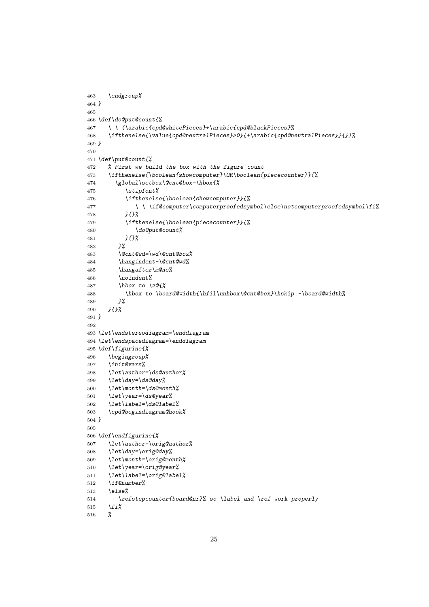```
463 \endgroup%
464 }
465
466 \def\do@put@count{%
467 \ \ (\arabic{cpd@whitePieces}+\arabic{cpd@blackPieces}%
468 \ifthenelse{\value{cpd@neutralPieces}>0}{+\arabic{cpd@neutralPieces}}{})%
469 }
470
471 \def\put@count{%
472 % First we build the box with the figure count
473 \ifthenelse{\boolean{showcomputer}\OR\boolean{piececounter}}{%
474 \global\setbox\@cnt@box=\hbox{%
475 \stipfont%
476 \ifthenelse{\boolean{showcomputer}}{%
477 \ \ \if@computer\computerproofedsymbol\else\notcomputerproofedsymbol\fi%
478 }{}%
479 \ifthenelse{\boolean{piececounter}}{%
480 \do@put@count%
481 }{}%
482 }%
483 \@cnt@wd=\wd\@cnt@box%
484 \hangindent-\@cnt@wd%
485 \hangafter\m@ne%
486 \noindent%
487 \hbox to \z@{%
488 \hbox to \board@width{\hfil\unhbox\@cnt@box}\hskip -\board@width%
489 }%
490 }{}%
491 }
492
493 \let\endstereodiagram=\enddiagram
494 \let\endspacediagram=\enddiagram
495 \def\figurine{%
496 \begingroup%
497 \init@vars%
498 \let\author=\ds@author%
499 \let\day=\ds@day%
500 \let\month=\ds@month%
501 \let\year=\ds@year%
502 \let\label=\ds@label%
503 \cpd@begindiagram@hook%
504 }
505
506 \def\endfigurine{%
507 \let\author=\orig@author%
508 \let\day=\orig@day%
509 \let\month=\orig@month%
510 \let\year=\orig@year%
511 \let\label=\orig@label%
512 \if@number%
513 \else%
514 \refstepcounter{board@nr}% so \label and \ref work properly
515 \fi%
516 %
```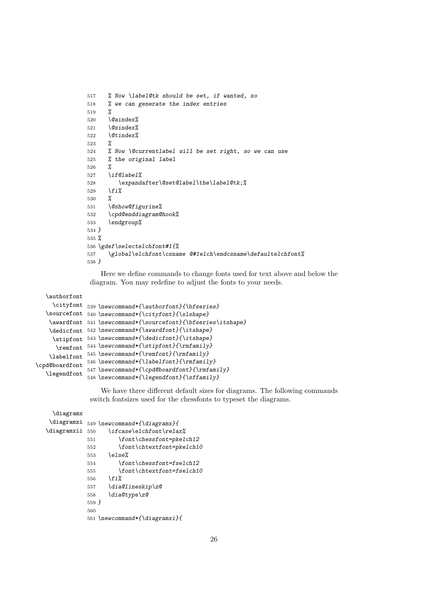```
517 % Now \label@tk should be set, if wanted, so
518 % we can generate the index entries
519 %
520 \@aindex%
521 \@sindex%
522 \@tindex%
523 %
524 % Now \@currentlabel will be set right, so we can use
525 % the original label
526 %
527 \if@label%
528 \expandafter\@set@label\the\label@tk;%
529 \fi%
530 %
531 \@show@figurine%
532 \cpd@enddiagram@hook%
533 \endgroup%
534 }
535 %
536 \gdef\selectelchfont#1{%
537 \global\elchfont\csname @#1elch\endcsname\defaultelchfont%
538 }
```
Here we define commands to change fonts used for text above and below the diagram. You may redefine to adjust the fonts to your needs.

#### \authorfont

```
\cityfont
539 \newcommand*{\authorfont}{\bfseries}
   \sourcefont
540 \newcommand*{\cityfont}{\slshape}
    \awardfont
541 \newcommand*{\sourcefont}{\bfseries\itshape}
    \dedicfont
542 \newcommand*{\awardfont}{\itshape}
     \stipfont
543 \newcommand*{\dedicfont}{\itshape}
      \remfont
544 \newcommand*{\stipfont}{\rmfamily}
    \labelfont
545 \newcommand*{\remfont}{\rmfamily}
\cpd@boardfont
   \legendfont
               546 \newcommand*{\labelfont}{\rmfamily}
               547 \newcommand*{\cpd@boardfont}{\rmfamily}
               548 \newcommand*{\legendfont}{\sffamily}
```
We have three different default sizes for diagrams. The following commands switch fontsizes used for the chessfonts to typeset the diagrams.

```
\diagramx
 \diagramxi
549 \newcommand*{\diagramx}{
\diagramxii 550
                 550 \ifcase\elchfont\relax%
           551 \font\chessfont=pkelch12
           552 \font\chtextfont=pkelch10
           553 \else%
           554 \font\chessfont=fselch12
           555 \font\chtextfont=fselch10
           556 \fi%
           557 \dia@lineskip\z@
           558 \dia@type\z@
           559 }
           560
           561 \newcommand*{\diagramxi}{
```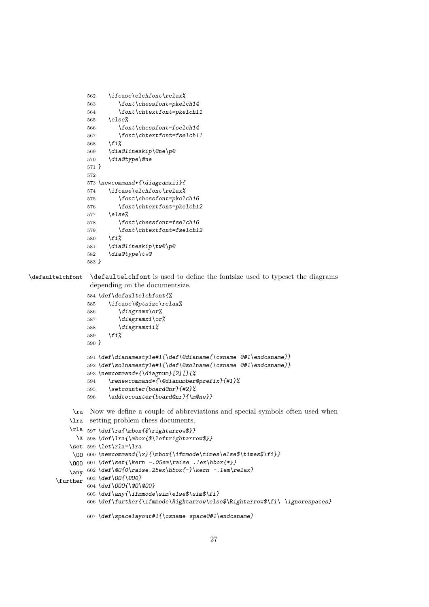```
562 \ifcase\elchfont\relax%
563 \font\chessfont=pkelch14
564 \font\chtextfont=pkelch11
565 \else%
566 \font\chessfont=fselch14
567 \font\chtextfont=fselch11
568 \fi%
569 \dia@lineskip\@ne\p@
570 \dia@type\@ne
571 }
572
573 \newcommand*{\diagramxii}{
574 \ifcase\elchfont\relax%
575 \font\chessfont=pkelch16
576 \font\chtextfont=pkelch12
577 \else%
578 \font\chessfont=fselch16
579 \font\chtextfont=fselch12
580 \fi%
581 \dia@lineskip\tw@\p@
582 \dia@type\tw@
583 }
```
\defaultelchfont \defaultelchfont is used to define the fontsize used to typeset the diagrams depending on the documentsize.

```
584 \def\defaultelchfont{%
585 \ifcase\@ptsize\relax%
586 \diagramx\or%
587 \diagramxi\or%
588 \diagramxii%
589 \fi%
590 }
591 \def\dianamestyle#1{\def\@dianame{\csname @#1\endcsname}}
592 \def\solnamestyle#1{\def\@solname{\csname @#1\endcsname}}
593 \newcommand*{\diagnum}[2][]{%
594 \renewcommand*{\@dianumber@prefix}{#1}%
595 \setcounter{board@nr}{#2}%
596 \addtocounter{board@nr}{\m@ne}}
```
\ra Now we define a couple of abbreviations and special symbols often used when \lra setting problem chess documents.

```
\rla
597 \def\ra{\mbox{$\rightarrow$}}
      \x
598 \def\lra{\mbox{$\leftrightarrow$}}
    \set
599 \let\rla=\lra
     \OO
600 \newcommand{\x}{\mbox{\ifmmode\times\else$\times$\fi}}
    \OOO
601 \def\set{\kern -.05em\raise .1ex\hbox{*}}
    \any
602 \def\@O{0\raise.25ex\hbox{-}\kern -.1em\relax}
\further
603 \def\OO{\@O0}
         604 \def\OOO{\@O\@O0}
         605 \def\any{\ifmmode\sim\else$\sim$\fi}
         606 \def\further{\ifmmode\Rightarrow\else$\Rightarrow$\fi\ \ignorespaces}
         607 \def\spacelayout#1{\csname space@#1\endcsname}
```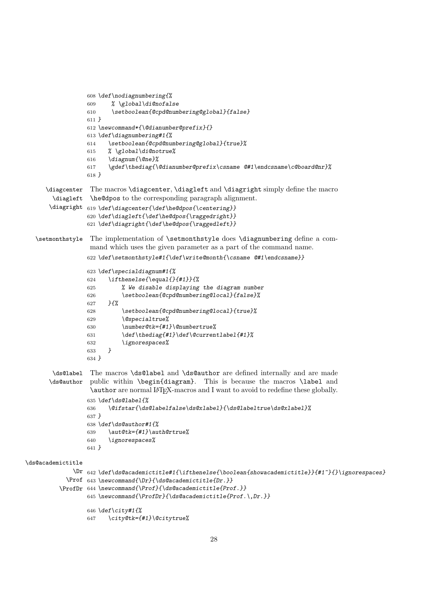```
608 \def\nodiagnumbering{%
                 609 % \global\di@nofalse
                 610 \setboolean{@cpd@numbering@global}{false}
                 611 }
                 612 \newcommand*{\@dianumber@prefix}{}
                 613 \def\diagnumbering#1{%
                 614 \setboolean{@cpd@numbering@global}{true}%
                 615 % \global\di@notrue%
                 616 \diagnum{\@ne}%
                 617 \gdef\thediag{\@dianumber@prefix\csname @#1\endcsname\c@board@nr}%
                 618 }
      \diagcenter
The macros \diagcenter, \diagleft and \diagright simply define the macro
       \diagleft
\he@dpos to the corresponding paragraph alignment.
       \diagright
619 \def\diagcenter{\def\he@dpos{\centering}}
                 620 \def\diagleft{\def\he@dpos{\raggedright}}
                 621 \def\diagright{\def\he@dpos{\raggedleft}}
  \setmonthstyle The implementation of \setmonthstyle does \diagnumbering define a com-
                  mand which uses the given parameter as a part of the command name.
                 622 \def\setmonthstyle#1{\def\write@month{\csname @#1\endcsname}}
                 623 \def\specialdiagnum#1{%
                 624 \ifthenelse{\equal{}{#1}}{%
                 625 % We disable displaying the diagram number
                 626 \setboolean{@cpd@numbering@local}{false}%
                 627 }{%
                 628 \setboolean{@cpd@numbering@local}{true}%
                 629 \@specialtrue%
                 630 \number@tk={#1}\@numbertrue%
                 631 \def\thediag{#1}\def\@currentlabel{#1}%
                 632 \ignorespaces%
                 633 }
                 634 }
       \ds@label The macros \ds@label and \ds@author are defined internally and are made
       \ds@author
public within \begin{diagram}. This is because the macros \label and
                  \author are normal LATEX-macros and I want to avoid to redefine these globally.
                 635 \def\ds@label{%
                 636 \@ifstar{\ds@labelfalse\ds@xlabel}{\ds@labeltrue\ds@xlabel}%
                 637 }
                 638 \def\ds@author#1{%
                 639 \aut@tk={#1}\auth@rtrue%
                 640 \ignorespaces%
                 641 }
\ds@academictitle
             \Dr
642 \def\ds@academictitle#1{\ifthenelse{\boolean{showacademictitle}}{#1~}{}\ignorespaces}
           \Prof
643 \newcommand{\Dr}{\ds@academictitle{Dr.}}
         \ProfDr
644 \newcommand{\Prof}{\ds@academictitle{Prof.}}
                 645 \newcommand{\ProfDr}{\ds@academictitle{Prof.\,Dr.}}
                 646 \def\city#1{%
                 647 \city@tk={#1}\@citytrue%
```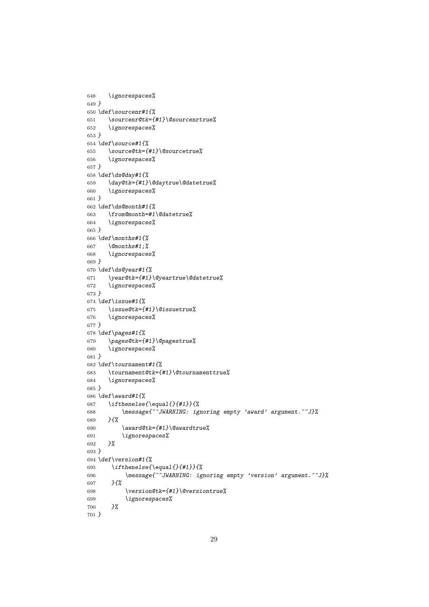```
648 \ignorespaces%
649 }
650 \def\sourcenr#1{%
651 \sourcenr@tk={#1}\@sourcenrtrue%
652 \ignorespaces%
653 }
654 \def\source#1{%
655 \source@tk={#1}\@sourcetrue%
656 \ignorespaces%
657 }
658 \def\ds@day#1{%
659 \day@tk={#1}\@daytrue\@datetrue%
660 \ignorespaces%
661 }
662 \def\ds@month#1{%
663 \from@month=#1\@datetrue%
664 \ignorespaces%
665 }
666 \def\months#1{%
667 \@months#1;%
668 \ignorespaces%
669 }
670 \def\ds@year#1{%
671 \year@tk={#1}\@yeartrue\@datetrue%
672 \ignorespaces%
673 }
674 \def\issue#1{%
675 \issue@tk={#1}\@issuetrue%
676 \ignorespaces%
677 }
678 \def\pages#1{%
679 \pages@tk={#1}\@pagestrue%
680 \ignorespaces%
681 }
682 \def\tournament#1{%
683 \tournament@tk={#1}\@tournamenttrue%
684 \ignorespaces%
685 }
686 \def\award#1{%
687 \ifthenelse{\equal{}{#1}}{%
688 \message{^^JWARNING: ignoring empty 'award' argument.^^J}%
689 }{%
690 \award@tk={#1}\@awardtrue%
691 \ignorespaces%
692 }%
693 }
694 \def\version#1{%
695 \ifthenelse{\equal{}{#1}}{%
696 \message{^^JWARNING: ignoring empty 'version' argument.^^J}%
697 }{%
698 \version@tk={#1}\@versiontrue%
699 \ignorespaces%
700 }%
701 }
```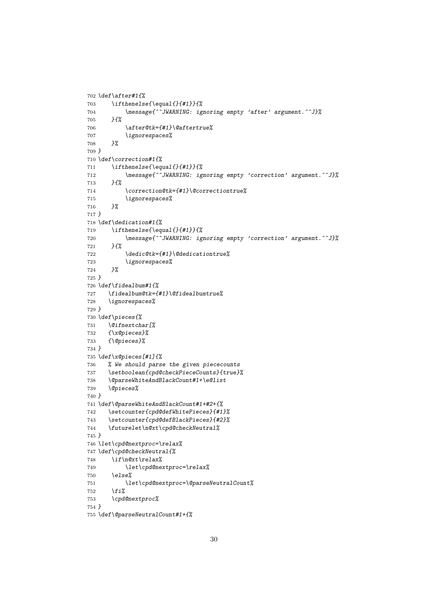```
702 \def\after#1{%
703 \ifthenelse{\equal{}{#1}}{%
704 \message{^^JWARNING: ignoring empty 'after' argument.^^J}%
705 }{%
706 \after@tk={#1}\@aftertrue%
707 \ignorespaces%
708 }%
709 }
710 \def\correction#1{%
711 \ifthenelse{\equal{}{#1}}{%
712 \message{^^JWARNING: ignoring empty 'correction' argument.^^J}%
713 }{%
714 \correction@tk={#1}\@correctiontrue%
715 \ignorespaces%
716 }%
717 }
718 \def\dedication#1{%
719 \ifthenelse{\equal{}{#1}}{%
720 \message{^^JWARNING: ignoring empty 'correction' argument.^^J}%
721 }{%
722 \dedic@tk={#1}\@dedicationtrue%
723 \ignorespaces%
724 }%
725 }
726 \def\fidealbum#1{%
727 \fidealbum@tk={#1}\@fidealbumtrue%
728 \ignorespaces%
729 }
730 \def\pieces{%
731 \@ifnextchar[%
732 {\x@pieces}%
733 {\@pieces}%
734 }
735 \def\x@pieces[#1]{%
736 % We should parse the given piececounts
737 \setboolean{cpd@checkPieceCounts}{true}%
738 \@parseWhiteAndBlackCount#1+\e@list
739 \@pieces%
740 }
741 \def\@parseWhiteAndBlackCount#1+#2+{%
742 \setcounter{cpd@defWhitePieces}{#1}%
743 \setcounter{cpd@defBlackPieces}{#2}%
744 \futurelet\n@xt\cpd@checkNeutral%
745 }
746 \let\cpd@nextproc=\relax%
747 \def\cpd@checkNeutral{%
748 \if\n@xt\relax%
749 \let\cpd@nextproc=\relax%
750 \else%
751 \let\cpd@nextproc=\@parseNeutralCount%
752 \fi%
753 \cpd@nextproc%
754 }
755 \def\@parseNeutralCount#1+{%
```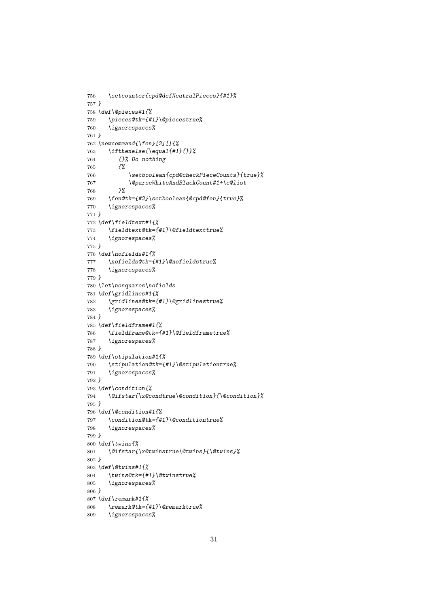```
756 \setcounter{cpd@defNeutralPieces}{#1}%
757 }
758 \def\@pieces#1{%
759 \pieces@tk={#1}\@piecestrue%
760 \ignorespaces%
761 }
762 \newcommand{\fen}[2][]{%
763 \ifthenelse{\equal{#1}{}}%
764 {}% Do nothing
765 {%
766 \setboolean{cpd@checkPieceCounts}{true}%
767 \@parseWhiteAndBlackCount#1+\e@list
768 }%
769 \fen@tk={#2}\setboolean{@cpd@fen}{true}%
770 \ignorespaces%
771 }
772 \def\fieldtext#1{%
773 \fieldtext@tk={#1}\@fieldtexttrue%
774 \ignorespaces%
775 }
776 \def\nofields#1{%
777 \nofields@tk={#1}\@nofieldstrue%
778 \ignorespaces%
779 }
780 \let\nosquares\nofields
781 \def\gridlines#1{%
782 \gridlines@tk={#1}\@gridlinestrue%
783 \ignorespaces%
784 }
785 \def\fieldframe#1{%
786 \fieldframe@tk={#1}\@fieldframetrue%
787 \ignorespaces%
788 }
789 \def\stipulation#1{%
790 \stipulation@tk={#1}\@stipulationtrue%
791 \ignorespaces%
792 }
793 \def\condition{%
794 \@ifstar{\x@condtrue\@condition}{\@condition}%
795 }
796 \def\@condition#1{%
797 \condition@tk={#1}\@conditiontrue%
798 \ignorespaces%
799 }
800 \def\twins{%
801 \@ifstar{\x@twinstrue\@twins}{\@twins}%
802 }
803 \def\@twins#1{%
804 \twins@tk={#1}\@twinstrue%
805 \ignorespaces%
806 }
807 \def\remark#1{%
808 \remark@tk={#1}\@remarktrue%
809 \ignorespaces%
```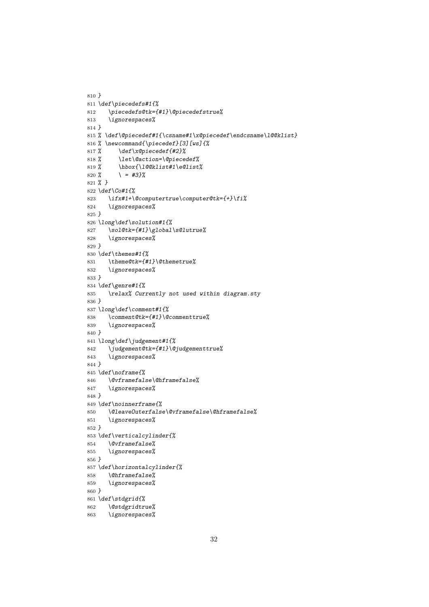```
810 }
811 \def\piecedefs#1{%
812 \piecedefs@tk={#1}\@piecedefstrue%
813 \ignorespaces%
814 }
815 % \def\@piecedef#1{\csname#1\x@piecedef\endcsname\l@@klist}
816 % \newcommand{\piecedef}[3][ws]{%
817 % \def\x@piecedef{#2}%
818 % \let\@action=\@piecedef%
819 % \hbox{\l@@klist#1\e@list%
820 % \ = #3}%
821 % }
822 \def\Co#1{%
823 \ifx#1+\@computertrue\computer@tk={+}\fi%
824 \ignorespaces%
825 }
826 \long\def\solution#1{%
827 \sol@tk={#1}\global\s@lutrue%
828 \ignorespaces%
829 }
830 \def\themes#1{%
831 \theme@tk={#1}\@themetrue%
832 \ignorespaces%
833 }
834 \def\genre#1{%
835 \relax% Currently not used within diagram.sty
836 }
837 \long\def\comment#1{%
838 \comment@tk={#1}\@commenttrue%
839 \ignorespaces%
840 }
841 \long\def\judgement#1{%
842 \judgement@tk={#1}\@judgementtrue%
843 \ignorespaces%
844 }
845 \def\noframe{%
846 \@vframefalse\@hframefalse%
847 \ignorespaces%
848 }
849 \def\noinnerframe{%
850 \@leaveOuterfalse\@vframefalse\@hframefalse%
851 \ignorespaces%
852 }
853 \def\verticalcylinder{%
854 \@vframefalse%
855 \ignorespaces%
856 }
857 \def\horizontalcylinder{%
858 \@hframefalse%
859 \ignorespaces%
860 }
861 \def\stdgrid{%
862 \@stdgridtrue%
863 \ignorespaces%
```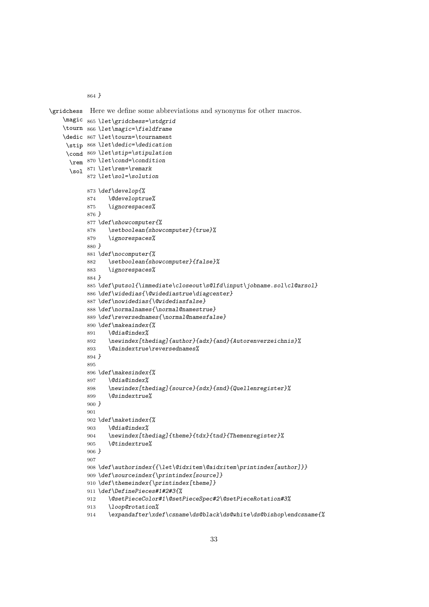*}*

```
\gridchess
Here we define some abbreviations and synonyms for other macros.
    \magic
865 \let\gridchess=\stdgrid
    \tourn
866 \let\magic=\fieldframe
    \dedic
867 \let\tourn=\tournament
     \stip
868 \let\dedic=\dedication
     \cond
869 \let\stip=\stipulation
      \rem
870 \let\cond=\condition
      \sol
871 \let\rem=\remark
          872 \let\sol=\solution
          873 \def\develop{%
          874 \@developtrue%
          875 \ignorespaces%
          876 }
          877 \def\showcomputer{%
          878 \setboolean{showcomputer}{true}%
          879 \ignorespaces%
          880 }
          881 \def\nocomputer{%
          882 \setboolean{showcomputer}{false}%
          883 \ignorespaces%
          884 }
          885 \def\putsol{\immediate\closeout\s@lfd\input\jobname.sol\cl@arsol}
          886 \def\widedias{\@widediastrue\diagcenter}
          887 \def\nowidedias{\@widediasfalse}
           888 \def\normalnames{\normal@namestrue}
          889 \def\reversednames{\normal@namesfalse}
          890 \def\makeaindex{%
          891 \@dia@index%
          892 \newindex[thediag]{author}{adx}{and}{Autorenverzeichnis}%
          893 \@aindextrue\reversednames%
          894 }
          895
          896 \def\makesindex{%
          897 \@dia@index%
           898 \newindex[thediag]{source}{sdx}{snd}{Quellenregister}%
           899 \@sindextrue%
          900 }
          901
          902 \def\maketindex{%
          903 \@dia@index%
          904 \newindex[thediag]{theme}{tdx}{tnd}{Themenregister}%
          905 \@tindextrue%
          906 }
          907
          908 \def\authorindex{{\let\@idxitem\@aidxitem\printindex[author]}}
          909 \def\sourceindex{\printindex[source]}
          910 \def\themeindex{\printindex[theme]}
          911 \def\DefinePieces#1#2#3{%
          912 \@setPieceColor#1\@setPieceSpec#2\@setPieceRotation#3%
          913 \loop@rotation%
          914 \expandafter\xdef\csname\ds@black\ds@white\ds@bishop\endcsname{%
```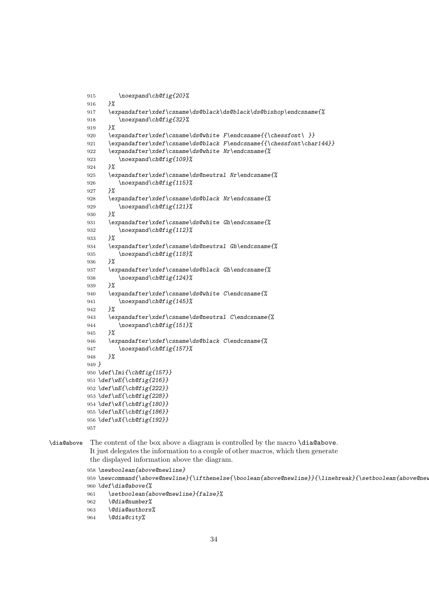```
915 \noexpand\ch@fig{20}%
916 }%
917 \expandafter\xdef\csname\ds@black\ds@black\ds@bishop\endcsname{%
918 \noexpand\ch@fig{32}%
919 }%
920 \expandafter\xdef\csname\ds@white F\endcsname{{\chessfont\ }}
921 \expandafter\xdef\csname\ds@black F\endcsname{{\chessfont\char144}}
922 \expandafter\xdef\csname\ds@white Nr\endcsname{%
923 \noexpand\ch@fig{109}%
924 }%
925 \expandafter\xdef\csname\ds@neutral Nr\endcsname{%
926 \noexpand\ch@fig{115}%
927 }%
928 \expandafter\xdef\csname\ds@black Nr\endcsname{%
929 \noexpand\ch@fig{121}%
930 }%
931 \expandafter\xdef\csname\ds@white Gh\endcsname{%
932 \noexpand\ch@fig{112}%
933 }%
934 \expandafter\xdef\csname\ds@neutral Gh\endcsname{%
935 \noexpand\ch@fig{118}%
936 }%
937 \expandafter\xdef\csname\ds@black Gh\endcsname{%
938 \noexpand\ch@fig{124}%
939 }%
940 \expandafter\xdef\csname\ds@white C\endcsname{%
941 \noexpand\ch@fig{145}%
942 }%
943 \expandafter\xdef\csname\ds@neutral C\endcsname{%
944 \noexpand\ch@fig{151}%
945 }%
946 \expandafter\xdef\csname\ds@black C\endcsname{%
947 \noexpand\ch@fig{157}%
948 }%
949 }
950 \def\Imi{\ch@fig{157}}
951 \def\wE{\ch@fig{216}}
952 \def\nE{\ch@fig{222}}
953 \def\sE{\ch@fig{228}}
954 \def\wX{\ch@fig{180}}
955 \def\nX{\ch@fig{186}}
956 \def\sX{\ch@fig{192}}
957
```
\dia@above The content of the box above a diagram is controlled by the macro \dia@above. It just delegates the information to a couple of other macros, which then generate the displayed information above the diagram.

```
958 \newboolean{above@newline}
959 \newcommand{\above@newline}{\ifthenelse{\boolean{above@newline}}{\linebreak}{\setboolean{above@newlin
960 \def\dia@above{%
961 \setboolean{above@newline}{false}%
962 \@dia@number%
963 \@dia@authors%
```

```
964 \@dia@city%
```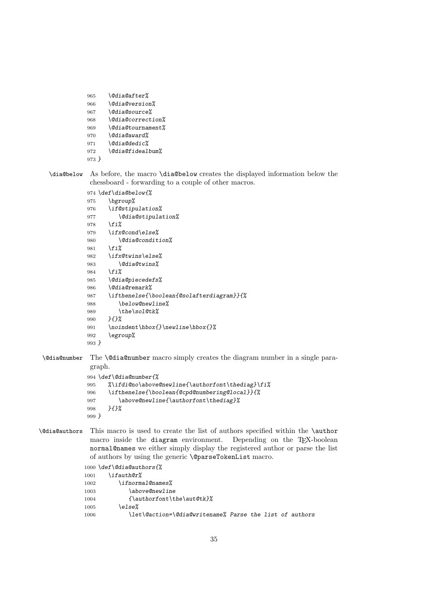```
965 \@dia@after%
966 \@dia@version%
967 \@dia@source%
968 \@dia@correction%
969 \@dia@tournament%
970 \@dia@award%
971 \@dia@dedic%
972 \@dia@fidealbum%
973 }
```
\dia@below As before, the macro \dia@below creates the displayed information below the chessboard - forwarding to a couple of other macros.

```
974 \def\dia@below{%
975 \bgroup%
976 \if@stipulation%
977 \@dia@stipulation%
978 \fi%
979 \ifx@cond\else%
980 \@dia@condition%
981 \fi%
982 \ifx@twins\else%
983 \@dia@twins%
984 \fi%
985 \@dia@piecedefs%
986 \@dia@remark%
987 \ifthenelse{\boolean{@solafterdiagram}}{%
988 \below@newline%
989 \the\sol@tk%
990 }{}%
991 \noindent\hbox{}\newline\hbox{}%
992 \egroup%
993 }
```
\@dia@number The \@dia@number macro simply creates the diagram number in a single paragraph.

```
994 \def\@dia@number{%
995 %\ifdi@no\above@newline{\authorfont\thediag}\fi%
996 \ifthenelse{\boolean{@cpd@numbering@local}}{%
997 \above@newline{\authorfont\thediag}%
998 }{}%
999 }
```
\@dia@authors This macro is used to create the list of authors specified within the \author macro inside the diagram environment. Depending on the TEX-boolean normal@names we either simply display the registered author or parse the list of authors by using the generic \@parseTokenList macro.

```
1000 \def\@dia@authors{%
1001 \ifauth@r%
1002 \ifnormal@names%
1003 \above@newline
1004 {\authorfont\the\aut@tk}%
1005 \else%
1006 \let\@action=\@dia@writename% Parse the list of authors
```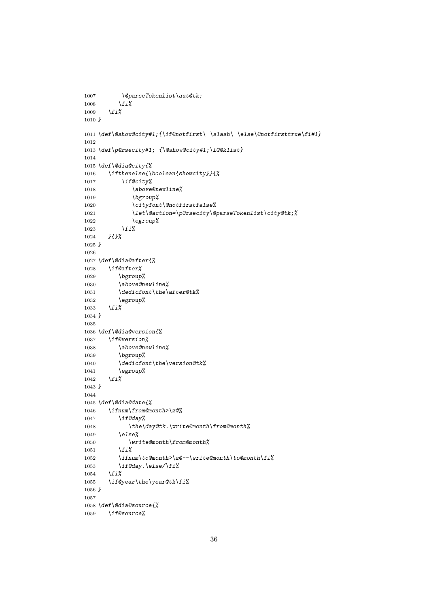```
1007 \@parseTokenlist\aut@tk;
1008 \fi%
1009 \fi%
1010 }
1011 \def\@show@city#1;{\if@notfirst\ \slash\ \else\@notfirsttrue\fi#1}
1012
1013 \def\p@rsecity#1; {\@show@city#1;\l@@klist}
1014
1015 \def\@dia@city{%
1016 \ifthenelse{\boolean{showcity}}{%
1017 \if@city%
1018 \above@newline%
1019 \bgroup%
1020 \cityfont\@notfirstfalse%
1021 \let\@action=\p@rsecity\@parseTokenlist\city@tk;%
1022 \egroup%
1023 \fi%
1024 }{}%
1025 }
1026
1027 \def\@dia@after{%
1028 \if@after%
1029 \bgroup%
1030 \above@newline%
1031 \dedicfont\the\after@tk%
1032 \egroup%
1033 \fi%
1034 }
1035
1036 \def\@dia@version{%
1037 \if@version%
1038 \above@newline%
1039 \bgroup%
1040 \dedicfont\the\version@tk%
1041 \egroup%
1042 \fi%
1043 }
1044
1045 \def\@dia@date{%
1046 \ifnum\from@month>\z@%
1047 \if@day%
1048 \the\day@tk.\write@month\from@month%
1049 \else%
1050 \write@month\from@month%
1051 \fi%
1052 \ifnum\to@month>\z@--\write@month\to@month\fi%
1053 \if@day.\else/\fi%
1054 \fi%
1055 \if@year\the\year@tk\fi%
1056 }
1057
1058 \def\@dia@source{%
1059 \if@source%
```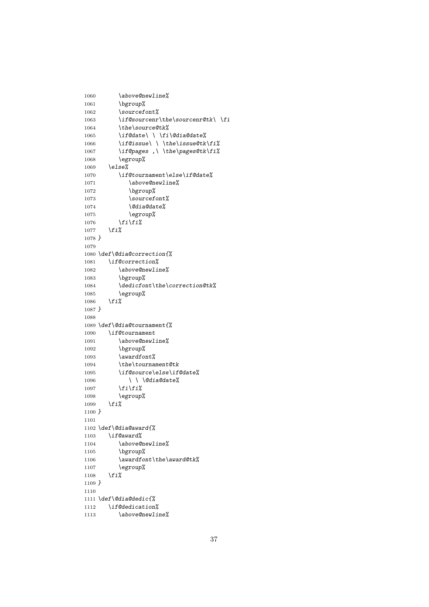```
1060 \above@newline%
1061 \bgroup%
1062 \sourcefont%
1063 \if@sourcenr\the\sourcenr@tk\ \fi
1064 \the\source@tk%
1065 \if@date\ \ \fi\@dia@date%
1066 \if@issue\ \ \the\issue@tk\fi%
1067 \if@pages ,\ \the\pages@tk\fi%
1068 \egroup%
1069 \else%
1070 \if@tournament\else\if@date%
1071 \above@newline%
1072 \bgroup%
1073 \sourcefont%
1074 \@dia@date%
1075 \egroup%
1076 \fi\fi%
1077 \fi%
1078 }
1079
1080 \def\@dia@correction{%
1081 \if@correction%
1082 \above@newline%
1083 \bgroup%
1084 \dedicfont\the\correction@tk%
1085 \egroup%
1086 \fi%
1087 }
1088
1089 \def\@dia@tournament{%
1090 \if@tournament
1091 \above@newline%
1092 \bgroup%
1093 \awardfont%
1094 \the\tournament@tk
1095 \if@source\else\if@date%
1096 \ \ \ @dia@date%
1097 \fi\fi%
1098 \egroup%
1099 \fi%
1100 }
1101
1102 \def\@dia@award{%
1103 \if@award%
1104 \above@newline%
1105 \bgroup%
1106 \awardfont\the\award@tk%
1107 \egroup%
1108 \fi%
1109 }
1110
1111 \def\@dia@dedic{%
1112 \if@dedication%
1113 \above@newline%
```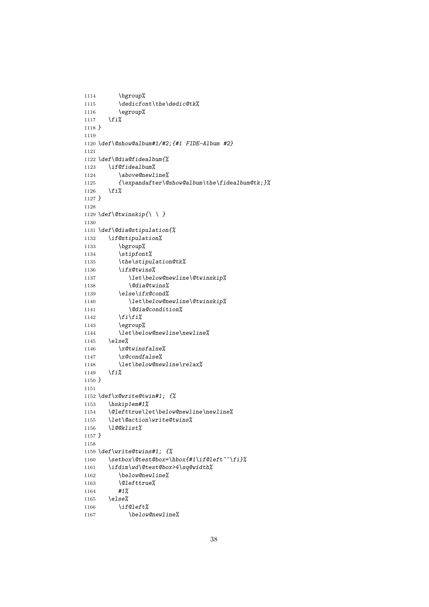```
1114 \bgroup%
1115 \dedicfont\the\dedic@tk%
1116 \egroup%
1117 \fi%
1118 }
1119
1120 \def\@show@album#1/#2;{#1 FIDE-Album #2}
1121
1122 \def\@dia@fidealbum{%
1123 \if@fidealbum%
1124 \above@newline%
1125 {\expandafter\@show@album\the\fidealbum@tk;}%
1126 \fi%
1127 }
1128
1129 \def\@twinskip{\ \ }
1130
1131 \def\@dia@stipulation{%
1132 \if@stipulation%
1133 \bgroup%
1134 \stipfont%
1135 \the\stipulation@tk%
1136 \ifx@twins%
1137 \let\below@newline\@twinskip%
1138 \@dia@twins%
1139 \else\ifx@cond%
1140 \let\below@newline\@twinskip%
1141 \@dia@condition%
1142 \fi\fi%
1143 \egroup%
1144 \let\below@newline\newline%
1145 \else%
1146 \x@twinsfalse%
1147 \x@condfalse%
1148 \let\below@newline\relax%
1149 \fi%
1150 }
1151
1152 \def\x@write@twin#1; {%
1153 \hskip1em#1%
1154 \@lefttrue\let\below@newline\newline%
1155 \let\@action\write@twins%
1156 \l@@klist%
1157 }
1158
1159 \def\write@twins#1; {%
1160 \setbox\@test@box=\hbox{#1\if@left~~\fi}%
1161 \ifdim\wd\@test@box>4\sq@width%
1162 \below@newline%
1163 \@lefttrue%
1164 #1%
1165 \else%
1166 \if@left%
1167 \below@newline%
```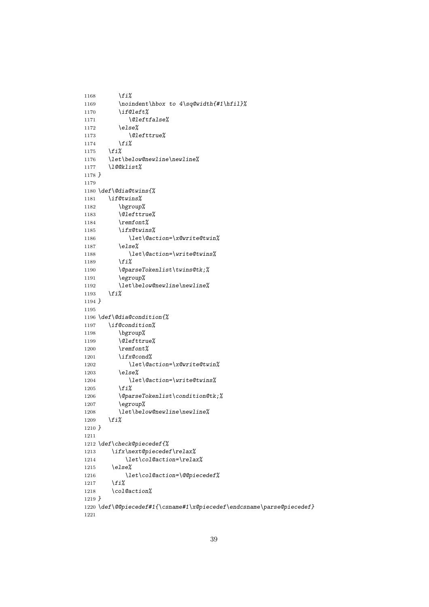```
1168 \fi%
1169 \noindent\hbox to 4\sq@width{#1\hfil}%
1170 \if@left%
1171 \@leftfalse%
1172 \else%
1173 \@lefttrue%
1174 \fi%
1175 \fi%
1176 \let\below@newline\newline%
1177 \l@@klist%
1178 }
1179
1180 \def\@dia@twins{%
1181 \if@twins%
1182 \bgroup%
1183 \@lefttrue%
1184 \remfont%
1185 \ifx@twins%
1186 \let\@action=\x@write@twin%
1187 \else%
1188 \let\@action=\write@twins%
1189 \fi%
1190 \@parseTokenlist\twins@tk;%
1191 \egroup%
1192 \let\below@newline\newline%
1193 \fi%
1194 }
1195
1196 \def\@dia@condition{%
1197 \if@condition%
1198 \bgroup%
1199 \@lefttrue%
1200 \remfont%
1201 \ifx@cond%
1202 \let\@action=\x@write@twin%
1203 \else%
1204 \let\@action=\write@twins%
1205 \fi%
1206 \@parseTokenlist\condition@tk;%
1207 \egroup%
1208 \let\below@newline\newline%
1209 \fi%
1210 }
1211
1212 \def\check@piecedef{%
1213 \ifx\next@piecedef\relax%
1214 \let\col@action=\relax%
1215 \else%
1216 \let\col@action=\@@piecedef%
1217 \fi%
1218 \col@action%
1219 }
1220 \def\@@piecedef#1{\csname#1\x@piecedef\endcsname\parse@piecedef}
1221
```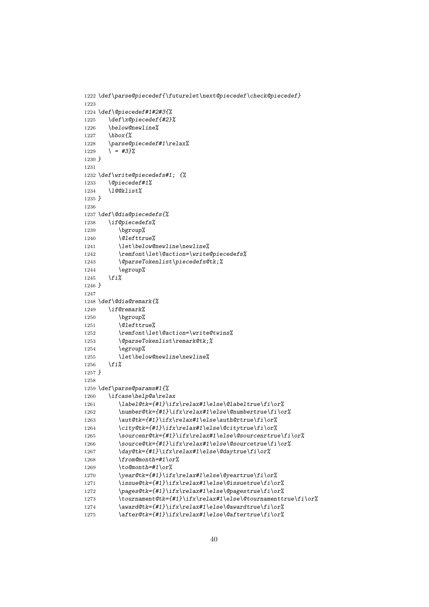```
1222 \def\parse@piecedef{\futurelet\next@piecedef\check@piecedef}
1223
1224 \def\@piecedef#1#2#3{%
1225 \def\x@piecedef{#2}%
1226 \below@newline%
1227 \hbox{%
1228 \parse@piecedef#1\relax%
1229 \ = #3}%
1230 }
1231
1232 \def\write@piecedefs#1; {%
1233 \@piecedef#1%
1234 \l@@klist%
1235 }
1236
1237 \def\@dia@piecedefs{%
1238 \if@piecedefs%
1239 \bgroup%
1240 \@lefttrue%
1241 \let\below@newline\newline%
1242 \remfont\let\@action=\write@piecedefs%
1243 \@parseTokenlist\piecedefs@tk;%
1244 \egroup%
1245 \fi%
1246 }
1247
1248 \def\@dia@remark{%
1249 \if@remark%
1250 \bgroup%
1251 \@lefttrue%
1252 \remfont\let\@action=\write@twins%
1253 \@parseTokenlist\remark@tk;%
1254 \egroup%
1255 \let\below@newline\newline%
1256 \fi%
1257 }
1258
1259 \def\parse@params#1{%
1260 \ifcase\help@a\relax
1261 \label@tk={#1}\ifx\relax#1\else\@labeltrue\fi\or%
1262 \number@tk={#1}\ifx\relax#1\else\@numbertrue\fi\or%
1263 \aut@tk={#1}\ifx\relax#1\else\auth@rtrue\fi\or%
1264 \city@tk={#1}\ifx\relax#1\else\@citytrue\fi\or%
1265 \sourcenr@tk={#1}\ifx\relax#1\else\@sourcenrtrue\fi\or%
1266 \source@tk={#1}\ifx\relax#1\else\@sourcetrue\fi\or%
1267 \day@tk={#1}\ifx\relax#1\else\@daytrue\fi\or%
1268 \from@month=#1\or%
1269 \to@month=#1\or%
1270 \year@tk={#1}\ifx\relax#1\else\@yeartrue\fi\or%
1271 \issue@tk={#1}\ifx\relax#1\else\@issuetrue\fi\or%
1272 \pages@tk={#1}\ifx\relax#1\else\@pagestrue\fi\or%
1273 \tournament@tk={#1}\ifx\relax#1\else\@tournamenttrue\fi\or%
1274 \award@tk={#1}\ifx\relax#1\else\@awardtrue\fi\or%
1275 \after@tk={#1}\ifx\relax#1\else\@aftertrue\fi\or%
```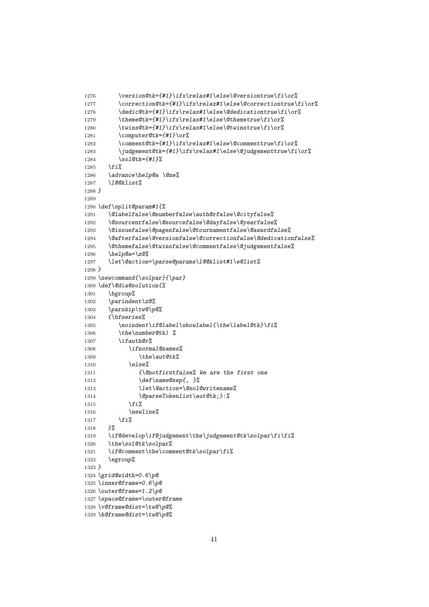```
1276 \version@tk={#1}\ifx\relax#1\else\@versiontrue\fi\or%
1277 \correction@tk={#1}\ifx\relax#1\else\@correctiontrue\fi\or%
1278 \dedic@tk={#1}\ifx\relax#1\else\@dedicationtrue\fi\or%
1279 \theme@tk={#1}\ifx\relax#1\else\@themetrue\fi\or%
1280 \twins@tk={#1}\ifx\relax#1\else\@twinstrue\fi\or%
1281 \computer@tk={#1}\or%
1282 \comment@tk={#1}\ifx\relax#1\else\@commenttrue\fi\or%
1283 \judgement@tk={#1}\ifx\relax#1\else\@judgementtrue\fi\or%
1284 \sol@tk={#1}%
1285 \fi%
1286 \advance\help@a \@ne%
1287 \l@@klist%
1288 }
1289
1290 \def\split@param#1{%
1291 \@labelfalse\@numberfalse\auth@rfalse\@cityfalse%
1292 \@sourcenrfalse\@sourcefalse\@dayfalse\@yearfalse%
1293 \@issuefalse\@pagesfalse\@tournamentfalse\@awardfalse%
1294 \@afterfalse\@versionfalse\@correctionfalse\@dedicationfalse%
1295 \@themefalse\@twinsfalse\@commentfalse\@judgementfalse%
1296 \help@a=\z@%
1297 \let\@action=\parse@params\l@@klist#1\e@list%
1298 }
1299 \newcommand{\solpar}{\par}
1300 \def\@dia@solution{%
1301 \bgroup%
1302 \parindent\z@%
1303 \parskip\tw@\p@%
1304 {\bfseries%
1305 \noindent\if@label\showlabel{\the\label@tk}\fi%
1306 \the\number@tk) %
1307 \ifauth@r%
1308 \ifnormal@names%
1309 \the\aut@tk%
1310 \else%
1311 {\@notfirstfalse% We are the first one
1312 \def\name@sep{, }%
1313 \let\@action=\@sol@writename%
1314 \@parseTokenlist\aut@tk;}:%
1315 \fi%
1316 \newline%
1317 \fi%<br>1318 }%
1318 }%
1319 \if@develop\if@judgement\the\judgement@tk\solpar\fi\fi%
1320 \the\sol@tk\solpar%
1321 \if@comment\the\comment@tk\solpar\fi%
1322 \egroup%
1323 }
1324 \grid@width=0.6\p@
1325 \inner@frame=0.6\p@
1326 \outer@frame=1.2\p@
1327 \space@frame=\outer@frame
1328 \v@frame@dist=\tw@\p@%
```

```
1329 \h@frame@dist=\tw@\p@%
```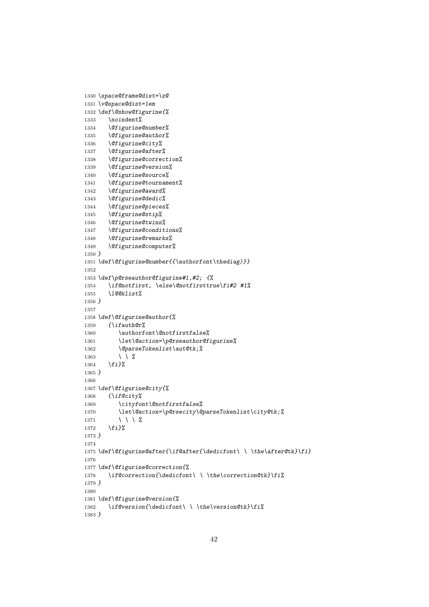```
1330 \space@frame@dist=\z@
1331 \v@space@dist=1em
1332 \def\@show@figurine{%
1333 \noindent%
1334 \@figurine@number%
1335 \@figurine@author%
1336 \@figurine@city%
1337 \@figurine@after%
1338 \@figurine@correction%
1339 \@figurine@version%
1340 \@figurine@source%
1341 \@figurine@tournament%
1342 \@figurine@award%
1343 \@figurine@dedic%
1344 \@figurine@pieces%
1345 \@figurine@stip%
1346 \@figurine@twins%
1347 \@figurine@conditions%
1348 \@figurine@remarks%
1349 \@figurine@computer%
1350 }
1351 \def\@figurine@number{{\authorfont\thediag)}}
1352
1353 \def\p@rseauthor@figurine#1,#2; {%
1354 \if@notfirst, \else\@notfirsttrue\fi#2 #1%
1355 \l@@klist%
1356 }
1357
1358 \def\@figurine@author{%
1359 {\ifauth@r%
1360 \authorfont\@notfirstfalse%
1361 \let\@action=\p@rseauthor@figurine%
1362 \@parseTokenlist\aut@tk;%
1363 \ \ %
1364 \fi}%
1365 }
1366
1367 \def\@figurine@city{%
1368 {\if@city%
1369 \cityfont\@notfirstfalse%
1370 \let\@action=\p@rsecity\@parseTokenlist\city@tk;%
1371 \ \ \ %
1372 \fi}%
1373 }
1374
1375 \def\@figurine@after{\if@after{\dedicfont\ \ \the\after@tk}\fi}
1376
1377 \def\@figurine@correction{%
1378 \if@correction{\dedicfont\ \ \the\correction@tk}\fi%
1379 }
1380
1381 \def\@figurine@version{%
1382 \if@version{\dedicfont\ \ \the\version@tk}\fi%
1383 }
```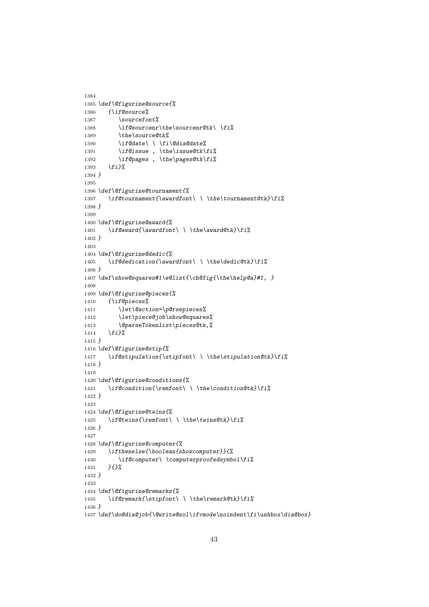```
1384
1385 \def\@figurine@source{%
1386 {\if@source%
1387 \sourcefont%
1388 \if@sourcenr\the\sourcenr@tk\ \fi%
1389 \the\source@tk%
1390 \if@date\ \ \fi\@dia@date%
1391 \if@issue , \the\issue@tk\fi%
1392 \if@pages , \the\pages@tk\fi%
1393 \fi}%
1394 }
1395
1396 \def\@figurine@tournament{%
1397 \if@tournament{\awardfont\ \ \the\tournament@tk}\fi%
1398 }
1399
1400 \def\@figurine@award{%
1401 \if@award{\awardfont\ \ \the\award@tk}\fi%
1402 }
1403
1404 \def\@figurine@dedic{%
1405 \if@dedication{\awardfont\ \ \the\dedic@tk}\fi%
1406 }
1407 \def\show@squares#1\e@list{\ch@fig{\the\help@a}#1, }
1408
1409 \def\@figurine@pieces{%
1410 {\if@pieces%
1411 \let\@action=\p@rsepieces%
1412 \let\piece@job\show@squares%
1413 \@parseTokenlist\pieces@tk,%
1414 \fi}%
1415 }
1416 \def\@figurine@stip{%
1417 \if@stipulation{\stipfont\ \ \the\stipulation@tk}\fi%
1418 }
1419
1420 \def\@figurine@conditions{%
1421 \if@condition{\remfont\ \ \the\condition@tk}\fi%
1422 }
1423
1424 \def\@figurine@twins{%
1425 \if@twins{\remfont\ \ \the\twins@tk}\fi%
1426 }
1427
1428 \def\@figurine@computer{%
1429 \ifthenelse{\boolean{showcomputer}}{%
1430 \if@computer\ \computerproofedsymbol\fi%
1431 }{}%
1432 }
1433
1434 \def\@figurine@remarks{%
1435 \if@remark{\stipfont\ \ \the\remark@tk}\fi%
1436 }
1437 \def\do@dia@job{\@write@sol\ifvmode\noindent\fi\unhbox\dia@box}
```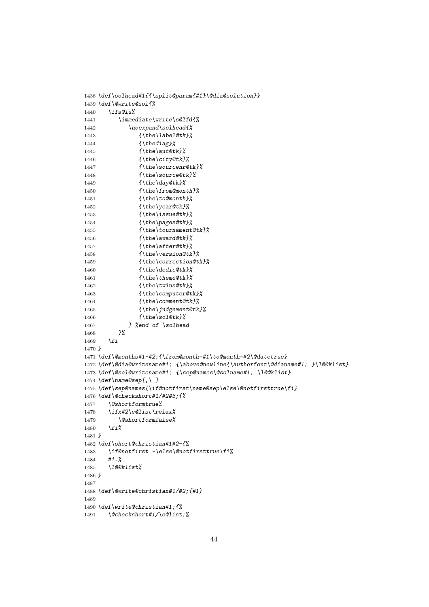```
1438 \def\solhead#1{{\split@param{#1}\@dia@solution}}
1439 \def\@write@sol{%
1440 \ifs@lu%
1441 \immediate\write\s@lfd{%
1442 \noexpand\solhead{%
1443 {\the\label@tk}%
1444 {\thediag}%
1445 {\the\aut@tk}%
1446 {\the\city@tk}%
1447 {\the\sourcenr@tk}%
1448 {\the\source@tk}%
1449 {\the\day@tk}%
1450 {\the\from@month}%
1451 {\the\to@month}%
1452 {\the\year@tk}%
1453 {\the\issue@tk}%
1454 {\the\pages@tk}%
1455 {\the\tournament@tk}%
1456 {\the\award@tk}%
1457 {\the\after@tk}%
1458 {\the\version@tk}%
1459 {\the\correction@tk}%
1460 {\the\dedic@tk}%
1461 {\the\theme@tk}%
1462 {\the\twins@tk}%
1463 {\the\computer@tk}%
1464 {\the\comment@tk}%
1465 {\the\judgement@tk}%
1466 {\the\sol@tk}%
1467 } %end of \solhead
1468 }%
1469 \fi
1470 }
1471 \def\@months#1-#2;{\from@month=#1\to@month=#2\@datetrue}
1472 \def\@dia@writename#1; {\above@newline{\authorfont\@dianame#1; }\l@@klist}
1473 \def\@sol@writename#1; {\sep@names\@solname#1; \l@@klist}
1474 \def\name@sep{,\ }
1475 \def\sep@names{\if@notfirst\name@sep\else\@notfirsttrue\fi}
1476 \def\@checkshort#1/#2#3;{%
1477 \@shortformtrue%
1478 \ifx#2\e@list\relax%
1479 \@shortformfalse%
1480 \fi%
1481 }
1482 \def\short@christian#1#2-{%
1483 \if@notfirst -\else\@notfirsttrue\fi%
1484 #1.%
1485 \l@@klist%
1486 }
1487
1488 \def\@write@christian#1/#2;{#1}
1489
1490 \def\write@christian#1;{%
1491 \@checkshort#1/\e@list;%
```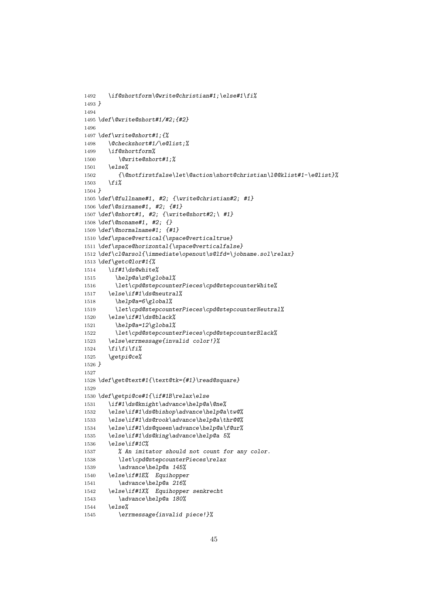```
1492 \if@shortform\@write@christian#1;\else#1\fi%
1493 }
1494
1495 \def\@write@short#1/#2;{#2}
1496
1497 \def\write@short#1;{%
1498 \@checkshort#1/\e@list;%
1499 \if@shortform%
1500 \@write@short#1;%
1501 \else%
1502 {\@notfirstfalse\let\@action\short@christian\l@@klist#1-\e@list}%
1503 \fi%
1504 }
1505 \def\@fullname#1, #2; {\write@christian#2; #1}
1506 \def\@sirname#1, #2; {#1}
1507 \def\@short#1, #2; {\write@short#2;\ #1}
1508 \def\@noname#1, #2; {}
1509 \def\@normalname#1; {#1}
1510 \def\space@vertical{\space@verticaltrue}
1511 \def\space@horizontal{\space@verticalfalse}
1512 \def\cl@arsol{\immediate\openout\s@lfd=\jobname.sol\relax}
1513 \def\getc@lor#1{%
1514 \if#1\ds@white%
1515 \help@a\z@\global%
1516 \let\cpd@stepcounterPieces\cpd@stepcounterWhite%
1517 \else\if#1\ds@neutral%
1518 \help@a=6\global%
1519 \let\cpd@stepcounterPieces\cpd@stepcounterNeutral%
1520 \else\if#1\ds@black%
1521 \help@a=12\global%
1522 \let\cpd@stepcounterPieces\cpd@stepcounterBlack%
1523 \else\errmessage{invalid color!}%
1524 \fi\fi\fi%
1525 \getpi@ce%
1526 }
1527
1528 \def\get@text#1{\text@tk={#1}\read@square}
1529
1530 \def\getpi@ce#1{\if#1B\relax\else
1531 \if#1\ds@knight\advance\help@a\@ne%
1532 \else\if#1\ds@bishop\advance\help@a\tw@%
1533 \else\if#1\ds@rook\advance\help@a\thr@@%
1534 \else\if#1\ds@queen\advance\help@a\f@ur%
1535 \else\if#1\ds@king\advance\help@a 5%
1536 \else\if#1C%
1537 % An imitator should not count for any color.
1538 \let\cpd@stepcounterPieces\relax
1539 \advance\help@a 145%
1540 \else\if#1E% Equihopper
1541 \advance\help@a 216%
1542 \else\if#1X% Equihopper senkrecht
1543 \advance\help@a 180%
1544 \else%
1545 \errmessage{invalid piece!}%
```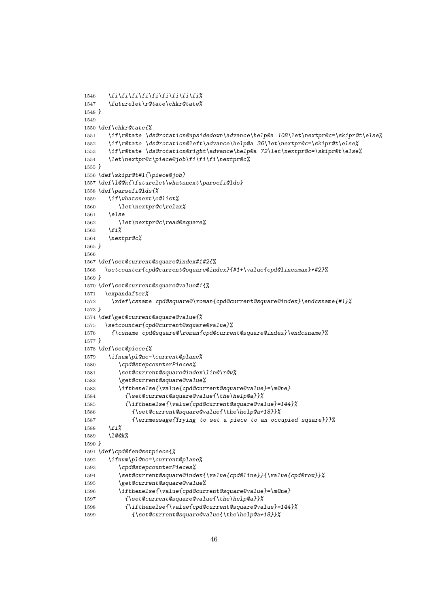```
1546 \overline{f_i\}f_i\}f_i\}f_i\}f_i\}f_i\}1547 \futurelet\r@tate\chkr@tate%
1548 }
1549
1550 \def\chkr@tate{%
1551 \if\r@tate \ds@rotation@upsidedown\advance\help@a 108\let\nextpr@c=\skipr@t\else%
1552 \if\r@tate \ds@rotation@left\advance\help@a 36\let\nextpr@c=\skipr@t\else%
1553 \if\r@tate \ds@rotation@right\advance\help@a 72\let\nextpr@c=\skipr@t\else%
1554 \let\nextpr@c\piece@job\fi\fi\fi\nextpr@c%
1555 }
1556 \def\skipr@t#1{\piece@job}
1557 \def\l@@k{\futurelet\whatsnext\parsefi@lds}
1558 \def\parsefi@lds{%
1559 \if\whatsnext\e@list%
1560 \let\nextpr@c\relax%
1561 \else
1562 \let\nextpr@c\read@square%
1563 \fi%
1564 \nextpr@c%
1565 }
1566
1567 \def\set@current@square@index#1#2{%
1568 \setcounter{cpd@current@square@index}{#1+\value{cpd@linesmax}*#2}%
1569 }
1570 \def\set@current@square@value#1{%
1571 \expandafter%
1572 \xdef\csname cpd@square@\roman{cpd@current@square@index}\endcsname{#1}%
1573 }
1574 \def\get@current@square@value{%
1575 \setcounter{cpd@current@square@value}%
1576 {\csname cpd@square@\roman{cpd@current@square@index}\endcsname}%
1577 }
1578 \def\set@piece{%
1579 \ifnum\pl@ne=\current@plane%
1580 \cpd@stepcounterPieces%
1581 \set@current@square@index\lin@\r@w%
1582 \get@current@square@value%
1583 \ifthenelse{\value{cpd@current@square@value}=\m@ne}
1584 {\set@current@square@value{\the\help@a}}%
1585 {\ifthenelse{\value{cpd@current@square@value}=144}%
1586 {\set@current@square@value{\the\help@a+18}}%
1587 {\errmessage{Trying to set a piece to an occupied square}}}%
1588 \fi%
1589 \l@@k%
1590 }
1591 \def\cpd@fen@setpiece{%
1592 \ifnum\pl@ne=\current@plane%
1593 \cpd@stepcounterPieces%
1594 \set@current@square@index{\value{cpd@line}}{\value{cpd@row}}%
1595 \get@current@square@value%
1596 \ifthenelse{\value{cpd@current@square@value}=\m@ne}
1597 {\set@current@square@value{\the\help@a}}%
1598 {\ifthenelse{\value{cpd@current@square@value}=144}%
1599 {\set@current@square@value{\the\help@a+18}}%
```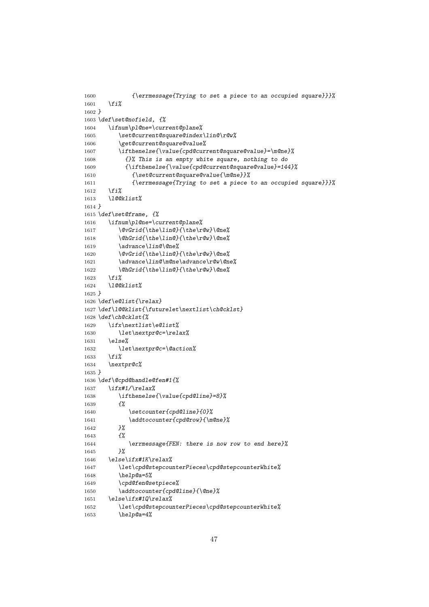```
1600 {\errmessage{Trying to set a piece to an occupied square}}}%
1601 \fi%
1602 }
1603 \def\set@nofield, {%
1604 \ifnum\pl@ne=\current@plane%
1605 \set@current@square@index\lin@\r@w%
1606 \get@current@square@value%
1607 \ifthenelse{\value{cpd@current@square@value}=\m@ne}%
1608 {}% This is an empty white square, nothing to do
1609 {\ifthenelse{\value{cpd@current@square@value}=144}%
1610 {\set@current@square@value{\m@ne}}%
1611 {\errmessage{Trying to set a piece to an occupied square}}}%
1612 \fi%
1613 \l@@klist%
1614 }
1615 \def\set@frame, {%
1616 \ifnum\pl@ne=\current@plane%
1617 \@vGrid{\the\lin@}{\the\r@w}\@ne%
1618 \@hGrid{\the\lin@}{\the\r@w}\@ne%
1619 \advance\lin@\@ne%
1620 \@vGrid{\the\lin@}{\the\r@w}\@ne%
1621 \advance\lin@\m@ne\advance\r@w\@ne%
1622 \@hGrid{\the\lin@}{\the\r@w}\@ne%
1623 \fi%
1624 \l@@klist%
1625 }
1626 \def\e@list{\relax}
1627 \def\l@@klist{\futurelet\nextlist\ch@cklst}
1628 \def\ch@cklst{%
1629 \ifx\nextlist\e@list%
1630 \let\nextpr@c=\relax%
1631 \else%
1632 \let\nextpr@c=\@action%
1633 \fi%
1634 \nextpr@c%
1635 }
1636 \def\@cpd@handle@fen#1{%
1637 \ifx#1/\relax%
1638 \ifthenelse{\value{cpd@line}=8}%
1639 {%
1640 \setcounter{cpd@line}{0}%
1641 \addtocounter{cpd@row}{\m@ne}%
1642 }%
1643 {%
1644 \errmessage{FEN: there is now row to end here}%
1645 }%
1646 \else\ifx#1K\relax%
1647 \let\cpd@stepcounterPieces\cpd@stepcounterWhite%
1648 \help@a=5%
1649 \cpd@fen@setpiece%
1650 \addtocounter{cpd@line}{\@ne}%
1651 \else\ifx#1Q\relax%
1652 \let\cpd@stepcounterPieces\cpd@stepcounterWhite%
1653 \help@a=4%
```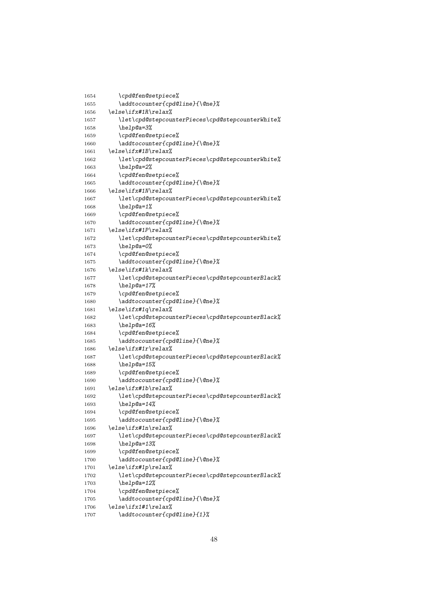| 1654 | \cpd@fen@setpiece%                                                                                                                                                                                                                                                                                                                                                                          |
|------|---------------------------------------------------------------------------------------------------------------------------------------------------------------------------------------------------------------------------------------------------------------------------------------------------------------------------------------------------------------------------------------------|
| 1655 | \addtocounter{cpd@line}{\@ne}%                                                                                                                                                                                                                                                                                                                                                              |
| 1656 | \else\ifx#1R\relax%                                                                                                                                                                                                                                                                                                                                                                         |
| 1657 | $\left\{ \right\}$ (red@stepcounterPieces)cpd@stepcounterWhite $\%$                                                                                                                                                                                                                                                                                                                         |
| 1658 | \help@a=3%                                                                                                                                                                                                                                                                                                                                                                                  |
| 1659 | \cpd@fen@setpiece%                                                                                                                                                                                                                                                                                                                                                                          |
|      | \addtocounter{cpd@line}{\@ne}%                                                                                                                                                                                                                                                                                                                                                              |
| 1660 | \else\ifx#1B\relax%                                                                                                                                                                                                                                                                                                                                                                         |
| 1661 | \let\cpd@stepcounterPieces\cpd@stepcounterWhite%                                                                                                                                                                                                                                                                                                                                            |
| 1662 | \help@a=2%                                                                                                                                                                                                                                                                                                                                                                                  |
| 1663 |                                                                                                                                                                                                                                                                                                                                                                                             |
| 1664 | \cpd@fen@setpiece%                                                                                                                                                                                                                                                                                                                                                                          |
| 1665 | \addtocounter{cpd@line}{\@ne}%<br>\else\ifx#1N\relax%                                                                                                                                                                                                                                                                                                                                       |
| 1666 |                                                                                                                                                                                                                                                                                                                                                                                             |
| 1667 | $\left\{ \right\}$ $\left\{ \right\}$ $\left\{ \right\}$ $\left\{ \right\}$ $\left\{ \right\}$ $\left\{ \right\}$ $\left\{ \right\}$ $\left\{ \right\}$ $\left\{ \right\}$ $\left\{ \right\}$ $\left\{ \right\}$ $\left\{ \right\}$ $\left\{ \right\}$ $\left\{ \right\}$ $\left\{ \right\}$ $\left\{ \right\}$ $\left\{ \right\}$ $\left\{ \right\}$ $\left\{ \right\}$ $\left\{ \right\}$ |
| 1668 | \help@a=1%                                                                                                                                                                                                                                                                                                                                                                                  |
| 1669 | \cpd@fen@setpiece%                                                                                                                                                                                                                                                                                                                                                                          |
| 1670 | \addtocounter{cpd@line}{\@ne}%                                                                                                                                                                                                                                                                                                                                                              |
| 1671 | \else\ifx#1P\relax%                                                                                                                                                                                                                                                                                                                                                                         |
| 1672 | \let\cpd@stepcounterPieces\cpd@stepcounterWhite%                                                                                                                                                                                                                                                                                                                                            |
| 1673 | \help@a=0%                                                                                                                                                                                                                                                                                                                                                                                  |
| 1674 | \cpd@fen@setpiece%                                                                                                                                                                                                                                                                                                                                                                          |
| 1675 | \addtocounter{cpd@line}{\@ne}%                                                                                                                                                                                                                                                                                                                                                              |
| 1676 | \else\ifx#1k\relax%                                                                                                                                                                                                                                                                                                                                                                         |
| 1677 | \let\cpd@stepcounterPieces\cpd@stepcounterBlack%                                                                                                                                                                                                                                                                                                                                            |
| 1678 | \help@a=17%                                                                                                                                                                                                                                                                                                                                                                                 |
| 1679 | \cpd@fen@setpiece%                                                                                                                                                                                                                                                                                                                                                                          |
| 1680 | \addtocounter{cpd@line}{\@ne}%                                                                                                                                                                                                                                                                                                                                                              |
| 1681 | \else\ifx#1q\relax%                                                                                                                                                                                                                                                                                                                                                                         |
| 1682 | \let\cpd@stepcounterPieces\cpd@stepcounterBlack%                                                                                                                                                                                                                                                                                                                                            |
| 1683 | \help@a=16%                                                                                                                                                                                                                                                                                                                                                                                 |
| 1684 | \cpd@fen@setpiece%                                                                                                                                                                                                                                                                                                                                                                          |
| 1685 | \addtocounter{cpd@line}{\@ne}%                                                                                                                                                                                                                                                                                                                                                              |
| 1686 | \else\ifx#1r\relax%                                                                                                                                                                                                                                                                                                                                                                         |
| 1687 | \let\cpd@stepcounterPieces\cpd@stepcounterBlack%                                                                                                                                                                                                                                                                                                                                            |
| 1688 | \help@a=15%                                                                                                                                                                                                                                                                                                                                                                                 |
| 1689 | \cpd@fen@setpiece%                                                                                                                                                                                                                                                                                                                                                                          |
| 1690 | \addtocounter{cpd@line}{\@ne}%                                                                                                                                                                                                                                                                                                                                                              |
| 1691 | \else\ifx#1b\relax%                                                                                                                                                                                                                                                                                                                                                                         |
| 1692 | \let\cpd@stepcounterPieces\cpd@stepcounterBlack%                                                                                                                                                                                                                                                                                                                                            |
| 1693 | \help@a=14%                                                                                                                                                                                                                                                                                                                                                                                 |
| 1694 | \cpd@fen@setpiece%                                                                                                                                                                                                                                                                                                                                                                          |
| 1695 | \addtocounter{cpd@line}{\@ne}%                                                                                                                                                                                                                                                                                                                                                              |
| 1696 | \else\ifx#1n\relax%                                                                                                                                                                                                                                                                                                                                                                         |
| 1697 | \let\cpd@stepcounterPieces\cpd@stepcounterBlack%                                                                                                                                                                                                                                                                                                                                            |
| 1698 | \help@a=13%                                                                                                                                                                                                                                                                                                                                                                                 |
| 1699 | \cpd@fen@setpiece%                                                                                                                                                                                                                                                                                                                                                                          |
| 1700 | \addtocounter{cpd@line}{\@ne}%                                                                                                                                                                                                                                                                                                                                                              |
| 1701 | \else\ifx#1p\relax%                                                                                                                                                                                                                                                                                                                                                                         |
| 1702 | \let\cpd@stepcounterPieces\cpd@stepcounterBlack%                                                                                                                                                                                                                                                                                                                                            |
| 1703 | \help@a=12%                                                                                                                                                                                                                                                                                                                                                                                 |
| 1704 | \cpd@fen@setpiece%                                                                                                                                                                                                                                                                                                                                                                          |
| 1705 | \addtocounter{cpd@line}{\@ne}%                                                                                                                                                                                                                                                                                                                                                              |
| 1706 | $\else$ lse $\ifx1#1\relax$                                                                                                                                                                                                                                                                                                                                                                 |
| 1707 | \addtocounter{cpd@line}{1}%                                                                                                                                                                                                                                                                                                                                                                 |
|      |                                                                                                                                                                                                                                                                                                                                                                                             |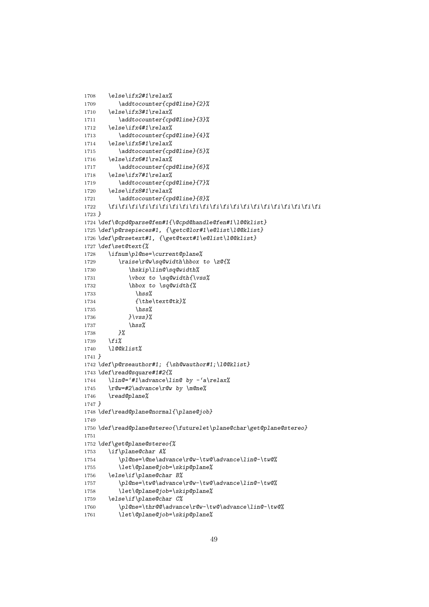```
1708 \else\ifx2#1\relax%
1709 \addtocounter{cpd@line}{2}%
1710 \else\ifx3#1\relax%
1711 \addtocounter{cpd@line}{3}%
1712 \else\ifx4#1\relax%
1713 \addtocounter{cpd@line}{4}%
1714 \else\ifx5#1\relax%
1715 \addtocounter{cpd@line}{5}%
1716 \else\ifx6#1\relax%
1717 \addtocounter{cpd@line}{6}%
1718 \else\ifx7#1\relax%
1719 \addtocounter{cpd@line}{7}%
1720 \else\ifx8#1\relax%
1721 \addtocounter{cpd@line}{8}%
1722 \fi\fi\fi\fi\fi\fi\fi\fi\fi\fi\fi\fi\fi\fi\fi\fi\fi\fi\fi\fi\fi
1723 }
1724 \def\@cpd@parse@fen#1{\@cpd@handle@fen#1\l@@klist}
1725 \def\p@rsepieces#1, {\getc@lor#1\e@list\l@@klist}
1726 \def\p@rsetext#1, {\get@text#1\e@list\l@@klist}
1727 \def\set@text{%
1728 \ifnum\pl@ne=\current@plane%
1729 \raise\r@w\sq@width\hbox to \z@{%
1730 \hskip\lin@\sq@width%
1731 \vbox to \sq@width{\vss%
1732 \hbox to \sq@width{%
1733 \hss%
1734 {\the\text@tk}%
1735 \hss%
1736 }\vss}%
1737 \hss%
1738 }%
1739 \fi%
1740 \l@@klist%
1741 }
1742 \def\p@rseauthor#1; {\sh@wauthor#1;\l@@klist}
1743 \def\read@square#1#2{%
1744 \lin@='#1\advance\lin@ by -'a\relax%
1745 \r@w=#2\advance\r@w by \m@ne%
1746 \read@plane%
1747 }
1748 \def\read@plane@normal{\plane@job}
1749
1750 \def\read@plane@stereo{\futurelet\plane@char\get@plane@stereo}
1751
1752 \def\get@plane@stereo{%
1753 \if\plane@char A%
1754 \pl@ne=\@ne\advance\r@w-\tw@\advance\lin@-\tw@%
1755 \let\@plane@job=\skip@plane%
1756 \else\if\plane@char B%
1757 \pl@ne=\tw@\advance\r@w-\tw@\advance\lin@-\tw@%
1758 \let\@plane@job=\skip@plane%
1759 \else\if\plane@char C%
1760 \pl@ne=\thr@@\advance\r@w-\tw@\advance\lin@-\tw@%
1761 \let\@plane@job=\skip@plane%
```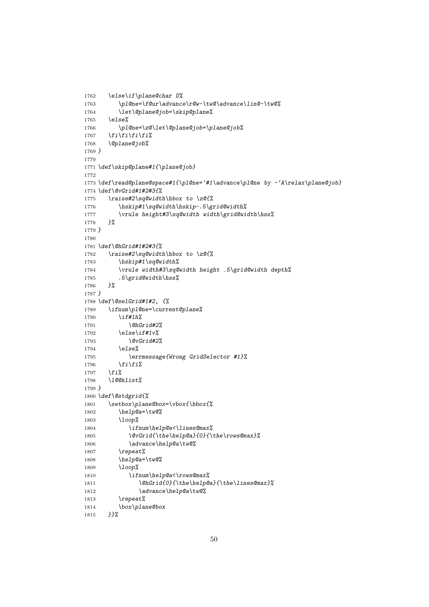```
1762 \else\if\plane@char D%
1763 \pl@ne=\f@ur\advance\r@w-\tw@\advance\lin@-\tw@%
1764 \let\@plane@job=\skip@plane%
1765 \else%
1766 \pl@ne=\z@\let\@plane@job=\plane@job%
1767 \fi\fi\fi\fi%
1768 \@plane@job%
1769 }
1770
1771 \def\skip@plane#1{\plane@job}
1772
1773 \def\read@plane@space#1{\pl@ne='#1\advance\pl@ne by -'A\relax\plane@job}
1774 \def\@vGrid#1#2#3{%
1775 \raise#2\sq@width\hbox to \z@{%
1776 \hskip#1\sq@width\hskip-.5\grid@width%
1777 \vrule height#3\sq@width width\grid@width\hss%
1778 }%
1779 }
1780
1781 \def\@hGrid#1#2#3{%
1782 \raise#2\sq@width\hbox to \z@{%
1783 \hskip#1\sq@width%
1784 \vrule width#3\sq@width height .5\grid@width depth%
1785 .5\grid@width\hss%
1786 }%
1787 }
1788 \def\@selGrid#1#2, {%
1789 \ifnum\pl@ne=\current@plane%
1790 \if#1h%
1791 \@hGrid#2%
1792 \else\if#1v%
1793 \@vGrid#2%
1794 \else%
1795 \errmessage{Wrong GridSelector #1}%
1796 \fi\fi%
1797 \fi%
1798 \l@@klist%
1799 }
1800 \def\@stdgrid{%
1801 \setbox\plane@box=\vbox{\hbox{%
1802 \help@a=\tw@%
1803 \loop%
1804 \ifnum\help@a<\lines@max%
1805 \@vGrid{\the\help@a}{0}{\the\rows@max}%
1806 \advance\help@a\tw@%
1807 \repeat%
1808 \help@a=\tw@%
1809 \loop%
1810 \ifnum\help@a<\rows@max%
1811 \@hGrid{0}{\the\help@a}{\the\lines@max}%
1812 \advance\help@a\tw@%
1813 \repeat%
1814 \box\plane@box
1815 }}%
```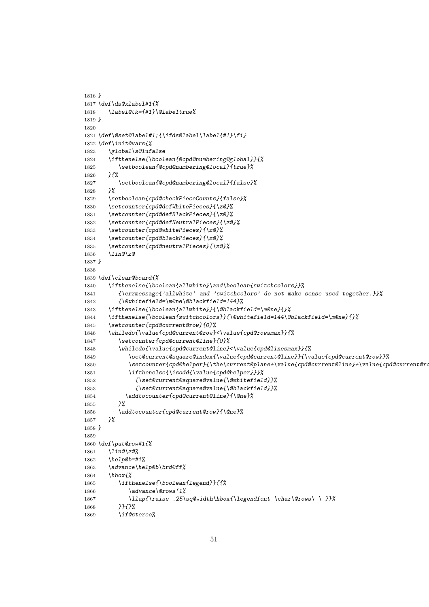```
1816 }
1817 \def\ds@xlabel#1{%
1818 \label@tk={#1}\@labeltrue%
1819 }
1820
1821 \def\@set@label#1;{\ifds@label\label{#1}\fi}
1822 \def\init@vars{%
1823 \global\s@lufalse
1824 \ifthenelse{\boolean{@cpd@numbering@global}}{%
1825 \setboolean{@cpd@numbering@local}{true}%
1826 }{%
1827 \setboolean{@cpd@numbering@local}{false}%
1828 }%
1829 \setboolean{cpd@checkPieceCounts}{false}%
1830 \setcounter{cpd@defWhitePieces}{\z@}%
1831 \setcounter{cpd@defBlackPieces}{\z@}%
1832 \setcounter{cpd@defNeutralPieces}{\z@}%
1833 \setcounter{cpd@whitePieces}{\z@}%
1834 \setcounter{cpd@blackPieces}{\z@}%
1835 \setcounter{cpd@neutralPieces}{\z@}%
1836 \lin@\z@
1837 }
1838
1839 \def\clear@board{%
1840 \ifthenelse{\boolean{allwhite}\and\boolean{switchcolors}}%
1841 {\errmessage{'allwhite' and 'switchcolors' do not make sense used together.}}%
1842 {\@whitefield=\m@ne\@blackfield=144}%
1843 \ifthenelse{\boolean{allwhite}}{\@blackfield=\m@ne}{}%
1844 \ifthenelse{\boolean{switchcolors}}{\@whitefield=144\@blackfield=\m@ne}{}%
1845 \setcounter{cpd@current@row}{0}%
1846 \whiledo{\value{cpd@current@row}<\value{cpd@rowsmax}}{%
1847 \setcounter{cpd@current@line}{0}%
1848 \whiledo{\value{cpd@current@line}<\value{cpd@linesmax}}{%
1849 \set@current@square@index{\value{cpd@current@line}}{\value{cpd@current@row}}%
1850 \setcounter{cpd@helper}{\the\current@plane+\value{cpd@current@line}+\value{cpd@current@row}}
1851 \ifthenelse{\isodd{\value{cpd@helper}}}%
1852 {\set@current@square@value{\@whitefield}}%
1853 {\set@current@square@value{\@blackfield}}%
1854 \addtocounter{cpd@current@line}{\@ne}%
1855 }%
1856 \addtocounter{cpd@current@row}{\@ne}%
1857 }%
1858 }
1859
1860 \def\put@row#1{%
1861 \lin@\z@%
1862 \help@b=#1%
1863 \advance\help@b\brd@ff%
1864 \hbox{%
1865 \ifthenelse{\boolean{legend}}{{%
1866 \advance\@rows'1%
1867 \llap{\raise .25\sq@width\hbox{\legendfont \char\@rows\ \ }}%
1868 }}{}%
1869 \if@stereo%
```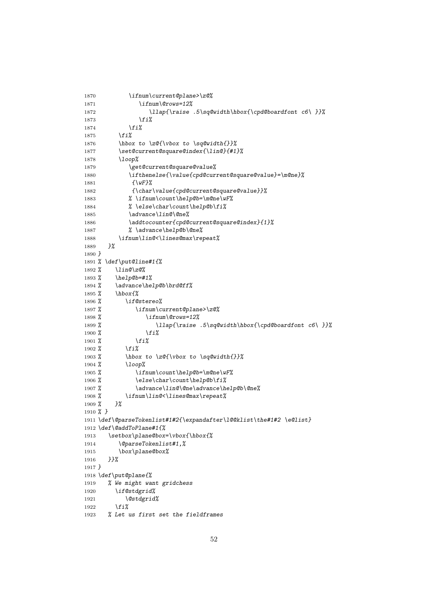```
1870 \ifnum\current@plane>\z@%
1871 \ifnum\@rows=12%
1872 \llap{\raise .5\sq@width\hbox{\cpd@boardfont c6\ }}%
1873 \fi%
1874 \fi%
1875 \fi%
1876 \hbox to \z@{\vbox to \sq@width{}}%
1877 \set@current@square@index{\lin@}{#1}%
1878 \loop%
1879 \get@current@square@value%
1880 \ifthenelse{\value{cpd@current@square@value}=\m@ne}%
1881 {\wF}%
1882 {\char\value{cpd@current@square@value}}%
1883 % \ifnum\count\help@b=\m@ne\wF%
1884 % \else\char\count\help@b\fi%
1885 \advance\lin@\@ne%
1886 \addtocounter{cpd@current@square@index}{1}%
1887 % \advance\help@b\@ne%
1888 \ifnum\lin@<\lines@max\repeat%
1889 }%
1890 }
1891 % \def\put@line#1{%
1892 % \lin@\z@%
1893 % \help@b=#1%
1894 % \advance\help@b\brd@ff%
1895 % \hbox{%
1896 % \if@stereo%
1897 % \ifnum\current@plane>\z@%
1898 % \ifnum\@rows=12%
1899 % \llap{\raise .5\sq@width\hbox{\cpd@boardfont c6\ }}%
1900 % \fi%
1901 % \fi%
1902 % \fi%
1903 % \hbox to \z@{\vbox to \sq@width{}}%
1904 % \loop%
1905 % \ifnum\count\help@b=\m@ne\wF%
1906 % \else\char\count\help@b\fi%
1907 % \advance\lin@\@ne\advance\help@b\@ne%
1908 % \ifnum\lin@<\lines@max\repeat%
1909 % }%
1910 % }
1911 \def\@parseTokenlist#1#2{\expandafter\l@@klist\the#1#2 \e@list}
1912 \def\@addToPlane#1{%
1913 \setbox\plane@box=\vbox{\hbox{%
1914 \@parseTokenlist#1,%
1915 \box\plane@box%
1916 }}%
1917 }
1918 \def\put@plane{%
1919 % We might want gridchess
1920 \if@stdgrid%
1921 \@stdgrid%
1922 \fi%
1923 % Let us first set the fieldframes
```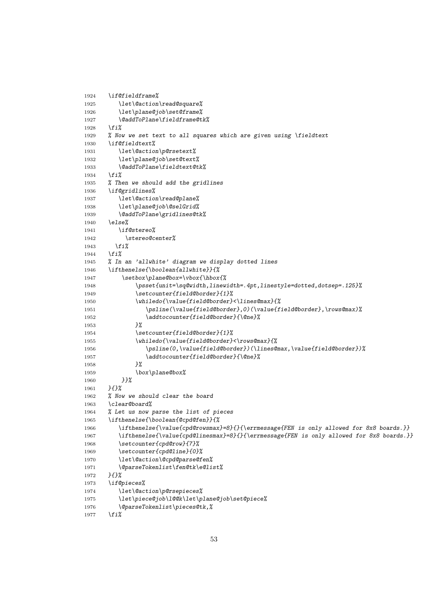```
1924 \if@fieldframe%
1925 \let\@action\read@square%
1926 \let\plane@job\set@frame%
1927 \@addToPlane\fieldframe@tk%
1928 \fi%
1929 % Now we set text to all squares which are given using \fieldtext
1930 \if@fieldtext%
1931 \let\@action\p@rsetext%
1932 \let\plane@job\set@text%
1933 \@addToPlane\fieldtext@tk%
1934 \fi%
1935 % Then we should add the gridlines
1936 \if@gridlines%
1937 \let\@action\read@plane%
1938 \let\plane@job\@selGrid%
1939 \@addToPlane\gridlines@tk%
1940 \else%
1941 \if@stereo%
1942 \stereo@center%
1943 \fi%
1944 \fi%
1945 % In an 'allwhite' diagram we display dotted lines
1946 \ifthenelse{\boolean{allwhite}}{%
1947 \setbox\plane@box=\vbox{\hbox{%
1948 \psset{unit=\sq@width,linewidth=.4pt,linestyle=dotted,dotsep=.125}%
1949 \setcounter{field@border}{1}%
1950 \whiledo{\value{field@border}<\lines@max}{%
1951 \psline(\value{field@border},0)(\value{field@border},\rows@max)%
1952 \addtocounter{field@border}{\@ne}%
1953 }%
1954 \setcounter{field@border}{1}%
1955 \whiledo{\value{field@border}<\rows@max}{%
1956 \psline(0,\value{field@border})(\lines@max,\value{field@border})%
1957 \addtocounter{field@border}{\@ne}%
1958 }%
1959 \box\plane@box%
1960 }}%
1961 }{}%
1962 % Now we should clear the board
1963 \clear@board%
1964 % Let us now parse the list of pieces
1965 \ifthenelse{\boolean{@cpd@fen}}{%
1966 \ifthenelse{\value{cpd@rowsmax}=8}{}{\errmessage{FEN is only allowed for 8x8 boards.}}
1967 \ifthenelse{\value{cpd@linesmax}=8}{}{\errmessage{FEN is only allowed for 8x8 boards.}}
1968 \setcounter{cpd@row}{7}%
1969 \setcounter{cpd@line}{0}%
1970 \let\@action\@cpd@parse@fen%
1971 \@parseTokenlist\fen@tk\e@list%
1972 }{}%
1973 \if@pieces%
1974 \let\@action\p@rsepieces%
1975 \let\piece@job\l@@k\let\plane@job\set@piece%
1976 \@parseTokenlist\pieces@tk,%
1977 \fi%
```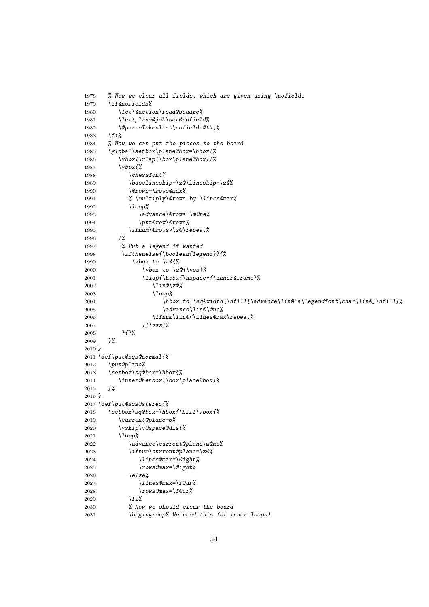```
1978 % Now we clear all fields, which are given using \nofields
1979 \if@nofields%
1980 \let\@action\read@square%
1981 \let\plane@job\set@nofield%
1982 \@parseTokenlist\nofields@tk,%
1983 \fi%
1984 % Now we can put the pieces to the board
1985 \global\setbox\plane@box=\hbox{%
1986 \vbox{\rlap{\box\plane@box}}%
1987 \vbox{%
1988 \chessfont%
1989 \baselineskip=\z@\lineskip=\z@%
1990 \@rows=\rows@max%
1991 % \multiply\@rows by \lines@max%
1992 \loop%
1993 \advance\@rows \m@ne%
1994 \put@row\@rows%
1995 \ifnum\@rows>\z@\repeat%
1996 }%
1997 % Put a legend if wanted
1998 \ifthenelse{\boolean{legend}}{%
1999 \vbox to \z@{%
2000 \vbox to \z@{\vss}%
2001 \llap{\hbox{\hspace*{\inner@frame}%
2002 \lin@\z@%
2003 \loop%
2004 \hbox to \sq@width{\hfill{\advance\lin@'a\legendfont\char\lin@}\hfill}%
2005 \advance\lin@\@ne%
2006 \ifnum\lin@<\lines@max\repeat%
2007 }}\vss}%
2008 }{}%
2009 }%
2010 }
2011 \def\put@sqs@normal{%
2012 \put@plane%
2013 \setbox\sq@box=\hbox{%
2014 \inner@henbox{\box\plane@box}%
2015 }%
2016 }
2017 \def\put@sqs@stereo{%
2018 \setbox\sq@box=\hbox{\hfil\vbox{%
2019 \current@plane=5%
2020 \vskip\v@space@dist%
2021 \loop%
2022 \advance\current@plane\m@ne%
2023 \ifnum\current@plane=\z@%
2024 \lines@max=\@ight%
2025 \rows@max=\@ight%
2026 \else%
2027 \lines@max=\f@ur%
2028 \rows@max=\f@ur%
2029 \fi%
2030 % Now we should clear the board
2031 \begingroup% We need this for inner loops!
```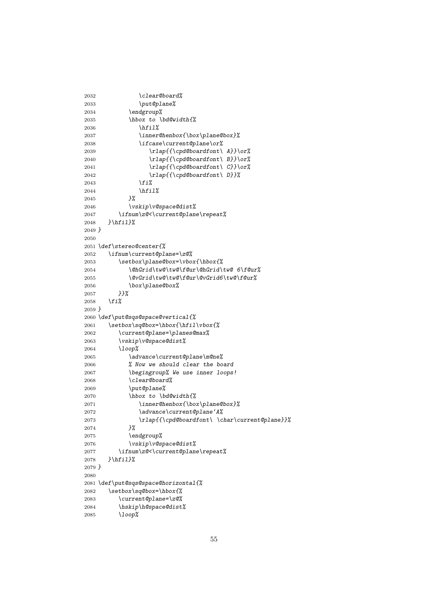```
2032 \clear@board%
2033 \put@plane%
2034 \endgroup%
2035 \hbox to \bd@width{%
2036 \hfil%
2037 \inner@henbox{\box\plane@box}%
2038 \ifcase\current@plane\or%
2039 \rlap{{\cpd@boardfont\ A}}\or%
2040 \rlap{{\cpd@boardfont\ B}}\or%
2041 \rlap{{\cpd@boardfont\ C}}\or%
2042 \rlap{{\cpd@boardfont\ D}}%
2043 \fi%
2044 \hfil%
2045 }%
2046 \vskip\v@space@dist%
2047 \ifnum\z@<\current@plane\repeat%
2048 }\hfil}%
2049 }
2050
2051 \def\stereo@center{%
2052 \ifnum\current@plane=\z@%
2053 \setbox\plane@box=\vbox{\hbox{%
2054 \@hGrid\tw@\tw@\f@ur\@hGrid\tw@ 6\f@ur%
2055 \@vGrid\tw@\tw@\f@ur\@vGrid6\tw@\f@ur%
2056 \box\plane@box%
2057 }}%
2058 \fi%
2059 }
2060 \def\put@sqs@space@vertical{%
2061 \setbox\sq@box=\hbox{\hfil\vbox{%
2062 \current@plane=\planes@max%
2063 \vskip\v@space@dist%
2064 \loop%
2065 \advance\current@plane\m@ne%
2066 % Now we should clear the board
2067 \begingroup% We use inner loops!
2068 \clear@board%
2069 \put@plane%
2070 \hbox to \bd@width{%
2071 \inner@henbox{\box\plane@box}%
2072 \advance\current@plane'A%
2073 \rlap{{\cpd@boardfont\ \char\current@plane}}%
2074 }%
2075 \endgroup%
2076 \vskip\v@space@dist%
2077 \ifnum\z@<\current@plane\repeat%
2078 }\hfil}%
2079 }
2080
2081 \def\put@sqs@space@horizontal{%
2082 \setbox\sq@box=\hbox{%
2083 \current@plane=\z@%
2084 \hskip\h@space@dist%
2085 \loop%
```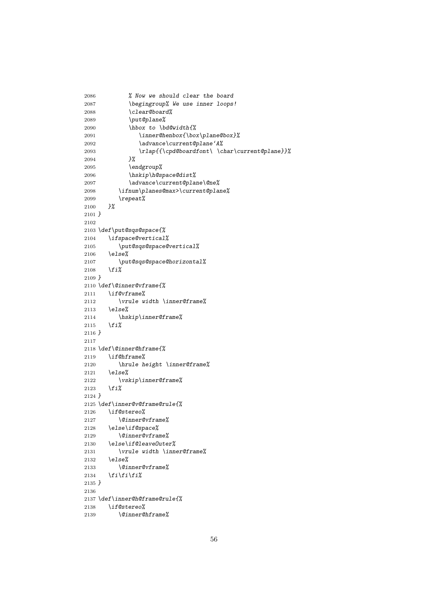```
2086 % Now we should clear the board
2087 \begingroup% We use inner loops!
2088 \clear@board%
2089 \put@plane%
2090 \hbox to \bd@width{%
2091 \inner@henbox{\box\plane@box}%
2092 \advance\current@plane'A%
2093 \rlap{{\cpd@boardfont\ \char\current@plane}}%
2094 }%
2095 \endgroup%
2096 \hskip\h@space@dist%
2097 \advance\current@plane\@ne%
2098 \ifnum\planes@max>\current@plane%
2099 \repeat%
2100 }%
2101 }
2102
2103 \def\put@sqs@space{%
2104 \ifspace@vertical%
2105 \put@sqs@space@vertical%
2106 \else%
2107 \put@sqs@space@horizontal%
2108 \fi%
2109 }
2110 \def\@inner@vframe{%
2111 \if@vframe%
2112 \vrule width \inner@frame%
2113 \else%
2114 \hskip\inner@frame%
2115 \fi%
2116 }
2117
2118 \def\@inner@hframe{%
2119 \if@hframe%
2120 \hrule height \inner@frame%
2121 \else%
2122 \vskip\inner@frame%
2123 \fi%
2124 }
2125 \def\inner@v@frame@rule{%
2126 \if@stereo%
2127 \@inner@vframe%
2128 \else\if@space%
2129 \@inner@vframe%
2130 \else\if@leaveOuter%
2131 \vrule width \inner@frame%
2132 \else%
2133 \@inner@vframe%
2134 \fi\fi\fi%
2135 }
2136
2137 \def\inner@h@frame@rule{%
2138 \if@stereo%
2139 \@inner@hframe%
```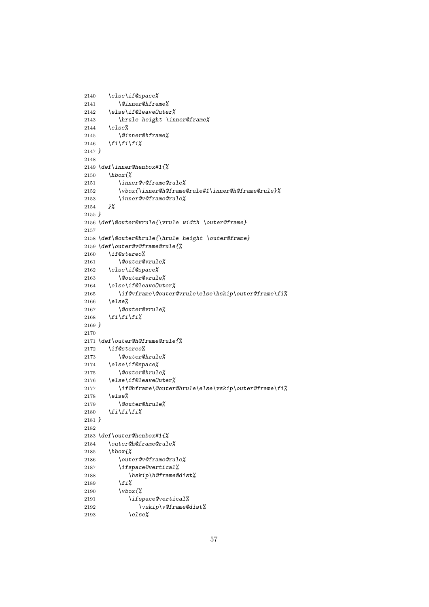```
2140 \else\if@space%
2141 \@inner@hframe%
2142 \else\if@leaveOuter%
2143 \hrule height \inner@frame%
2144 \else%
2145 \@inner@hframe%
2146 \fi\fi\fi%
2147 }
2148
2149 \def\inner@henbox#1{%
2150 \hbox{%
2151 \inner@v@frame@rule%
2152 \vbox{\inner@h@frame@rule#1\inner@h@frame@rule}%
2153 \inner@v@frame@rule%
2154 }%
2155 }
2156 \def\@outer@vrule{\vrule width \outer@frame}
2157
2158 \def\@outer@hrule{\hrule height \outer@frame}
2159 \def\outer@v@frame@rule{%
2160 \if@stereo%
2161 \@outer@vrule%
2162 \else\if@space%
2163 \@outer@vrule%
2164 \else\if@leaveOuter%
2165 \if@vframe\@outer@vrule\else\hskip\outer@frame\fi%
2166 \else%
2167 \@outer@vrule%
2168 \fi\fi\fi%
2169 }
2170
2171 \def\outer@h@frame@rule{%
2172 \if@stereo%
2173 \@outer@hrule%
2174 \else\if@space%
2175 \@outer@hrule%
2176 \else\if@leaveOuter%
2177 \if@hframe\@outer@hrule\else\vskip\outer@frame\fi%
2178 \else%
2179 \@outer@hrule%
2180 \fi\fi\fi%
2181 }
2182
2183 \def\outer@henbox#1{%
2184 \outer@h@frame@rule%
2185 \hbox{%
2186 \outer@v@frame@rule%
2187 \ifspace@vertical%
2188 \hskip\h@frame@dist%
2189 \fi%
2190 \vbox{%
2191 \ifspace@vertical%
2192 \vskip\v@frame@dist%
2193 \else%
```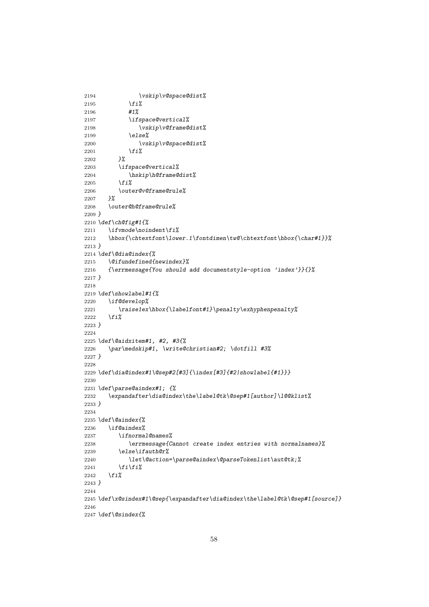```
2194 \vskip\v@space@dist%
2195 \fi%
2196 #1%
2197 \ifspace@vertical%
2198 \vskip\v@frame@dist%
2199 \else%
2200 \vskip\v@space@dist%
2201 \fi%
2202 }%
2203 \ifspace@vertical%
2204 \hskip\h@frame@dist%
2205 \fi%
2206 \outer@v@frame@rule%
2207 }%
2208 \outer@h@frame@rule%
2209 }
2210 \def\ch@fig#1{%
2211 \ifvmode\noindent\fi%
2212 \hbox{\chtextfont\lower.1\fontdimen\tw@\chtextfont\hbox{\char#1}}%
2213 }
2214 \def\@dia@index{%
2215 \@ifundefined{newindex}%
2216 {\errmessage{You should add documentstyle-option 'index'}}{}%
2217 }
2218
2219 \def\showlabel#1{%
2220 \if@develop%
2221 \raise1ex\hbox{\labelfont#1}\penalty\exhyphenpenalty%
2222 \fi%
2223 }
2224
2225 \def\@aidxitem#1, #2, #3{%
2226 \par\medskip#1, \write@christian#2; \dotfill #3%
2227 }
2228
2229 \def\dia@index#1\@sep#2[#3]{\index[#3]{#2|showlabel{#1}}}
2230
2231 \def\parse@aindex#1; {%
2232 \expandafter\dia@index\the\label@tk\@sep#1[author]\l@@klist%
2233 }
2234
2235 \def\@aindex{%
2236 \if@aindex%
2237 \ifnormal@names%
2238 \errmessage{Cannot create index entries with normalnames}%
2239 \else\ifauth@r%
2240 \let\@action=\parse@aindex\@parseTokenlist\aut@tk;%
2241 \fi\fi%
2242 \fi%
2243 }
2244
2245 \def\x@sindex#1\@sep{\expandafter\dia@index\the\label@tk\@sep#1[source]}
2246
2247 \def\@sindex{%
```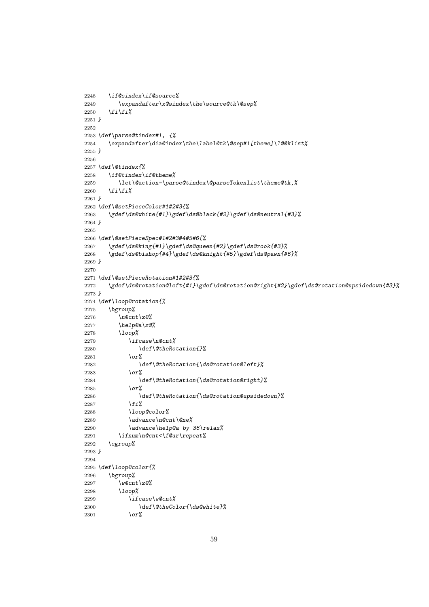```
2248 \if@sindex\if@source%
2249 \expandafter\x@sindex\the\source@tk\@sep%
2250 \fi\fi%
2251 }
2252
2253 \def\parse@tindex#1, {%
2254 \expandafter\dia@index\the\label@tk\@sep#1[theme]\l@@klist%
2255 }
2256
2257 \def\@tindex{%
2258 \if@tindex\if@theme%
2259 \let\@action=\parse@tindex\@parseTokenlist\theme@tk,%
2260 \fi\fi%
2261 }
2262 \def\@setPieceColor#1#2#3{%
2263 \gdef\ds@white{#1}\gdef\ds@black{#2}\gdef\ds@neutral{#3}%
2264 }
2265
2266 \def\@setPieceSpec#1#2#3#4#5#6{%
2267 \gdef\ds@king{#1}\gdef\ds@queen{#2}\gdef\ds@rook{#3}%
2268 \gdef\ds@bishop{#4}\gdef\ds@knight{#5}\gdef\ds@pawn{#6}%
2269 }
2270
2271 \def\@setPieceRotation#1#2#3{%
2272 \gdef\ds@rotation@left{#1}\gdef\ds@rotation@right{#2}\gdef\ds@rotation@upsidedown{#3}%
2273 }
2274 \def\loop@rotation{%
2275 \bgroup%
2276 \n@cnt\z@%
2277 \help@a\z@%
2278 \loop%
2279 \ifcase\n@cnt%
2280 \def\@theRotation{}%
2281 \or%
2282 \def\@theRotation{\ds@rotation@left}%
2283 \or%
2284 \def\@theRotation{\ds@rotation@right}%
2285 \or%
2286 \def\@theRotation{\ds@rotation@upsidedown}%
2287 \fi%
2288 \loop@color%
2289 \advance\n@cnt\@ne%
2290 \advance\help@a by 36\relax%
2291 \ifnum\n@cnt<\f@ur\repeat%
2292 \egroup%
2293 }
2294
2295 \def\loop@color{%
2296 \bgroup%
2297 \w@cnt\z@%
2298 \loop%
2299 \ifcase\w@cnt%
2300 \def\@theColor{\ds@white}%
2301 \or%
```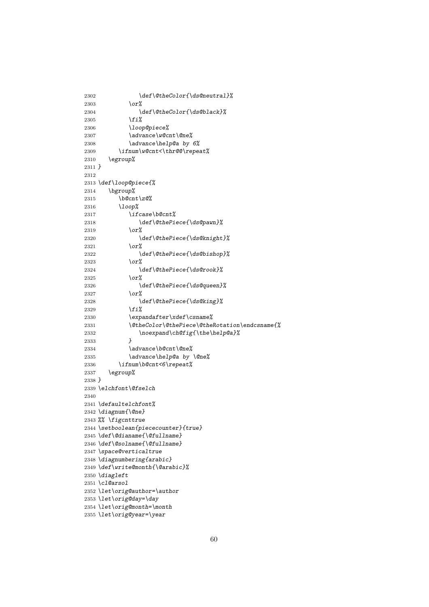```
2302 \def\@theColor{\ds@neutral}%
2303 \or%
2304 \def\@theColor{\ds@black}%
2305 \fi%
2306 \loop@piece%
2307 \advance\w@cnt\@ne%
2308 \advance\help@a by 6%
2309 \ifnum\w@cnt<\thr@@\repeat%
2310 \egroup%
2311 }
2312
2313 \def\loop@piece{%
2314 \bgroup%
2315 \b@cnt\z@%
2316 \loop%
2317 \ifcase\b@cnt%
2318 \def\@thePiece{\ds@pawn}%
2319 \or%
2320 \def\@thePiece{\ds@knight}%
2321 \or%
2322 \def\@thePiece{\ds@bishop}%
2323 \or%
2324 \def\@thePiece{\ds@rook}%
2325 \or%
2326 \def\@thePiece{\ds@queen}%
2327 \or%
2328 \def\@thePiece{\ds@king}%
2329 \fi%
2330 \expandafter\xdef\csname%
2331 \@theColor\@thePiece\@theRotation\endcsname{%
2332 \noexpand\ch@fig{\the\help@a}%<br>2333 }
2333 }
2334 \advance\b@cnt\@ne%
2335 \advance\help@a by \@ne%
2336 \ifnum\b@cnt<6\repeat%
2337 \egroup%
2338 }
2339 \elchfont\@fselch
2340
2341 \defaultelchfont%
2342 \diagnum{\@ne}
2343 %% \figcnttrue
2344 \setboolean{piececounter}{true}
2345 \def\@dianame{\@fullname}
2346 \def\@solname{\@fullname}
2347 \space@verticaltrue
2348 \diagnumbering{arabic}
2349 \def\write@month{\@arabic}%
2350 \diagleft
2351 \cl@arsol
2352 \let\orig@author=\author
2353 \let\orig@day=\day
2354 \let\orig@month=\month
2355 \let\orig@year=\year
```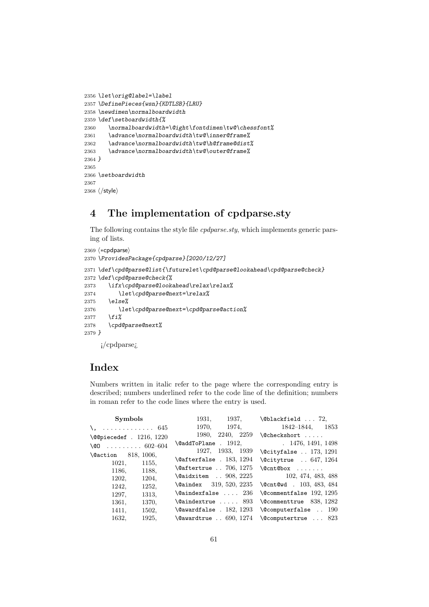```
2356 \let\orig@label=\label
2357 \DefinePieces{wsn}{KDTLSB}{LRU}
2358 \newdimen\normalboardwidth
2359 \def\setboardwidth{%
2360 \normalboardwidth=\@ight\fontdimen\tw@\chessfont%
2361 \advance\normalboardwidth\tw@\inner@frame%
2362 \advance\normalboardwidth\tw@\h@frame@dist%
2363 \advance\normalboardwidth\tw@\outer@frame%
2364 }
2365
2366 \setboardwidth
2367
2368 \langle/style\rangle
```
# 4 The implementation of cpdparse.sty

The following contains the style file *cpdparse.sty*, which implements generic parsing of lists.

```
2369 (*cpdparse)
2370 \ProvidesPackage{cpdparse}[2020/12/27]
2371 \def\cpd@parse@list{\futurelet\cpd@parse@lookahead\cpd@parse@check}
2372 \def\cpd@parse@check{%
2373 \ifx\cpd@parse@lookahead\relax\relax%
2374 \let\cpd@parse@next=\relax%
2375 \else%
2376 \let\cpd@parse@next=\cpd@parse@action%
2377 \fi%
2378 \cpd@parse@next%
2379 }
    ¡/cpdparse¿
```
# Index

Numbers written in italic refer to the page where the corresponding entry is described; numbers underlined refer to the code line of the definition; numbers in roman refer to the code lines where the entry is used.

| Symbols                  | 1931, 1937,                         | $\Delta$ 72,                                            |
|--------------------------|-------------------------------------|---------------------------------------------------------|
| $\lambda$ ,  645         |                                     | 1970, 1974, 1842-1844, 1853                             |
| \@@piecedef . 1216, 1220 | 2240, 2259<br>1980.                 | \@checkshort                                            |
| $\setminus$ CD 602-604   | \@addToPlane . 1912,                | .1476, 1491, 1498                                       |
| \@action 818, 1006,      | 1927.<br>1933, 1939                 | $\text{\textbackslash}\mathcal{Q}$ cityfalse  173, 1291 |
| 1021,<br>1155,           | $\setminus$ @afterfalse . 183, 1294 | $\text{\textdegree}$ . 647, 1264                        |
| 1186,<br>1188.           | $\text{\textdegree}$ . 706, 1275    |                                                         |
| 1202,<br>1204,           | \@aidxitem  908, 2225               | 102, 474, 483, 488                                      |
| 1252,<br>1242,           | $\lambda$ aindex 319, 520, 2235     | $\text{Qcnt0wd}$ . 103, 483, 484                        |
| 1313.<br>1297,           | $\lambda$ aindexfalse $236$         | $\text{Qcommentfalse}$ 192, 1295                        |
| 1361,<br>1370.           | $\lambda$ aindextrue  893           | $\text{Qcommenttrue}$ 838, 1282                         |
| 1502.<br>1411.           | $\text{\textdegree}$ . 182, 1293    | $\text{Computerfalse}$ 190                              |
| 1632.<br>1925.           | $\text{\textdegree}$ . 690, 1274    | $\text{Qcomputertrue}$ 823                              |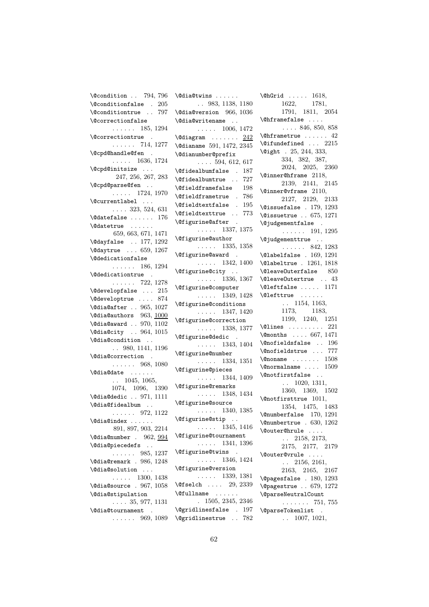\@condition . . 794, 796 \@conditionfalse . 205 \@conditiontrue . . 797 \@correctionfalse . . . . . . 185, 1294 \@correctiontrue . . . . . . . 714, 1277 \@cpd@handle@fen .  $\ldots$  . 1636, 1724 \@cpd@initsize . . . 247, 256, 267, 283 \@cpd@parse@fen . . . . . . . 1724, 1970 \@currentlabel . . . . . . . 323, 524, 631  $\Diamond$ datefalse ...... 176 \@datetrue . . . . . . 659, 663, 671, 1471 \@dayfalse . . 177, 1292 \@daytrue . . . 659, 1267 \@dedicationfalse . . . . . . 186, 1294 \@dedicationtrue . . . . . . . 722, 1278 \@developfalse . . . 215 \@developtrue . . . . 874 \@dia@after . . 965, 1027 \@dia@authors 963, 1000 \@dia@award . . 970, 1102 \@dia@city . . 964, 1015 \@dia@condition . . . . 980, 1141, 1196 \@dia@correction . . . . . . . 968, 1080 \@dia@date . . . . . . . . 1045, 1065, 1074, 1096, 1390 \@dia@dedic . . 971, 1111 \@dia@fidealbum . . . . . . . . 972, 1122 \@dia@index . . . . . . 891, 897, 903, 2214 \@dia@number . 962, 994 \@dia@piecedefs . . . . . . . . 985, 1237 \@dia@remark . 986, 1248 \@dia@solution . . .  $\ldots$  . 1300, 1438 \@dia@source . 967, 1058 \@dia@stipulation . . . . 35, 977, 1131 \@dia@tournament . . . . . . . 969, 1089

\@dia@twins . . . . . . . . 983, 1138, 1180 \@dia@version 966, 1036 \@dia@writename . .  $\ldots$  . 1006, 1472  $\delta$  . . . . . . . . 242 \@dianame 591, 1472, 2345 \@dianumber@prefix  $\ldots$  594, 612, 617 \@fidealbumfalse . 187 \@fidealbumtrue . . 727 \@fieldframefalse 198 \@fieldframetrue . 786 \@fieldtextfalse . 195 \@fieldtexttrue . . 773 \@figurine@after . . . . . . 1337, 1375 \@figurine@author  $\ldots$  . 1335, 1358 \@figurine@award . . . . . . 1342, 1400 \@figurine@city . . . . . . . 1336, 1367 \@figurine@computer . . . . . 1349, 1428 \@figurine@conditions  $\ldots$  . 1347, 1420 \@figurine@correction  $\ldots$  . 1338, 1377 \@figurine@dedic .  $\ldots$  . 1343, 1404 \@figurine@number . . . . . 1334, 1351 \@figurine@pieces  $\ldots$  . 1344, 1409 \@figurine@remarks . . . . . 1348, 1434 \@figurine@source . . . . . 1340, 1385 \@figurine@stip . . . . . . . 1345, 1416 \@figurine@tournament . . . . . 1341, 1396 \@figurine@twins .  $\ldots$  . 1346, 1424 \@figurine@version . . . . . 1339, 1381  $\label{eq:Gfselch} $$\Cfselch ... 29, 2339$ \@fullname . . . . . . . 1505, 2345, 2346 \@gridlinesfalse . 197 \@gridlinestrue . . 782

\@hGrid . . . . . 1618, 1622, 1781, 1791, 1811, 2054 \@hframefalse . . . . . . . . 846, 850, 858 \@hframetrue . . . . . . 42 \@ifundefined . . . 2215 \@ight . 25, 244, 333, 334, 382, 387, 2024, 2025, 2360 \@inner@hframe 2118, 2139, 2141, 2145 \@inner@vframe 2110, 2127, 2129, 2133 \@issuefalse . 179, 1293 \@issuetrue . . 675, 1271 \@judgementfalse . . . . . . . 191, 1295 \@judgementtrue . .  $\ldots \ldots 842, 1283$ \@labelfalse . 169, 1291 \@labeltrue . 1261, 1818 \@leaveOuterfalse 850 \@leaveOutertrue . . 43 \@leftfalse . . . . . 1171 \@lefttrue . . . . . . . . 1154, 1163, 1173, 1183, 1199, 1240, 1251 \@lines . . . . . . . . 221 \@months . . . . 667, 1471 \@nofieldsfalse . . 196 \@nofieldstrue . . . 777  $\label{eq:non-convex} \texttt{\textbackslash@noname~~}\dots\dots\dots\quad \text{1508}$  $\label{eq:nonrelname} \texttt{\textbackslash} \mathbb{Q} \text{normalname} \quad . \quad . \quad . \quad 1509$ \@notfirstfalse . . . . 1020, 1311, 1360, 1369, 1502 \@notfirsttrue 1011, 1354, 1475, 1483 \@numberfalse 170, 1291 \@numbertrue . 630, 1262 \@outer@hrule . . . . . . 2158, 2173, 2175, 2177, 2179 \@outer@vrule . . . . . . 2156, 2161, 2163, 2165, 2167 \@pagesfalse . 180, 1293 \@pagestrue . . 679, 1272 \@parseNeutralCount  $\ldots \ldots 751, 755$ \@parseTokenlist . . . 1007, 1021,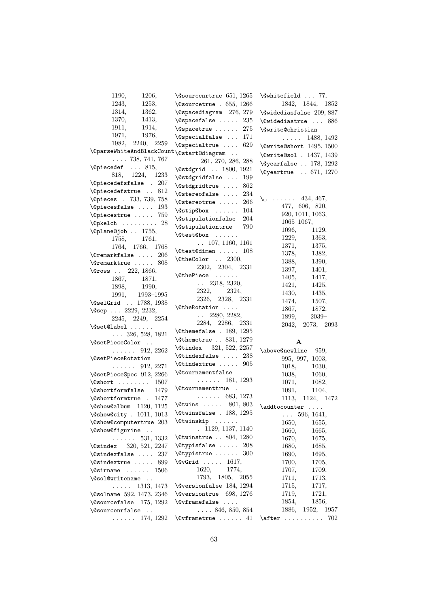| 1190,<br>1206,                                              | $\sqrt{Q}$ sourcenrtrue 651, 1265                         | $\text{Qwhitefield} \dots 77,$   |
|-------------------------------------------------------------|-----------------------------------------------------------|----------------------------------|
| 1243.<br>1253,                                              | $\sqrt{0}$ sourcetrue . 655, 1266                         | 1842, 1844, 1852                 |
| 1314,<br>1362,                                              | \@spacediagram 276, 279                                   | $\text{\textdegree} 209, 887$    |
| 1370,<br>1413,                                              | $\text{Qspacefalse}$ 235                                  | \@widediastrue  886              |
| 1911,<br>1914,                                              | $\sqrt{9}$ spacetrue  275                                 | <b>\@write@christian</b>         |
| 1971,<br>1976,                                              | \@specialfalse  171                                       | $\ldots$ 1488, 1492              |
| 1982,<br>2240, 2259                                         | \@specialtrue<br>629                                      |                                  |
| $\verb \@parse[WhiteAndBlackCount \verb \@start@diagram  ]$ |                                                           | $\text{Qwrite@short}$ 1495, 1500 |
| $\ldots$ 738, 741, 767                                      | 261, 270, 286, 288                                        | \@write@sol . 1437, 1439         |
| \@piecedef  815,                                            |                                                           | $\text{Qyearfalse}$ 178, 1292    |
| 818, 1224, 1233                                             | \@stdgrid  1800, 1921<br>\@stdgridfalse  199              | \@yeartrue  671, 1270            |
| $\text{Qpiecedefsfalse}$ . 207                              |                                                           |                                  |
| \@piecedefstrue  812                                        | \@stdgridtrue  862                                        |                                  |
| <b>\@pieces</b> . 733, 739, 758                             | $\setminus$ @stereofalse<br>234                           | $\lambda_{\square}$<br>434, 467, |
| $\text{Qpiecesfalse}$ 193                                   | 266<br>\@stereotrue                                       | 477, 606, 820,                   |
| \@piecestrue  759                                           | $\setminus$ @stip@box  104                                | 920, 1011, 1063,                 |
| $\Phi$ :  28                                                | <i><b>\@stipulationfalse</b></i><br>204                   | $1065 - 1067,$                   |
| \@plane@job  1755,                                          | <i><b>\@stipulationtrue</b></i><br>790                    | 1096,<br>1129,                   |
| 1758,<br>1761,                                              | \@test@box                                                | 1229,<br>1363,                   |
| 1764, 1766, 1768                                            | $\ldots$ 107, 1160, 1161                                  | 1371,<br>1375,                   |
| $\{\mathcal{C}$ remarkfalse  206                            | $\text{Vector}$ 108                                       | 1378,<br>1382,                   |
| \@remarktrue  808                                           | \@theColor  2300,                                         | 1388,<br>1390,                   |
| \@rows  222, 1866,                                          | 2302, 2304, 2331                                          | 1397,<br>1401,                   |
| 1867,<br>1871,                                              | \@thePiece                                                | 1405,<br>1417,                   |
| 1898,<br>1990,                                              | $\ldots$ 2318, 2320,                                      | 1421,<br>1425,                   |
| 1991,<br>1993–1995                                          | 2322,<br>2324,                                            | 1430,<br>1435,                   |
| \@selGrid  1788, 1938                                       | 2326, 2328, 2331                                          | 1474,<br>1507,                   |
| $\text{Qsep}$ 2229, 2232,                                   | \@theRotation                                             | 1867,<br>1872,                   |
| 2245, 2249, 2254                                            | $\ldots$ 2280, 2282,                                      | 1899,<br>$2039-$                 |
| $\setminus$ @set@label                                      | 2284, 2286, 2331                                          | 2042,<br>2073, 2093              |
| $\ldots$ 326, 528, 1821                                     | $\text{\textbackslash}$ Cthemefalse . 189, 1295           |                                  |
| \@setPieceColor                                             | \@themetrue  831, 1279                                    | A                                |
| $\ldots \ldots 912, 2262$                                   | \@tindex 321, 522, 2257                                   | \above@newline<br>959,           |
| <i><b>\@setPieceRotation</b></i>                            | $\text{^\circ}$ 238                                       | 995, 997, 1003,                  |
| $\ldots$ 912, 2271                                          | $\text{Otherwise} \dots$<br>905                           | 1018,<br>1030,                   |
| \@setPieceSpec 912, 2266                                    | <b>\@tournamentfalse</b>                                  | 1038,<br>1060,                   |
| $\sqrt{$ Short $1507$                                       | 181, 1293<br>$\mathbb{R}^n$ . In the $\mathbb{R}^n$       | 1071,<br>1082,                   |
| <i><b>\@shortformfalse</b></i><br>1479                      | <i><b>\@tournamenttrue</b></i><br>$\mathbf{r}$            | 1091,<br>1104,                   |
| \@shortformtrue . 1477                                      | $\ldots \ldots 683, 1273$                                 | 1113,<br>1124, 1472              |
| $\Gamma$ 1120, 1125                                         | $\text{Outwins}$ 801, 803                                 | \addtocounter                    |
| \@show@city . 1011, 1013                                    | $\text{\textbackslash}\mathcal{C}$ twinsfalse . 188, 1295 | $\ldots$ 596, 1641,              |
| \@show@computertrue 203                                     | $\text{Covinskip} \dots$                                  | 1650,<br>1655,                   |
| \@show@figurine                                             | . 1129, 1137, 1140                                        | 1660,<br>1665,                   |
| 531, 1332<br>.                                              | $\text{\textbackslash}\mathcal{C}$ twinstrue 804, 1280    | 1670,<br>1675,                   |
| 320, 521, 2247<br><b>\@sindex</b>                           | $\texttt{\textbackslash}$ etypisfalse  208                | 1680,<br>1685,                   |
| $\setminus$ @sindexfalse  237                               | $\text{Qtypistrue} \dots 300$                             | 1690,<br>1695,                   |
| $\setminus$ @sindextrue  899                                | $\sqrt{c\sqrt{c}}$ rid  1617,                             | 1700,<br>1705,                   |
| $\ldots \ldots 1506$<br><b>\@sirname</b>                    | 1620,<br>1774,                                            | 1707,<br>1709,                   |
| \@sol@writename                                             | 1793, 1805, 2055                                          | 1711,<br>1713,                   |
| 1313, 1473                                                  | $\&$ Pressionfalse 184, 1294                              | 1715,<br>1717,                   |
| .                                                           | \@versiontrue 698, 1276                                   | 1719,<br>1721,                   |
| \@solname 592, 1473, 2346                                   | \@vframefalse                                             |                                  |
| $\text{Qsourcefalse}$ 175, 1292                             |                                                           | 1854,<br>1856,                   |
| <i><b>\@sourcenrfalse</b></i><br>$\sim$ .                   | $\ldots$ 846, 850, 854                                    | 1886,<br>1952, 1957              |
| $\ldots \ldots 174, 1292$                                   | $\sqrt{$ Cyframetrue  41                                  | $\after \ldots \ldots$<br>702    |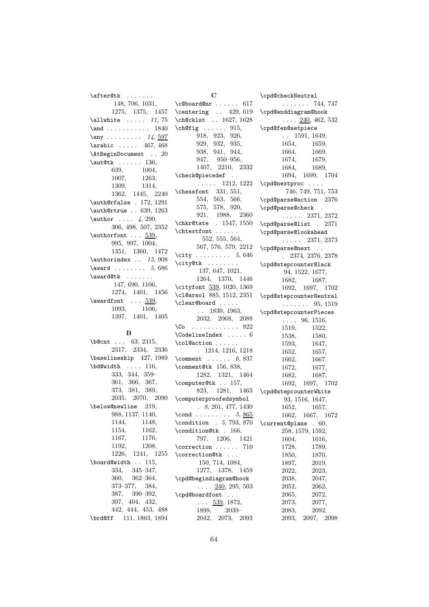\after@tk . . . . . . . 148, 706, 1031, 1275, 1375, 1457  $\lambda$ 11white .....  $11, 75$ \and . . . . . . . . . . . 1840  $\text{any} \dots \dots \dots \quad 14, \frac{597}{14}$  $\arabic ... 467, 468$ \AtBeginDocument . . 20 \aut@tk . . . . . . 136, 639, 1004, 1007, 1263, 1309, 1314, 1362, 1445, 2240 \auth@rfalse . 172, 1291 \auth@rtrue . . 639, 1263  $\lambda$  . . . . 4, 290, 306, 498, 507, 2352 \authorfont . . . 539, 995, 997, 1004, 1351, 1360, 1472  $\lambda$  . . 15, 908  $\text{award}$  . . . . . . . . 5, 686 \award@tk . . . . . . . 147, 690, 1106, 1274, 1401, 1456  $\a$ wardfont ...  $\frac{539}{1000}$ 1093, 1106, 1397, 1401, 1405

### B

\b@cnt . . . 63, 2315, 2317, 2334, 2336 \baselineskip 427, 1989 \bd@width . . . . 116, 333, 344, 359– 361, 366, 367, 373, 381, 389, 2035, 2070, 2090 \below@newline 219, 988, 1137, 1140, 1144, 1148, 1154, 1162, 1167, 1176, 1192, 1208, 1226, 1241, 1255 \board@width . . 115, 334, 345–347, 360, 362–364, 373–377, 384, 387, 390–392, 397, 404, 432, 442, 444, 453, 488 \brd@ff 111, 1863, 1894

 $\mathbf C$  $\c{Obcard@nr \ldots 617}$ \centering . . 429, 619 \ch@cklst . . 1627, 1628  $\chi$ ch@fig . . . . . . 915, 918, 923, 926, 929, 932, 935, 938, 941, 944, 947, 950–956, 1407, 2210, 2332 \check@piecedef . . . . . . . 1212, 1222 \chessfont 331, 551, 554, 563, 566, 575, 578, 920, 921, 1988, 2360 \chkr@tate . 1547, 1550  $\verb+\chtext++ \ldots+ \ldots+ \label{th1}$ 552, 555, 564, 567, 576, 579, 2212  $\text{city}$  . . . . . . . . . 5, 646 \city@tk . . . . . . . . 137, 647, 1021, 1264, 1370, 1446 \cityfont 539, 1020, 1369 \cl@arsol 885, 1512, 2351 \clear@board . . . . . . . 1839, 1963, 2032, 2068, 2088 \Co . . . . . . . . . . . . 822 \CodelineIndex . . . . . 6 \col@action ...... . 1214, 1216, 1218  $\text{Comment} \dots \dots 6, 837$ \comment@tk 156, 838, 1282, 1321, 1464 \computer@tk . . 157, 823, 1281, 1463 \computerproofedsymbol . 8, 201, 477, 1430  $\c{ond}$  . . . . . . . . . 5, 865 \condition . 5, 793, 870 \condition@tk . 166, 797, 1206, 1421 \correction . . . . . . 710 \correction@tk . . . 150, 714, 1084, 1277, 1378, 1459 \cpd@begindiagram@hook  $\ldots$   $\frac{240}{295}$ , 503 \cpd@boardfont . . .  $\ldots$  539, 1872, 1899, 2039– 2042, 2073, 2093 \cpd@checkNeutral

. . . . . . . 744, 747 \cpd@enddiagram@hook  $\ldots$  240, 462, 532 \cpd@fen@setpiece . . 1591, 1649, 1654, 1659, 1664, 1669, 1674, 1679, 1684, 1689, 1694, 1699, 1704 \cpd@nextproc . . . . 746, 749, 751, 753 \cpd@parse@action 2376 \cpd@parse@check . . . . . . 2371, 2372 \cpd@parse@list . 2371 \cpd@parse@lookahead . . . . . 2371, 2373 \cpd@parse@next . . . 2374, 2376, 2378 \cpd@stepcounterBlack 94, 1522, 1677, 1682, 1687, 1692, 1697, 1702 \cpd@stepcounterNeutral . . . . . . . 95, 1519 \cpd@stepcounterPieces  $\ldots$  96, 1516, 1519, 1522, 1538, 1580, 1593, 1647, 1652, 1657, 1662, 1667, 1672, 1677, 1682, 1687, 1692, 1697, 1702 \cpd@stepcounterWhite 93, 1516, 1647, 1652, 1657, 1662, 1667, 1672 \current@plane . 60, 258, 1579, 1592, 1604, 1616, 1728, 1789, 1850, 1870, 1897, 2019, 2022, 2023, 2038, 2047, 2052, 2062, 2065, 2072, 2073, 2077, 2083, 2092, 2093, 2097, 2098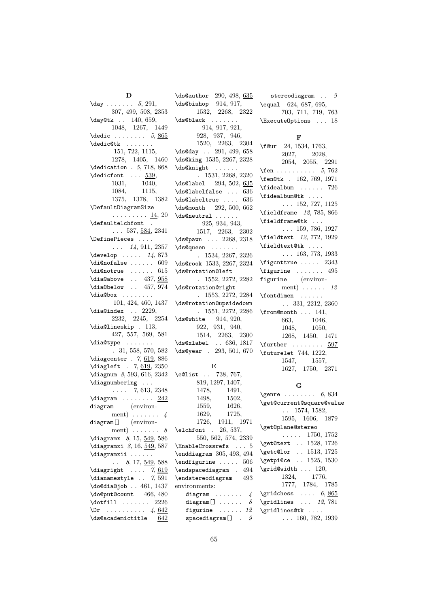D  $\text{day} \ldots \ldots 5, 291,$ 307, 499, 508, 2353 \day@tk . . 140, 659, 1048, 1267, 1449  $\delta$ . . . . . . . . . 5, 865 \dedic@tk . . . . . . 151, 722, 1115, 1278, 1405, 1460 \dedication . 5, 718, 868  $\delta$ . . . 539, 1031, 1040, 1084, 1115, 1375, 1378, 1382 \DefaultDiagramSize . . . . . . . . . 14, 20 \defaultelchfont .  $\ldots$  537, <u>584</u>, 2341 \DefinePieces . . . .  $\ldots$  14, 911, 2357  $\text{develop} \dots 14, 873$  $\dagger$ di@nofalse ...... 609 \di@notrue ...... 615 \dia@above .. 437, 958  $\label{thm:1}$   $\label{thm:1}$ \dia@box . . . . . . . . 101, 424, 460, 1437  $\langle$ dia@index . . 2229, 2232, 2245, 2254 \dia@lineskip . 113, 427, 557, 569, 581 \dia@type ....... . 31, 558, 570, 582 \diagcenter . 7, 619, 886 \diagleft . 7, 619, 2350 \diagnum 8, 593, 616, 2342 \diagnumbering . . .  $\ldots$  7, 613, 2348  $\langle$ diagram . . . . . . . 242 diagram (environment) . . . . . . . 4 diagram[] (environment)  $\ldots \ldots 8$ \diagramx 8, 15, 549, 586 \diagramxi 8, 16, 549, 587 \diagramxii . . . . . .  $\ldots$  8, 17, <u>549</u>, 588  $\displaystyle\bigcup_{\text{display}}$  .... 7, 619  $\dagger$  . . 7, 591 \do@dia@job . . 461, 1437 \do@put@count 466, 480 \dotfill ....... 2226  $\Delta$ Pr . . . . . . . . . . 4, 642 \ds@academictitle 642

\ds@author 290, 498, 635 \ds@bishop 914, 917, 1532, 2268, 2322 \ds@black . . . . . . . 914, 917, 921, 928, 937, 946, 1520, 2263, 2304 \ds@day .. 291, 499, 658 \ds@king 1535, 2267, 2328 \ds@knight . . . . . . . 1531, 2268, 2320 \ds@label 294, 502, 635  $\label{thm:asymptotic} \begin{tabular}{c} \hline \texttt{{\char'134}ds@label} \end{tabular}$ \ds@labeltrue .... 636 \ds@month 292, 500, 662 \ds@neutral . . . . . . 925, 934, 943, 1517, 2263, 2302 \ds@pawn . . . 2268, 2318 \ds@queen . . . . . . . . 1534, 2267, 2326 \ds@rook 1533, 2267, 2324 \ds@rotation@left . 1552, 2272, 2282 \ds@rotation@right . 1553, 2272, 2284 \ds@rotation@upsidedown . 1551, 2272, 2286 \ds@white 914, 920, 922, 931, 940, 1514, 2263, 2300 \ds@xlabel . . 636, 1817 \ds@year . 293, 501, 670

## E

\e@list . . 738, 767, 819, 1297, 1407, 1478, 1491, 1498, 1502, 1559, 1626, 1629, 1725, 1726, 1911, 1971 \elchfont . 26, 537, 550, 562, 574, 2339 \EnableCrossrefs . . . 5 \enddiagram 305, 493, 494 \endfigurine ..... 506 \endspacediagram . 494 \endstereodiagram 493 environments: diagram  $\ldots \ldots \quad 4$ diagram<br>[]  $\ldots \ldots \ldots \quad 8$ 

figurine ...... 12 spacediagram $[$ ] .  $9$ 

stereodiagram  $\ldots$  9 \equal 624, 687, 695, 703, 711, 719, 763 \ExecuteOptions . . . 18

# F

| \f@ur 24, 1534, 1763,                                              |                                                                                        |  |  |
|--------------------------------------------------------------------|----------------------------------------------------------------------------------------|--|--|
|                                                                    |                                                                                        |  |  |
|                                                                    | $\begin{array}{ccc} 2027, & 2028, \\ 2054, & 2055, & 2291 \end{array}$                 |  |  |
| <b>\fen</b> 5,762                                                  |                                                                                        |  |  |
| \fen@tk . 162, 769, 1971                                           |                                                                                        |  |  |
|                                                                    |                                                                                        |  |  |
| $\theta$                                                           |                                                                                        |  |  |
|                                                                    | $\ldots$ 152, 727, 1125                                                                |  |  |
| $\theta$ 12, 785, 866                                              |                                                                                        |  |  |
| \fieldframe@tk                                                     |                                                                                        |  |  |
|                                                                    | $\ldots$ 159, 786, 1927                                                                |  |  |
| \fieldtext 12, 772, 1929                                           |                                                                                        |  |  |
| \fieldtext@tk                                                      |                                                                                        |  |  |
|                                                                    | $\ldots$ 163, 773, 1933                                                                |  |  |
| $\leftarrow$ 2343                                                  |                                                                                        |  |  |
| $\forall$ igurine  495                                             |                                                                                        |  |  |
| figurine (environ-                                                 |                                                                                        |  |  |
|                                                                    | ment) $\ldots$ . 12                                                                    |  |  |
| $\forall$ fontdimen                                                |                                                                                        |  |  |
|                                                                    | $\ldots$ 331, 2212, 2360                                                               |  |  |
| $\frac{\text{from@month} \dots 141,}{\text{from@month} \dots 141}$ |                                                                                        |  |  |
|                                                                    |                                                                                        |  |  |
|                                                                    |                                                                                        |  |  |
|                                                                    | $\begin{array}{lll} 663, & 1046, \\ 1048, & 1050, \\ 1268, & 1450, & 1471 \end{array}$ |  |  |
| $\texttt{\textbackslash}$ further $\ldots \ldots \frac{597}{3}$    |                                                                                        |  |  |
| \futurelet 744, 1222,                                              |                                                                                        |  |  |
|                                                                    |                                                                                        |  |  |
|                                                                    | $\begin{array}{lll} 1547, & 1557, \\ 1627, & 1750, & 2371 \end{array}$                 |  |  |
|                                                                    |                                                                                        |  |  |

# G

| $\qquad \ldots \ldots 6, 834$                                                                                                                                                                                                                                                                                                     |
|-----------------------------------------------------------------------------------------------------------------------------------------------------------------------------------------------------------------------------------------------------------------------------------------------------------------------------------|
| \get@current@square@value                                                                                                                                                                                                                                                                                                         |
| $\ldots$ 1574, 1582,                                                                                                                                                                                                                                                                                                              |
| 1595, 1606, 1879                                                                                                                                                                                                                                                                                                                  |
| \get@plane@stereo                                                                                                                                                                                                                                                                                                                 |
| $\ldots$ 1750, 1752                                                                                                                                                                                                                                                                                                               |
| \get@text  1528, 1726                                                                                                                                                                                                                                                                                                             |
| \getc@lor  1513, 1725                                                                                                                                                                                                                                                                                                             |
| \getpi@ce  1525, 1530                                                                                                                                                                                                                                                                                                             |
| \grid@width  120,                                                                                                                                                                                                                                                                                                                 |
| $1324,\qquad 1776,$                                                                                                                                                                                                                                                                                                               |
| 1777, 1784, 1785                                                                                                                                                                                                                                                                                                                  |
| $\sqrt{gridches}$ 6, 865                                                                                                                                                                                                                                                                                                          |
| $\sqrt{2}$ , $\sqrt{2}$ , $\sqrt{2}$ , $\sqrt{2}$ , $\sqrt{2}$ , $\sqrt{2}$ , $\sqrt{2}$ , $\sqrt{2}$ , $\sqrt{2}$ , $\sqrt{2}$ , $\sqrt{2}$ , $\sqrt{2}$ , $\sqrt{2}$ , $\sqrt{2}$ , $\sqrt{2}$ , $\sqrt{2}$ , $\sqrt{2}$ , $\sqrt{2}$ , $\sqrt{2}$ , $\sqrt{2}$ , $\sqrt{2}$ , $\sqrt{2}$ , $\sqrt{2}$ , $\sqrt{2}$ , $\sqrt{2$ |
| \gridlines@tk                                                                                                                                                                                                                                                                                                                     |
| $\ldots$ 160, 782, 1939                                                                                                                                                                                                                                                                                                           |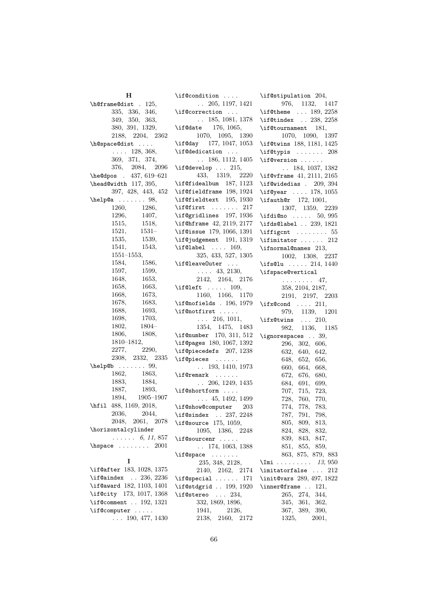| н                                      | $\iota$ : f@condition                                | \if@stipulation 204,                      |
|----------------------------------------|------------------------------------------------------|-------------------------------------------|
| \h@frame@dist . 125,                   | $\ldots$ 205, 1197, 1421                             | 976, 1132, 1                              |
| 335, 336, 346,                         | \if@correction                                       | $\iota$ : 189, 2                          |
| 349, 350, 363,                         | $\ldots$ 185, 1081, 1378                             | $\left\{\right. 238, 2\right\}$           |
| 380, 391, 1329,                        | $\iota$ if@date 176, 1065,                           | \if@tournament 181,                       |
| 2188, 2204, 2362                       | 1070, 1095, 1390                                     | 1070, 1090, 1                             |
| \h@space@dist                          | \if@day 177, 1047, 1053                              | \if@twins 188, 1181, 1                    |
| $\ldots$ 128, 368,                     | \if@dedication                                       | \if@typis                                 |
| 369, 371, 374,                         | $\ldots$ 186, 1112, 1405                             | $\iota$ :f@version                        |
| 376, 2084, 2096                        | $\iota$ : f@develop  215,                            | $\ldots$ 184, 1037, 1                     |
| \he@dpos . 437, 619-621                | 433, 1319, 2220                                      | $\iota$ if@vframe 41, 2111, 2             |
| \head@width 117, 395,                  | \if@fidealbum 187, 1123                              | $\left\{ \right.$ \if@widedias . 209,     |
| 397, 428, 443, 452                     | \if@fieldframe 198, 1924                             | $\iota$ if@year  178, 1                   |
| $\verb+\help@a   98+$                  | \if@fieldtext 195, 1930                              | $\left\{ \right. 172, 1001, \right.$      |
| 1260,<br>1286,                         | $\left\{\text{offset} \dots \dots \quad 217\right\}$ | 1307, 1359, 2                             |
| 1296,<br>1407,                         | \if@gridlines 197, 1936                              | $\setminus$ ifdi@no $50,$                 |
| 1515,<br>1518,                         | \if@hframe 42, 2119, 2177                            | $\i$ fds@label  239, 1                    |
| 1521,<br>$1531-$                       | \if@issue 179, 1066, 1391                            |                                           |
| 1535,<br>1539,                         | \if@judgement 191, 1319                              | $\left\{ \right\}$                        |
| 1541,<br>1543,                         | $\iota$ if@label  169,                               | \ifnormal@names 213,                      |
| $1551 - 1553,$                         | 325, 433, 527, 1305                                  | 1002, 1308, 2                             |
| 1584,<br>1586,                         | \if@leave0uter                                       | $\i$ fs@lu  214, 1                        |
| 1597,<br>1599,                         | $\ldots$ 43, 2130,                                   | \ifspace@vertical                         |
| 1653,<br>1648,                         | 2142, 2164, 2176                                     | $\cdots \cdots \cdots 47,$                |
| 1663,<br>1658,                         | $\iota$ if@left  109,                                | 358, 2104, 2187,                          |
| 1668,<br>1673,                         | 1160, 1166, 1170                                     | 2191, 2197, 2                             |
| 1678,<br>1683,                         | $\left\{ \right\}$ . 196, 1979                       | $\i{ifx@cond \ldots 211,}$                |
| 1688,<br>1693,                         | $\iint$ Cnotfirst                                    | 979, 1139, 1                              |
| 1698,<br>1703,                         | $\ldots$ 216, 1011,                                  | $\i{ifx@twins$ 210,                       |
| 1802,<br>1804–                         | 1354, 1475, 1483                                     | 982,<br>1136, 1                           |
| 1806,<br>1808,<br>$1810 - 1812,$       | $\i$ f@number 170, 311, 512                          | \ignorespaces . 39,                       |
| 2290,<br>2277,                         | \if@pages 180, 1067, 1392                            | 296, 302, 606,                            |
| $2308, \quad 2332, \quad 2335$         | \if@piecedefs 207, 1238                              | 640, 642,<br>632,                         |
| $\hbox{\tt help@b} \ldots 99,$         | \if@pieces<br>$\ldots$ 193, 1410, 1973               | 648,<br>652, 656,                         |
| 1862,<br>1863,                         | $\iint$ Gremark                                      | 660,<br>664,<br>668,                      |
| 1883,<br>1884,                         | $\ldots$ 206, 1249, 1435                             | 672,<br>676,<br>680,<br>684,<br>691, 699, |
| 1887, 1893,                            | \if@shortform                                        | 707,<br>715, 723,                         |
| 1894, 1905-1907                        | $\ldots$ 45, 1492, 1499                              | 728,<br>760, 770,                         |
| \hfil 488, 1169, 2018,                 | \if@show@computer 203                                | 774,<br>778,<br>783,                      |
| 2036, 2044,                            | \if@sindex  237, 2248                                | 787, 791, 798,                            |
| 2048, 2061, 2078                       | $\iota$ if@source 175, 1059,                         | 805,<br>809,<br>813,                      |
| \horizontalcylinder                    | 1095, 1386, 2248                                     | 824,<br>828, 832,                         |
| $\ldots \ldots 6, 11, 857$             | \if@sourcenr                                         | 839.<br>843, 847,                         |
| $\hbox{\tt hspace} \ldots \ldots 2001$ | $\ldots$ 174, 1063, 1388                             | 851, 855, 859,                            |
|                                        | $\iint@space$                                        | 863, 875, 879,                            |
| I                                      | 235, 348, 2128,                                      | $\mathcal{L}$ mi <i>13</i> ,              |
| \if@after 183, 1028, 1375              | 2140, 2162, 2174                                     | \imitatorfalse                            |
| \if@aindex  236, 2236                  | $\iota$ if @special  171                             | \init@vars 289, 497, 1                    |
| \if@award 182, 1103, 1401              | \if@stdgrid  199, 1920                               | $\in$ (inner@frame  121,                  |
| \if@city 173, 1017, 1368               | $\iota$ : $234$ ,                                    | 265,<br>274, 344,                         |
| \if@comment $192, 1321$                | 332, 1869, 1896,                                     | 361, 362,<br>345,                         |
| \if@computer                           | 1941,<br>2126,                                       | 367,<br>389, 390,                         |
| $\ldots$ 190, 477, 1430                | 2138, 2160, 2172                                     | 1325,<br>2001,                            |
|                                        |                                                      |                                           |

132, 1417 \if@theme . . . 189, 2258 \if@tindex . . 238, 2258 \if@tournament 181, 1070, 1090, 1397 \if@twins 188, 1181, 1425  $\ldots$  . 208  $\ldots$  . . 1037, 1382 \if@vframe 41, 2111, 2165 \if@widedias . 209, 394 \if@year . . . . 178, 1055  $2, 1001,$ 1307, 1359, 2239  $\ldots$  50, 995 \ifds@label . . 239, 1821  $\ldots \ldots$  55  $\ldots$  . 212  $\mathsf{e}$ s 213, 1002, 1308, 2237  $\ldots$  214, 1440 ical  $\ldots$  47, <sup>4</sup>, 2187, 2191, 2197, 2203  $\ldots$  211, 139, 1201  $\therefore$  210, 136, 1185  $\therefore$  39, 2, 606,  $\begin{array}{cc} 0, & 642, \end{array}$  $656,$ 668, 680, 01, 699, 5, 723, 0, 770, 774, 778, 783, 1, 798, 9, 813, 832, 839, 843, 847,  $5, 859,$ 863, 875, 879, 883  $\ldots$  13, 950  $\ldots$  212 \init@vars 289, 497, 1822  $\ldots$  121, 4, 344, 1, 362,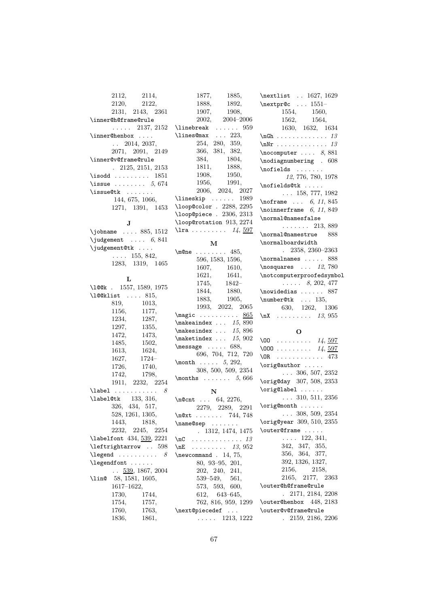| 2112,<br>2114,                  | 1877,<br>1885,                           | \nextlist  1627, 1629                                                                |
|---------------------------------|------------------------------------------|--------------------------------------------------------------------------------------|
| 2120,<br>2122,                  | 1888,<br>1892,                           | \nextpr@c  1551-                                                                     |
| 2131, 2143, 2361                | 1907,<br>1908,                           | 1554, 1560,                                                                          |
| \inner@h@frame@rule             | 2002,<br>$2004 - 2006$                   | 1562, 1564,                                                                          |
| $\ldots$ 2137, 2152             | $\{\text{linebreak} \dots \dots \ 959\}$ | 1630, 1632, 1634                                                                     |
| \inner@henbox                   | \lines@max  223,                         |                                                                                      |
| $\ldots$ 2014, 2037,            | 254, 280, 359,                           | $\lambda$ $\lambda$ 13                                                               |
| 2071, 2091, 2149                | 366, 381, 382,                           | $\n\cdot$ ocomputer  8,881                                                           |
| \inner@v@frame@rule             | 1804,<br>384,                            | \nodiagnumbering . 608                                                               |
| $. \t2125, 2151, 2153$          | 1811,<br>1888,                           | $\n\t\of\ields\ \dots \dots$                                                         |
| $\iota$ : 1851                  | 1908,<br>1950,                           |                                                                                      |
| \issue $5,674$                  | 1956,<br>1991,                           | 12, 776, 780, 1978                                                                   |
| $\i$ ssue@tk                    | 2006, 2024, 2027                         | $\n\left\{\n\begin{array}{ccc}\n\text{nofilelds@tk} & \ldots\n\end{array}\n\right\}$ |
| 144, 675, 1066,                 | $\{\text{lineskip} \dots \dots \ 1989\}$ | $\ldots$ 158, 777, 1982                                                              |
|                                 | \loop@color . 2288, 2295                 | $\cdot \cdot 6, 11, 845$                                                             |
| 1271, 1391, 1453                | \loop@piece . 2306, 2313                 | \noinnerframe $6, 11, 849$                                                           |
| J                               | \loop@rotation 913, 2274                 | \normal@namesfalse                                                                   |
|                                 | $\frac{11}{4}$ , $\frac{597}{4}$         | $\ldots \ldots 213,889$                                                              |
| \jobname  885, 1512             |                                          | \normal@namestrue<br>888                                                             |
| $\{judgement \dots 6, 841\}$    | м                                        | \normalboardwidth                                                                    |
| \judgement@tk                   | $\text{One} \dots \dots \quad 485,$      | $. \quad 2358, 2360 - 2363$                                                          |
| $\ldots$ 155, 842,              | 596, 1583, 1596,                         |                                                                                      |
| 1283, 1319, 1465                | 1607, 1610,                              | $\label{thm:1} \texttt{\textbf{no} 5} \texttt{\textbf{no} 12}, 780$                  |
|                                 | 1621,<br>1641,                           | \notcomputerproofedsymbol                                                            |
| L                               | 1745,<br>1842–                           | $\ldots$ . 8, 202, 477                                                               |
| \l@@k . 1557, 1589, 1975        | 1844, 1880,                              | $\nuidedias \ldots 887$                                                              |
| $\lambda$ 100klist  815,        | 1883,<br>1905,                           | $\number@tk$ 135,                                                                    |
| 819,<br>1013,                   |                                          | 630, 1262, 1306                                                                      |
|                                 |                                          |                                                                                      |
| 1156,<br>1177,                  | 1993, 2022, 2065                         |                                                                                      |
| 1234,<br>1287,                  | $\text{magic} \dots \dots \dots \ 865$   | $\ln X$ 13, 955                                                                      |
| 1297,<br>1355,                  | $\mathcal{S}$ 15,890                     |                                                                                      |
| 1472,<br>1473,                  | $\mathcal{S}$ 15,896                     | O                                                                                    |
| 1485,<br>1502,                  | $\mathcal{L}$ maketindex $15, 902$       | \00 14, $597$                                                                        |
| 1613,<br>1624,                  | $\text{message} \dots 688,$              | \000 14, $\frac{597}{1000}$                                                          |
| $1724-$<br>1627,                | 696, 704, 712, 720                       | $\Delta$ DR 473                                                                      |
| 1726,<br>1740,                  | \month $5, 292,$                         | \orig@author                                                                         |
| 1742,<br>1798,                  | 308, 500, 509, 2354                      | $\ldots$ 306, 507, 2352                                                              |
| $1911, \quad 2232, \quad 2254$  | \months $5,666$                          | \orig@day 307, 508, 2353                                                             |
| $\label{label}$<br>8            | N                                        | \orig@label                                                                          |
| $\lambda$ 133, 316,             | $\neq 64, 2276,$                         | $\ldots$ 310, 511, 2356                                                              |
| 326, 434, 517,                  | 2279, 2289, 2291                         | \orig@month                                                                          |
| 528, 1261, 1305,                | $\n\sqrt{244}, 748$                      | $\ldots$ 308, 509, 2354                                                              |
| 1443,<br>1818,                  |                                          | $\text{\textbackslash}$ orig@year $309, 510, 2355$                                   |
| 2232, 2245, 2254                | $\langle$<br>. 1312, 1474, 1475          | \outer@frame                                                                         |
| \labelfont 434, 539, 2221       | . <i>13</i><br>$\n\overline{C}$          | $\ldots$ 122, 341,                                                                   |
| \leftrightarrow  598            | . 13, 952<br>\n $E$                      | 342, 347, 355,                                                                       |
| $\leq$ 2 and  8                 | $\neq$ . 14, 75,                         | 356, 364, 377,                                                                       |
| \legendfont                     | $80, 93-95, 201,$                        | 392, 1326, 1327,                                                                     |
| $\ldots$ 539, 1867, 2004        | 202, 240,<br>241,                        | 2156,<br>2158,                                                                       |
| 58, 1581, 1605,<br><b>\lin@</b> | $539 - 549,$<br>561,                     | 2165, 2177, 2363                                                                     |
| $1617 - 1622,$                  | 573, 593, 600,                           | \outer@h@frame@rule                                                                  |
| 1730,<br>1744,                  | $612, 643-645,$                          | 2171, 2184, 2208<br>L.                                                               |
| 1754,<br>1757,                  | 762, 816, 959, 1299                      | \outer@henbox 448, 2183                                                              |
| 1760,<br>1763,                  | \next@piecedef                           | \outer@v@frame@rule                                                                  |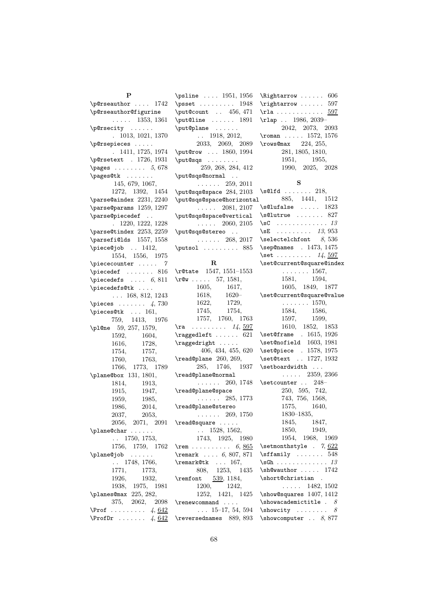$\epsilon$  . . . . . 1742 \p@rseauthor@figurine  $\ldots$  . 1353, 1361 \p@rsecity ...... . 1013, 1021, 1370 \p@rsepieces . . . . . . 1411, 1725, 1974 \p@rsetext . 1726, 1931  $\text{pages} \dots \dots \quad 5,678$ \pages@tk . . . . . . . 145, 679, 1067, 1272, 1392, 1454 \parse@aindex 2231, 2240 \parse@params 1259, 1297 \parse@piecedef . . . 1220, 1222, 1228 \parse@tindex 2253, 2259 \parsefi@lds 1557, 1558 \piece@job .. 1412, 1554, 1556, 1975 \piececounter ..... 7  $\verb+\piecedef + \dots + 816$  $\langle$ piecedefs .... 6, 811 \piecedefs@tk .... . . . 168, 812, 1243  $\text{pieces} \dots \dots \, 4,730$ \pieces@tk . . . 161, 759, 1413, 1976 \pl@ne 59, 257, 1579, 1592, 1604, 1616, 1728, 1754, 1757, 1760, 1763, 1766, 1773, 1789 \plane@box 131, 1801, 1814, 1913, 1915, 1947, 1959, 1985, 1986, 2014, 2037, 2053, 2056, 2071, 2091 \plane@char . . . . . . . . 1750, 1753, 1756, 1759, 1762 \plane@job . . . . . . . . 1748, 1766, 1771, 1773, 1926, 1932, 1938, 1975, 1981 \planes@max 225, 282, 375, 2062, 2098  $\Pr of \dots \dots \dots \ 4, \underline{642}$  $\PerofDr \ldots$  . . . . . 4, 642

P

\psline . . . . 1951, 1956 \psset . . . . . . . . . 1948 \put@count . . 456, 471 \put@line . . . . . . 1891 \put@plane . . . . . . . . 1918, 2012, 2033, 2069, 2089 \put@row . . . 1860, 1994 \put@sqs . . . . . . . . 259, 268, 284, 412 \put@sqs@normal .. . . . . . . 259, 2011 \put@sqs@space 284, 2103 \put@sqs@space@horizontal  $\ldots$  . 2081, 2107 \put@sqs@space@vertical  $\ldots$  . 2060, 2105 \put@sqs@stereo . . . . . . . . 268, 2017 \putsol ........ 885 R \r@tate 1547, 1551–1553  $\text{V}^{\text{Qw}}$  . . . . . 57, 1581, 1605, 1617, 1618, 1620– 1622, 1729, 1745, 1754, 1757, 1760, 1763  $\text{ra} \quad \ldots \quad 14, \frac{597}{2}$  $\label{eq:ex1} $$ \ragger = 621$ \raggedright . . . . . 406, 434, 455, 620 \read@plane 260, 269, 285, 1746, 1937 \read@plane@normal . . . . . . 260, 1748 \read@plane@space . . . . . . 285, 1773 \read@plane@stereo . . . . . . 269, 1750 \read@square . . . . . . . 1528, 1562, 1743, 1925, 1980 \rem . . . . . . . . . . 6, 865 \remark . . . . 6, 807, 871 \remark@tk . . . 167, 808, 1253, 1435 \remfont 539, 1184, 1200, 1242, 1252, 1421, 1425 \renewcommand ....  $\ldots$  15–17, 54, 594 \reversednames 889, 893

\Rightarrow . . . . . . 606 \rightarrow ...... 597  $\tau$ la . . . . . . . . . . . . 597 \rlap . . 1986, 2039– 2042, 2073, 2093 \roman . . . . . 1572, 1576 \rows@max 224, 255, 281, 1805, 1810, 1951, 1955, 1990, 2025, 2028 S  $\setminus$ s@lfd . . . . . . . 218, 885, 1441, 1512  $\setminus$ s@lufalse ..... 1823  $\setminus$ s@lutrue ....... 827  $\setminus$ sC . . . . . . . . . . . . . 13  $\setminus$ sE . . . . . . . . . 13, 953  $\setminus$ selectelchfont 8, 536 \sep@names . 1473, 1475 \set . . . . . . . . .  $14, 597$ \set@current@square@index . . . . . . . 1567, 1581, 1594, 1605, 1849, 1877 \set@current@square@value . . . . . . . 1570, 1584, 1586, 1597, 1599, 1610, 1852, 1853 \set@frame . 1615, 1926 \set@nofield 1603, 1981 \set@piece . 1578, 1975 \set@text . . 1727, 1932  $\setminus$ setboardwidth ...  $\ldots$  . 2359, 2366 \setcounter . . 248– 250, 595, 742, 743, 756, 1568, 1575, 1640, 1830–1835, 1845, 1847, 1850, 1949, 1954, 1968, 1969 \setmonthstyle . 7, 622  $\sqrt{\text{stfamily}}$  . . . . . . . 548  $\simeq$ Gh . . . . . . . . . . . . . 13 \sh@wauthor . . . . . 1742 \short@christian .  $\ldots$  . 1482, 1502 \show@squares 1407, 1412  $\simeq$  \showacademictitle .  $8$  $\text{Subwcity} \dots \dots \quad 8$ \showcomputer . . 8,877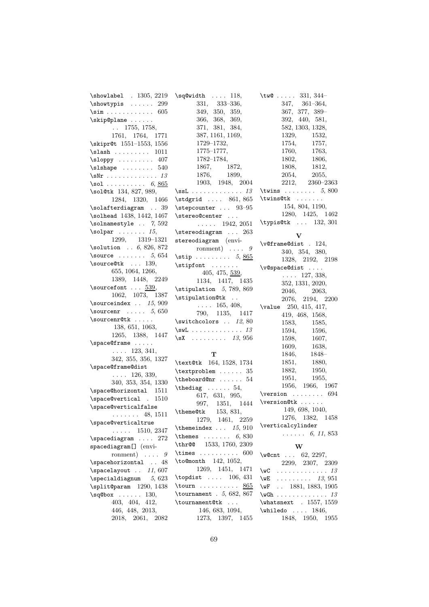\showlabel . 1305, 2219 \showtypis . . . . . . 299 \sim . . . . . . . . . . . . 605 \skip@plane . . . . . . . . 1755, 1758, 1761, 1764, 1771 \skipr@t 1551–1553, 1556 \slash . . . . . . . . . 1011 \sloppy . . . . . . . . . 407  $\lambda$ slshape . . . . . . . . 540  $\text{Nr}$  . . . . . . . . . . . . 13  $\text{Sol} \dots \dots \dots \ 6, \, 865$ \sol@tk 134, 827, 989, 1284, 1320, 1466 \solafterdiagram . . 39 \solhead 1438, 1442, 1467 \solnamestyle .. 7, 592  $\verb+\solpar+\ldots+15+$ 1299, 1319–1321 \solution . . 6, 826, 872 \source  $\dots \dots 5, 654$ \source@tk ... 139, 655, 1064, 1266, 1389, 1448, 2249  $\sqrt{\text{sourcefont}} \dots \frac{539}{539}$ 1062, 1073, 1387 \sourceindex  $\ldots$  15, 909 \sourcenr  $\ldots$  5, 650 \sourcenr@tk . . . . . 138, 651, 1063, 1265, 1388, 1447 \space@frame . . . . . . . . . 123, 341, 342, 355, 356, 1327 \space@frame@dist . . . . 126, 339, 340, 353, 354, 1330 \space@horizontal 1511 \space@vertical . 1510 \space@verticalfalse . . . . . . . 48, 1511 \space@verticaltrue  $\ldots$  . 1510, 2347 \spacediagram .... 272 spacediagram[] (environment)  $\ldots$  9 \spacehorizontal . . 48 \spacelayout . . 11, 607  $\text{special diagram}$  5, 623 \split@param 1290, 1438  $\sqrt{sq}$ obox ..... 130, 403, 404, 412, 446, 448, 2013, 2018, 2061, 2082 \sq@width . . . . 118,

349, 350, 359, 366, 368, 369, 371, 381, 384, 387, 1161, 1169, 1729–1732, 1775–1777, 1782–1784, 1867, 1872, 1876, 1899, 1903, 1948, 2004  $\text{ssL} \dots \dots \dots \dots 13$ \stdgrid .... 861, 865 \stepcounter . . . 93–95 \stereo@center . . .  $\ldots$  . 1942, 2051 \stereodiagram ... 263 stereodiagram (environment)  $\ldots$  9  $\text{stip}$  . . . . . . . . 5, 865  $\setminus$ stipfont . . . . . . . 405, 475, 539, 1134, 1417, 1435  $\stipulation$  5, 789, 869 \stipulation@tk . .  $\ldots$  . 165, 408, 790, 1135, 1417 \switchcolors .. 12,80 \swL . . . . . . . . . . . . . 13  $\square$  . . . . . . . . 13, 956

331, 333–336,

# T

\text@tk 164, 1528, 1734 \textproblem . . . . . . 35  $\theta$ ard@nr . . . . . . 54  $\theta$ iag . . . . . . 54, 617, 631, 995, 997, 1351, 1444 \theme@tk 153, 831, 1279, 1461, 2259 \themeindex  $\dots$  15, 910  $\theta$ . . . . . . . . . 6, 830 \thr@@ 1533, 1760, 2309 \times . . . . . . . . . . 600 \to@month 142, 1052, 1269, 1451, 1471 \topdist .... 106, 431 \tourn . . . . . . . . . . 865 \tournament . 5, 682, 867 \tournament@tk ... 146, 683, 1094, 1273, 1397, 1455

\tw@ . . . . . 331, 344-347, 361–364, 367, 377, 389– 392, 440, 581, 582, 1303, 1328, 1329, 1532, 1754, 1757, 1760, 1763, 1802, 1806, 1808, 1812, 2054, 2055, 2212, 2360–2363  $\text{twins} \dots \dots 5, 800$ \twins@tk . . . . . . . 154, 804, 1190, 1280, 1425, 1462 \typis@tk . . . 132, 301

### $\mathbf{v}$

\v@frame@dist . 124, 340, 354, 380, 1328, 2192, 2198 \v@space@dist . . . . . . . . 127, 338, 352, 1331, 2020, 2046, 2063, 2076, 2194, 2200 \value 250, 415, 417, 419, 468, 1568, 1583, 1585, 1594, 1596, 1598, 1607, 1609, 1638, 1846, 1848– 1851, 1880, 1882, 1950, 1951, 1955, 1956, 1966, 1967  $\verb|\version ... ... 694|$ \version@tk . . . . . . 149, 698, 1040, 1276, 1382, 1458 \verticalcylinder  $\ldots \ldots 6, 11, 853$ 

# W

| $\wect$                      |  |  | 62, 2297,        |
|------------------------------|--|--|------------------|
|                              |  |  | 2299, 2307, 2309 |
| $\sqrt{w}C$ 13               |  |  |                  |
| $\sqrt{wE}$ 13, 951          |  |  |                  |
| \wF  1881, 1883, 1905        |  |  |                  |
| $\w$ Gh 13                   |  |  |                  |
| \whatsnext . 1557, 1559      |  |  |                  |
| $\text{whiledo} \dots 1846,$ |  |  |                  |
|                              |  |  | 1848, 1950, 1955 |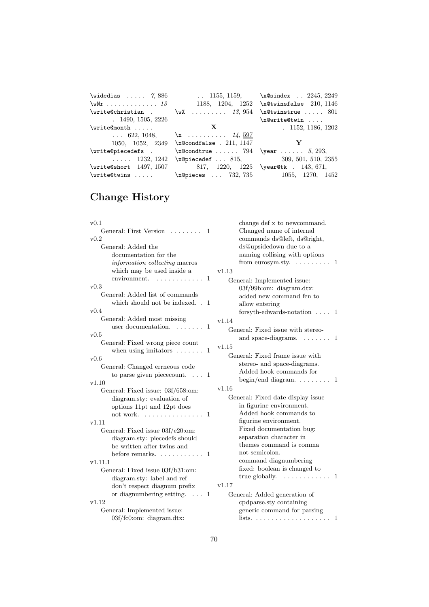| $\widehat{X}$ 7,886   |                                                              | 1155, 1159, $x@since x$ 2245, 2249       |  |
|-----------------------|--------------------------------------------------------------|------------------------------------------|--|
| $\text{WNT}$ 13       |                                                              | 1188, 1204, 1252 \x@twinsfalse 210, 1146 |  |
|                       | \write@christian . \wX $13,954$ \x@twinstrue  801            |                                          |  |
| 1490, 1505, 2226      |                                                              | \x@write@twin                            |  |
| $\sqrt{x}$ ite@month  |                                                              | <b>X</b> 1152, 1186, 1202                |  |
|                       | 622, 1048, $x$ $14,597$                                      |                                          |  |
|                       | 1050, 1052, 2349 \x@condfalse . 211, 1147 $\mathbf{Y}$       |                                          |  |
| \write@piecedefs .    | $x@condtrue$ 794 $\text{year}$ 5, 293,                       |                                          |  |
| $\ldots$ . 1232, 1242 |                                                              | \x@piecedef  815, $309, 501, 510, 2355$  |  |
|                       | \write@short 1497, 1507 817, 1220, 1225 \year@tk . 143, 671, |                                          |  |
|                       |                                                              | \x@pieces $732, 735$ 1055, 1270, 1452    |  |

# Change History

| v0.1                                                      | change def x to newcommand.                                         |
|-----------------------------------------------------------|---------------------------------------------------------------------|
| General: First Version<br>1                               | Changed name of internal                                            |
| v0.2                                                      | commands ds@left, ds@right,                                         |
| General: Added the                                        | ds@upsidedown due to a                                              |
| documentation for the                                     | naming collising with options                                       |
| information collecting macros                             | from eurosym.sty. $\dots \dots \dots$ 1                             |
| which may be used inside a                                | v1.13                                                               |
| $\mathbf{1}$<br>environment.                              | General: Implemented issue:                                         |
| v0.3                                                      | 03f/99b:om: diagram.dtx:                                            |
| General: Added list of commands                           | added new command fen to                                            |
| which should not be indexed. . 1                          | allow entering                                                      |
| v0.4                                                      | forsyth-edwards-notation $\ldots$ 1                                 |
| General: Added most missing                               | v1.14                                                               |
| user documentation.<br>$\mathbf{1}$                       | General: Fixed issue with stereo-                                   |
| v0.5                                                      | and space-diagrams.<br>. 1                                          |
| General: Fixed wrong piece count                          | v1.15                                                               |
| when using imitators $\dots \dots$<br>1                   | General: Fixed frame issue with                                     |
| v0.6                                                      |                                                                     |
| General: Changed errneous code                            | stereo- and space-diagrams.                                         |
| to parse given piece count. $\ldots$<br>-1                | Added hook commands for<br>begin/end diagram. $\dots \dots \dots 1$ |
| v1.10                                                     |                                                                     |
| General: Fixed issue: 03f/658:om:                         | v1.16                                                               |
| diagram.sty: evaluation of                                | General: Fixed date display issue                                   |
| options 11pt and 12pt does                                | in figurine environment.                                            |
| not work. $\ldots$ ,<br>-1                                | Added hook commands to                                              |
| v1.11                                                     | figurine environment.                                               |
| General: Fixed issue 03f/e20:om:                          | Fixed documentation bug:                                            |
| diagram.sty: piecedefs should                             | separation character in                                             |
| be written after twins and                                | themes command is comma<br>not semicolon.                           |
| before remarks. $\dots \dots \dots$<br>-1                 |                                                                     |
| v1.11.1                                                   | command diagnumbering<br>fixed: boolean is changed to               |
| General: Fixed issue 03f/b31:om:                          | true globally. $\dots \dots \dots \dots$ 1                          |
| diagram.sty: label and ref                                |                                                                     |
| don't respect diagnum prefix                              | v1.17                                                               |
| or diagnumbering setting.<br>$\mathbf{1}$<br>$\sim 100$ . | General: Added generation of                                        |
| v1.12                                                     | cpdparse.sty containing                                             |
| General: Implemented issue:                               | generic command for parsing                                         |
| 03f/fc0:om: diagram.dtx:                                  | lists. $\ldots \ldots \ldots \ldots \ldots \ldots 1$                |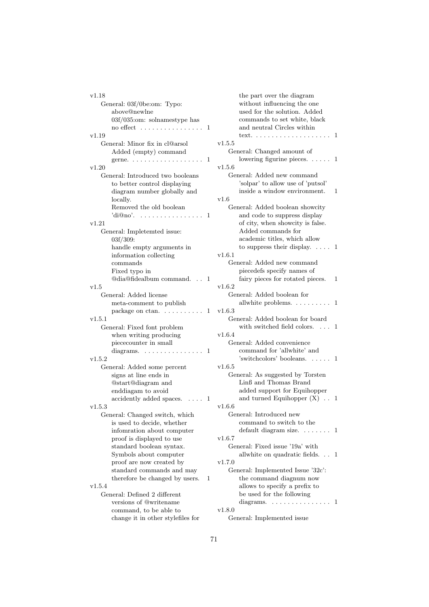| v1.18                                    |    | $_{\rm the}$ |
|------------------------------------------|----|--------------|
| General: 03f/0be:om: Typo:               |    | witl         |
| above@newlne                             |    | use          |
| 03f/035:om: solnamestype has             |    | com          |
| no effect                                | 1  | and          |
| v1.19                                    |    | text         |
| General: Minor fix in cl@arsol           |    | v1.5.5       |
| Added (empty) command                    |    | Genera       |
|                                          | 1  | low          |
| v1.20                                    |    | v1.5.6       |
| General: Introduced two booleans         |    | Genera       |
| to better control displaying             |    | 'sol:        |
| diagram number globally and              |    | insi         |
| locally.                                 |    | v1.6         |
| Removed the old boolean                  |    | Genera       |
| $\text{d}$ i $@no$ .                     | 1  | and          |
| v1.21                                    |    | of c         |
|                                          |    | Ado          |
| General: Impletemted issue:              |    |              |
| 03f/309:                                 |    | aca          |
| handle empty arguments in                |    | to s         |
| information collecting                   |    | v1.6.1       |
| commands                                 |    | Genera       |
| Fixed typo in                            |    | piec         |
| @dia@fidealbum command.<br>$\sim$ $\sim$ | -1 | fair         |
| v1.5                                     |    | v1.6.2       |
| General: Added license                   |    | Genera       |
| meta-comment to publish                  |    | allw         |
| package on ctan. $\dots \dots$           | 1  | v1.6.3       |
| v1.5.1                                   |    | Genera       |
| General: Fixed font problem              |    | witl         |
| when writing producing                   |    | v1.6.4       |
| piececounter in small                    |    | Genera       |
| diagrams. $\ldots \ldots \ldots \ldots$  | 1  | $_{\rm com}$ |
| v1.5.2                                   |    | 'swi         |
| General: Added some percent              |    | v1.6.5       |
| signs at line ends in                    |    | Genera       |
| @start@diagram and                       |    | Lin:         |
| enddiagam to avoid                       |    | $\rm add$    |
| accidently added spaces.                 | -1 | and          |
| v1.5.3                                   |    | v1.6.6       |
| General: Changed switch, which           |    | Genera       |
| is used to decide, whether               |    | $_{\rm com}$ |
| infomration about computer               |    | defa         |
| proof is displayed to use                |    | v1.6.7       |
| standard boolean syntax.                 |    | Genera       |
| Symbols about computer                   |    | allw         |
| proof are now created by                 |    | v1.7.0       |
| standard commands and may                |    | Genera       |
| therefore be changed by users.           | 1  | the          |
| v1.5.4                                   |    | allo         |
| General: Defined 2 different             |    | be 1         |
| versions of @writename                   |    | dia          |
| command, to be able to                   |    | v1.8.0       |
| change it in other stylefiles for        |    | Genera       |
|                                          |    |              |

```
part over the diagram
hout influencing the one
d for the solution. Added
nmands to set white, black
neutral Circles within
text. . . . . . . . . . . . . . . . . . . . 1
l: Changed amount of
lowering figurine pieces. \dots . 1
d: Added new command
par' to allow use of 'putsol'
ide a window environment. 1
d: Added boolean showcity
code to suppress display
city, when showcity is false.
ded commands for
demic titles, which allow
suppress their display. \dots 1
d: Added new command
cedefs specify names of
fatry pieces for rotated pieces. 1
d: Added boolean for
white problems. \dots \dots \dots 1d: Added boolean for board
h switched field colors. \ldots 1
d: Added convenience
nmand for 'allwhite' and
itchoolors' booleans. \dots . 1d: As suggested by Torsten
B and Thomas Brand
ded support for Equihopper
turned Equihopper (X). 1
d: Introduced new
nmand to switch to the
ault diagram size. . . . . . . . 1
d: Fixed issue '19a' with
white on quadratic fields. . . 1
d: Implemented Issue '32c':
command diagnum now
was to specify a prefix to
used for the following
grams. \dots \dots \dots \dots \dots 1
```
General: Implemented issue